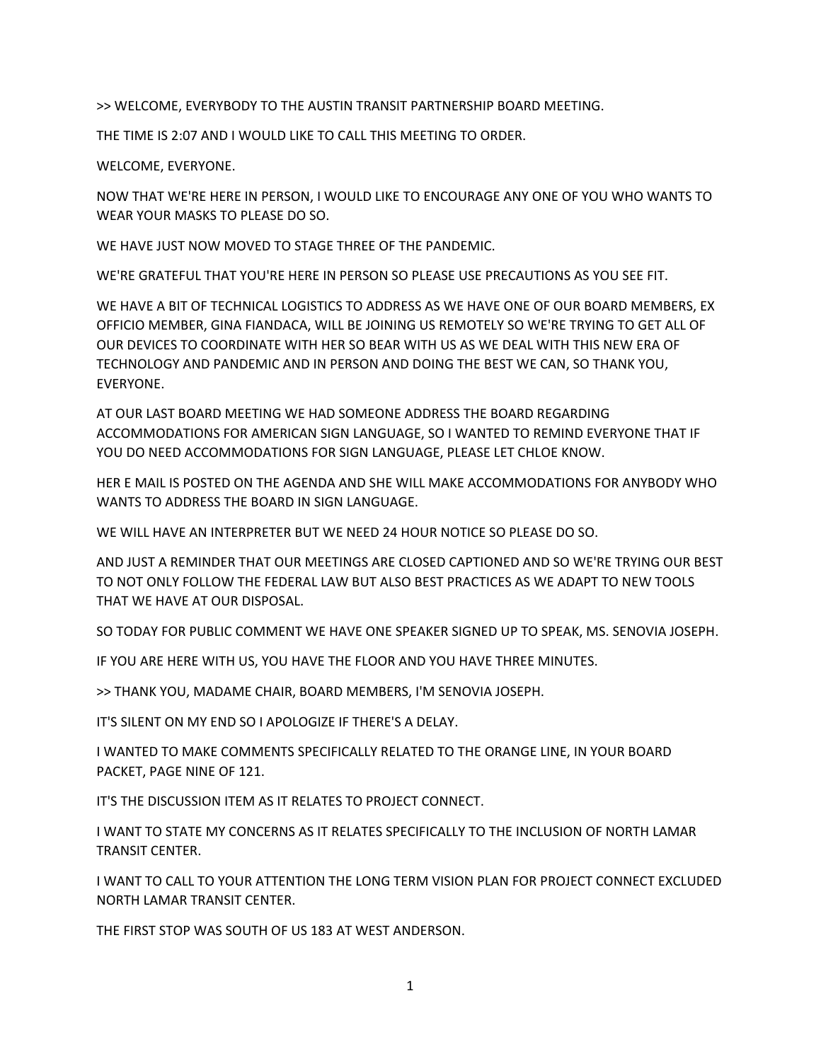>> WELCOME, EVERYBODY TO THE AUSTIN TRANSIT PARTNERSHIP BOARD MEETING.

THE TIME IS 2:07 AND I WOULD LIKE TO CALL THIS MEETING TO ORDER.

WELCOME, EVERYONE.

NOW THAT WE'RE HERE IN PERSON, I WOULD LIKE TO ENCOURAGE ANY ONE OF YOU WHO WANTS TO WEAR YOUR MASKS TO PLEASE DO SO.

WE HAVE JUST NOW MOVED TO STAGE THREE OF THE PANDEMIC.

WE'RE GRATEFUL THAT YOU'RE HERE IN PERSON SO PLEASE USE PRECAUTIONS AS YOU SEE FIT.

WE HAVE A BIT OF TECHNICAL LOGISTICS TO ADDRESS AS WE HAVE ONE OF OUR BOARD MEMBERS, EX OFFICIO MEMBER, GINA FIANDACA, WILL BE JOINING US REMOTELY SO WE'RE TRYING TO GET ALL OF OUR DEVICES TO COORDINATE WITH HER SO BEAR WITH US AS WE DEAL WITH THIS NEW ERA OF TECHNOLOGY AND PANDEMIC AND IN PERSON AND DOING THE BEST WE CAN, SO THANK YOU, EVERYONE.

AT OUR LAST BOARD MEETING WE HAD SOMEONE ADDRESS THE BOARD REGARDING ACCOMMODATIONS FOR AMERICAN SIGN LANGUAGE, SO I WANTED TO REMIND EVERYONE THAT IF YOU DO NEED ACCOMMODATIONS FOR SIGN LANGUAGE, PLEASE LET CHLOE KNOW.

HER E MAIL IS POSTED ON THE AGENDA AND SHE WILL MAKE ACCOMMODATIONS FOR ANYBODY WHO WANTS TO ADDRESS THE BOARD IN SIGN LANGUAGE.

WE WILL HAVE AN INTERPRETER BUT WE NEED 24 HOUR NOTICE SO PLEASE DO SO.

AND JUST A REMINDER THAT OUR MEETINGS ARE CLOSED CAPTIONED AND SO WE'RE TRYING OUR BEST TO NOT ONLY FOLLOW THE FEDERAL LAW BUT ALSO BEST PRACTICES AS WE ADAPT TO NEW TOOLS THAT WE HAVE AT OUR DISPOSAL.

SO TODAY FOR PUBLIC COMMENT WE HAVE ONE SPEAKER SIGNED UP TO SPEAK, MS. SENOVIA JOSEPH.

IF YOU ARE HERE WITH US, YOU HAVE THE FLOOR AND YOU HAVE THREE MINUTES.

>> THANK YOU, MADAME CHAIR, BOARD MEMBERS, I'M SENOVIA JOSEPH.

IT'S SILENT ON MY END SO I APOLOGIZE IF THERE'S A DELAY.

I WANTED TO MAKE COMMENTS SPECIFICALLY RELATED TO THE ORANGE LINE, IN YOUR BOARD PACKET, PAGE NINE OF 121.

IT'S THE DISCUSSION ITEM AS IT RELATES TO PROJECT CONNECT.

I WANT TO STATE MY CONCERNS AS IT RELATES SPECIFICALLY TO THE INCLUSION OF NORTH LAMAR TRANSIT CENTER.

I WANT TO CALL TO YOUR ATTENTION THE LONG TERM VISION PLAN FOR PROJECT CONNECT EXCLUDED NORTH LAMAR TRANSIT CENTER.

THE FIRST STOP WAS SOUTH OF US 183 AT WEST ANDERSON.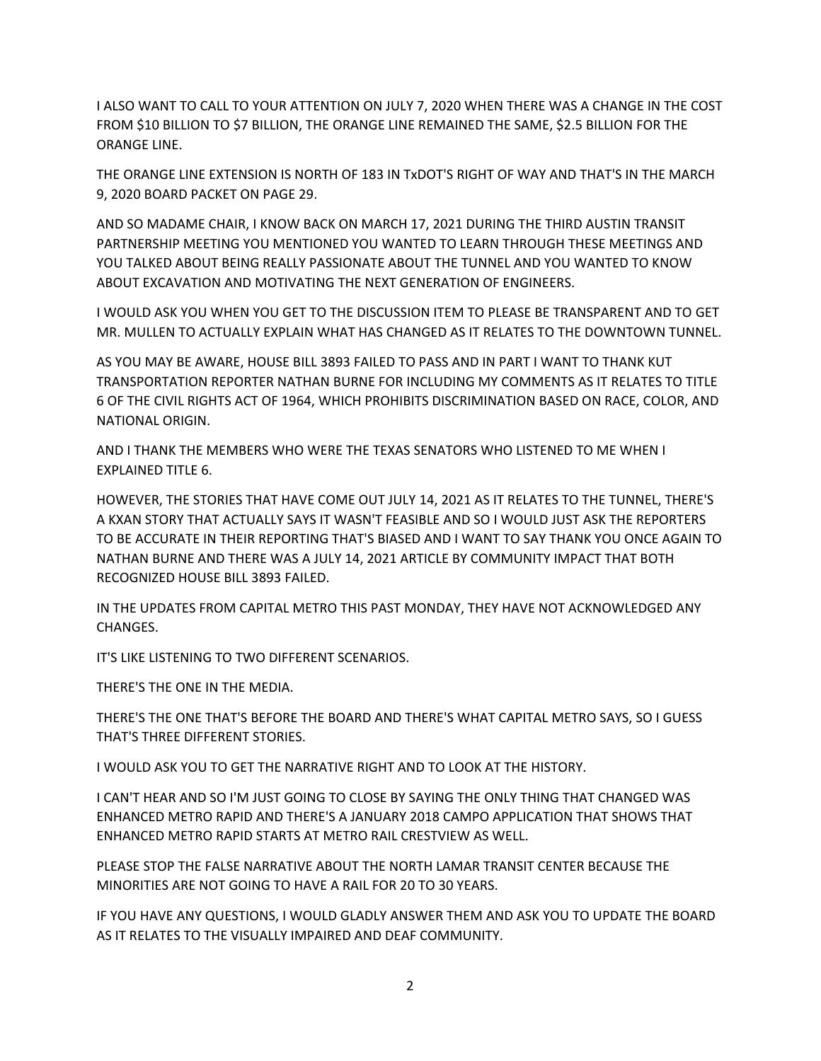I ALSO WANT TO CALL TO YOUR ATTENTION ON JULY 7, 2020 WHEN THERE WAS A CHANGE IN THE COST FROM \$10 BILLION TO \$7 BILLION, THE ORANGE LINE REMAINED THE SAME, \$2.5 BILLION FOR THE ORANGE LINE.

THE ORANGE LINE EXTENSION IS NORTH OF 183 IN TxDOT'S RIGHT OF WAY AND THAT'S IN THE MARCH 9, 2020 BOARD PACKET ON PAGE 29.

AND SO MADAME CHAIR, I KNOW BACK ON MARCH 17, 2021 DURING THE THIRD AUSTIN TRANSIT PARTNERSHIP MEETING YOU MENTIONED YOU WANTED TO LEARN THROUGH THESE MEETINGS AND YOU TALKED ABOUT BEING REALLY PASSIONATE ABOUT THE TUNNEL AND YOU WANTED TO KNOW ABOUT EXCAVATION AND MOTIVATING THE NEXT GENERATION OF ENGINEERS.

I WOULD ASK YOU WHEN YOU GET TO THE DISCUSSION ITEM TO PLEASE BE TRANSPARENT AND TO GET MR. MULLEN TO ACTUALLY EXPLAIN WHAT HAS CHANGED AS IT RELATES TO THE DOWNTOWN TUNNEL.

AS YOU MAY BE AWARE, HOUSE BILL 3893 FAILED TO PASS AND IN PART I WANT TO THANK KUT TRANSPORTATION REPORTER NATHAN BURNE FOR INCLUDING MY COMMENTS AS IT RELATES TO TITLE 6 OF THE CIVIL RIGHTS ACT OF 1964, WHICH PROHIBITS DISCRIMINATION BASED ON RACE, COLOR, AND NATIONAL ORIGIN.

AND I THANK THE MEMBERS WHO WERE THE TEXAS SENATORS WHO LISTENED TO ME WHEN I EXPLAINED TITLE 6.

HOWEVER, THE STORIES THAT HAVE COME OUT JULY 14, 2021 AS IT RELATES TO THE TUNNEL, THERE'S A KXAN STORY THAT ACTUALLY SAYS IT WASN'T FEASIBLE AND SO I WOULD JUST ASK THE REPORTERS TO BE ACCURATE IN THEIR REPORTING THAT'S BIASED AND I WANT TO SAY THANK YOU ONCE AGAIN TO NATHAN BURNE AND THERE WAS A JULY 14, 2021 ARTICLE BY COMMUNITY IMPACT THAT BOTH RECOGNIZED HOUSE BILL 3893 FAILED.

IN THE UPDATES FROM CAPITAL METRO THIS PAST MONDAY, THEY HAVE NOT ACKNOWLEDGED ANY CHANGES.

IT'S LIKE LISTENING TO TWO DIFFERENT SCENARIOS.

THERE'S THE ONE IN THE MEDIA.

THERE'S THE ONE THAT'S BEFORE THE BOARD AND THERE'S WHAT CAPITAL METRO SAYS, SO I GUESS THAT'S THREE DIFFERENT STORIES.

I WOULD ASK YOU TO GET THE NARRATIVE RIGHT AND TO LOOK AT THE HISTORY.

I CAN'T HEAR AND SO I'M JUST GOING TO CLOSE BY SAYING THE ONLY THING THAT CHANGED WAS ENHANCED METRO RAPID AND THERE'S A JANUARY 2018 CAMPO APPLICATION THAT SHOWS THAT ENHANCED METRO RAPID STARTS AT METRO RAIL CRESTVIEW AS WELL.

PLEASE STOP THE FALSE NARRATIVE ABOUT THE NORTH LAMAR TRANSIT CENTER BECAUSE THE MINORITIES ARE NOT GOING TO HAVE A RAIL FOR 20 TO 30 YEARS.

IF YOU HAVE ANY QUESTIONS, I WOULD GLADLY ANSWER THEM AND ASK YOU TO UPDATE THE BOARD AS IT RELATES TO THE VISUALLY IMPAIRED AND DEAF COMMUNITY.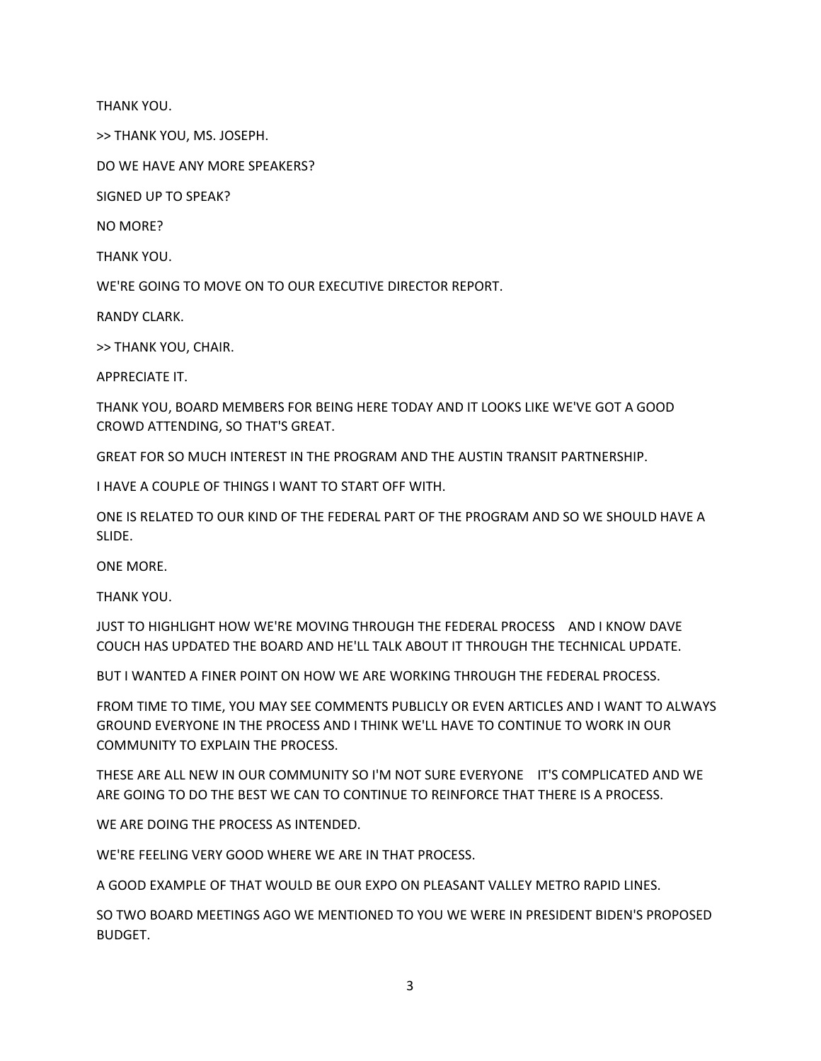THANK YOU.

>> THANK YOU, MS. JOSEPH.

DO WE HAVE ANY MORE SPEAKERS?

SIGNED UP TO SPEAK?

NO MORE?

THANK YOU.

WE'RE GOING TO MOVE ON TO OUR EXECUTIVE DIRECTOR REPORT.

RANDY CLARK.

>> THANK YOU, CHAIR.

APPRECIATE IT.

THANK YOU, BOARD MEMBERS FOR BEING HERE TODAY AND IT LOOKS LIKE WE'VE GOT A GOOD CROWD ATTENDING, SO THAT'S GREAT.

GREAT FOR SO MUCH INTEREST IN THE PROGRAM AND THE AUSTIN TRANSIT PARTNERSHIP.

I HAVE A COUPLE OF THINGS I WANT TO START OFF WITH.

ONE IS RELATED TO OUR KIND OF THE FEDERAL PART OF THE PROGRAM AND SO WE SHOULD HAVE A SLIDE.

ONE MORE.

THANK YOU.

JUST TO HIGHLIGHT HOW WE'RE MOVING THROUGH THE FEDERAL PROCESS AND I KNOW DAVE COUCH HAS UPDATED THE BOARD AND HE'LL TALK ABOUT IT THROUGH THE TECHNICAL UPDATE.

BUT I WANTED A FINER POINT ON HOW WE ARE WORKING THROUGH THE FEDERAL PROCESS.

FROM TIME TO TIME, YOU MAY SEE COMMENTS PUBLICLY OR EVEN ARTICLES AND I WANT TO ALWAYS GROUND EVERYONE IN THE PROCESS AND I THINK WE'LL HAVE TO CONTINUE TO WORK IN OUR COMMUNITY TO EXPLAIN THE PROCESS.

THESE ARE ALL NEW IN OUR COMMUNITY SO I'M NOT SURE EVERYONE IT'S COMPLICATED AND WE ARE GOING TO DO THE BEST WE CAN TO CONTINUE TO REINFORCE THAT THERE IS A PROCESS.

WE ARE DOING THE PROCESS AS INTENDED.

WE'RE FEELING VERY GOOD WHERE WE ARE IN THAT PROCESS.

A GOOD EXAMPLE OF THAT WOULD BE OUR EXPO ON PLEASANT VALLEY METRO RAPID LINES.

SO TWO BOARD MEETINGS AGO WE MENTIONED TO YOU WE WERE IN PRESIDENT BIDEN'S PROPOSED BUDGET.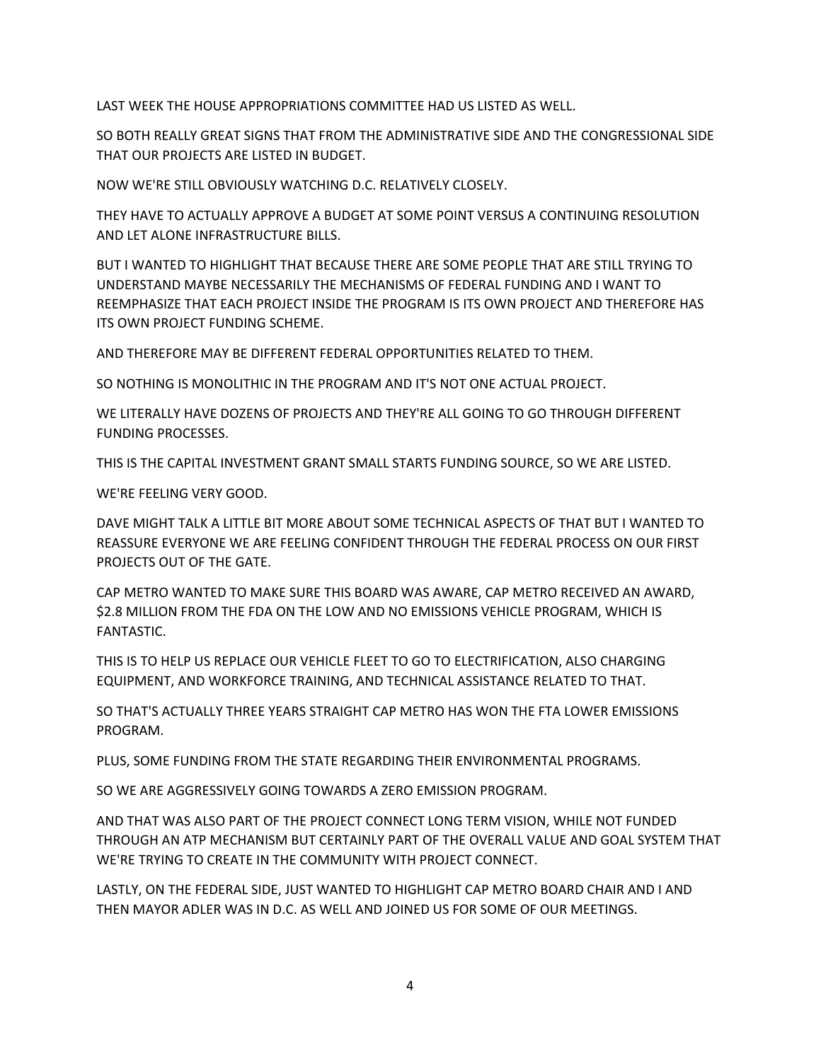LAST WEEK THE HOUSE APPROPRIATIONS COMMITTEE HAD US LISTED AS WELL.

SO BOTH REALLY GREAT SIGNS THAT FROM THE ADMINISTRATIVE SIDE AND THE CONGRESSIONAL SIDE THAT OUR PROJECTS ARE LISTED IN BUDGET.

NOW WE'RE STILL OBVIOUSLY WATCHING D.C. RELATIVELY CLOSELY.

THEY HAVE TO ACTUALLY APPROVE A BUDGET AT SOME POINT VERSUS A CONTINUING RESOLUTION AND LET ALONE INFRASTRUCTURE BILLS.

BUT I WANTED TO HIGHLIGHT THAT BECAUSE THERE ARE SOME PEOPLE THAT ARE STILL TRYING TO UNDERSTAND MAYBE NECESSARILY THE MECHANISMS OF FEDERAL FUNDING AND I WANT TO REEMPHASIZE THAT EACH PROJECT INSIDE THE PROGRAM IS ITS OWN PROJECT AND THEREFORE HAS ITS OWN PROJECT FUNDING SCHEME.

AND THEREFORE MAY BE DIFFERENT FEDERAL OPPORTUNITIES RELATED TO THEM.

SO NOTHING IS MONOLITHIC IN THE PROGRAM AND IT'S NOT ONE ACTUAL PROJECT.

WE LITERALLY HAVE DOZENS OF PROJECTS AND THEY'RE ALL GOING TO GO THROUGH DIFFERENT FUNDING PROCESSES.

THIS IS THE CAPITAL INVESTMENT GRANT SMALL STARTS FUNDING SOURCE, SO WE ARE LISTED.

WE'RE FEELING VERY GOOD.

DAVE MIGHT TALK A LITTLE BIT MORE ABOUT SOME TECHNICAL ASPECTS OF THAT BUT I WANTED TO REASSURE EVERYONE WE ARE FEELING CONFIDENT THROUGH THE FEDERAL PROCESS ON OUR FIRST PROJECTS OUT OF THE GATE.

CAP METRO WANTED TO MAKE SURE THIS BOARD WAS AWARE, CAP METRO RECEIVED AN AWARD, \$2.8 MILLION FROM THE FDA ON THE LOW AND NO EMISSIONS VEHICLE PROGRAM, WHICH IS FANTASTIC.

THIS IS TO HELP US REPLACE OUR VEHICLE FLEET TO GO TO ELECTRIFICATION, ALSO CHARGING EQUIPMENT, AND WORKFORCE TRAINING, AND TECHNICAL ASSISTANCE RELATED TO THAT.

SO THAT'S ACTUALLY THREE YEARS STRAIGHT CAP METRO HAS WON THE FTA LOWER EMISSIONS PROGRAM.

PLUS, SOME FUNDING FROM THE STATE REGARDING THEIR ENVIRONMENTAL PROGRAMS.

SO WE ARE AGGRESSIVELY GOING TOWARDS A ZERO EMISSION PROGRAM.

AND THAT WAS ALSO PART OF THE PROJECT CONNECT LONG TERM VISION, WHILE NOT FUNDED THROUGH AN ATP MECHANISM BUT CERTAINLY PART OF THE OVERALL VALUE AND GOAL SYSTEM THAT WE'RE TRYING TO CREATE IN THE COMMUNITY WITH PROJECT CONNECT.

LASTLY, ON THE FEDERAL SIDE, JUST WANTED TO HIGHLIGHT CAP METRO BOARD CHAIR AND I AND THEN MAYOR ADLER WAS IN D.C. AS WELL AND JOINED US FOR SOME OF OUR MEETINGS.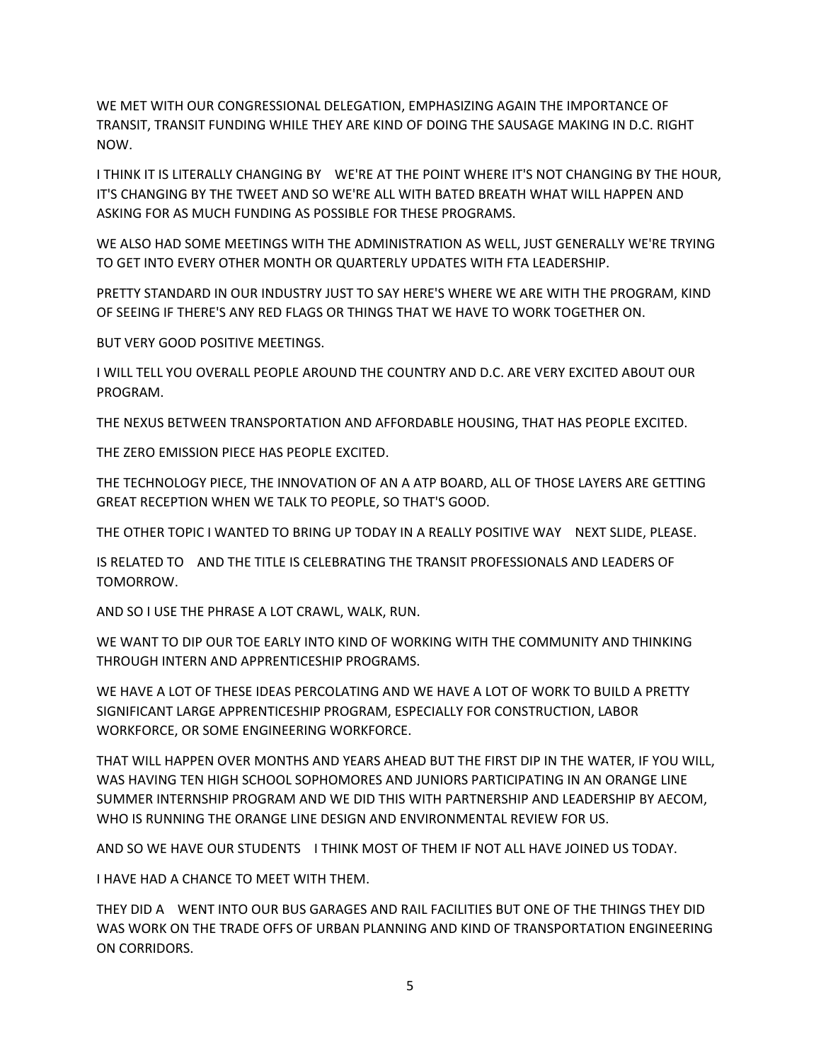WE MET WITH OUR CONGRESSIONAL DELEGATION, EMPHASIZING AGAIN THE IMPORTANCE OF TRANSIT, TRANSIT FUNDING WHILE THEY ARE KIND OF DOING THE SAUSAGE MAKING IN D.C. RIGHT NOW.

I THINK IT IS LITERALLY CHANGING BY WE'RE AT THE POINT WHERE IT'S NOT CHANGING BY THE HOUR, IT'S CHANGING BY THE TWEET AND SO WE'RE ALL WITH BATED BREATH WHAT WILL HAPPEN AND ASKING FOR AS MUCH FUNDING AS POSSIBLE FOR THESE PROGRAMS.

WE ALSO HAD SOME MEETINGS WITH THE ADMINISTRATION AS WELL, JUST GENERALLY WE'RE TRYING TO GET INTO EVERY OTHER MONTH OR QUARTERLY UPDATES WITH FTA LEADERSHIP.

PRETTY STANDARD IN OUR INDUSTRY JUST TO SAY HERE'S WHERE WE ARE WITH THE PROGRAM, KIND OF SEEING IF THERE'S ANY RED FLAGS OR THINGS THAT WE HAVE TO WORK TOGETHER ON.

BUT VERY GOOD POSITIVE MEETINGS.

I WILL TELL YOU OVERALL PEOPLE AROUND THE COUNTRY AND D.C. ARE VERY EXCITED ABOUT OUR PROGRAM.

THE NEXUS BETWEEN TRANSPORTATION AND AFFORDABLE HOUSING, THAT HAS PEOPLE EXCITED.

THE ZERO EMISSION PIECE HAS PEOPLE EXCITED.

THE TECHNOLOGY PIECE, THE INNOVATION OF AN A ATP BOARD, ALL OF THOSE LAYERS ARE GETTING GREAT RECEPTION WHEN WE TALK TO PEOPLE, SO THAT'S GOOD.

THE OTHER TOPIC I WANTED TO BRING UP TODAY IN A REALLY POSITIVE WAY NEXT SLIDE, PLEASE.

IS RELATED TO AND THE TITLE IS CELEBRATING THE TRANSIT PROFESSIONALS AND LEADERS OF TOMORROW.

AND SO I USE THE PHRASE A LOT CRAWL, WALK, RUN.

WE WANT TO DIP OUR TOE EARLY INTO KIND OF WORKING WITH THE COMMUNITY AND THINKING THROUGH INTERN AND APPRENTICESHIP PROGRAMS.

WE HAVE A LOT OF THESE IDEAS PERCOLATING AND WE HAVE A LOT OF WORK TO BUILD A PRETTY SIGNIFICANT LARGE APPRENTICESHIP PROGRAM, ESPECIALLY FOR CONSTRUCTION, LABOR WORKFORCE, OR SOME ENGINEERING WORKFORCE.

THAT WILL HAPPEN OVER MONTHS AND YEARS AHEAD BUT THE FIRST DIP IN THE WATER, IF YOU WILL, WAS HAVING TEN HIGH SCHOOL SOPHOMORES AND JUNIORS PARTICIPATING IN AN ORANGE LINE SUMMER INTERNSHIP PROGRAM AND WE DID THIS WITH PARTNERSHIP AND LEADERSHIP BY AECOM, WHO IS RUNNING THE ORANGE LINE DESIGN AND ENVIRONMENTAL REVIEW FOR US.

AND SO WE HAVE OUR STUDENTS I THINK MOST OF THEM IF NOT ALL HAVE JOINED US TODAY.

I HAVE HAD A CHANCE TO MEET WITH THEM.

THEY DID A WENT INTO OUR BUS GARAGES AND RAIL FACILITIES BUT ONE OF THE THINGS THEY DID WAS WORK ON THE TRADE OFFS OF URBAN PLANNING AND KIND OF TRANSPORTATION ENGINEERING ON CORRIDORS.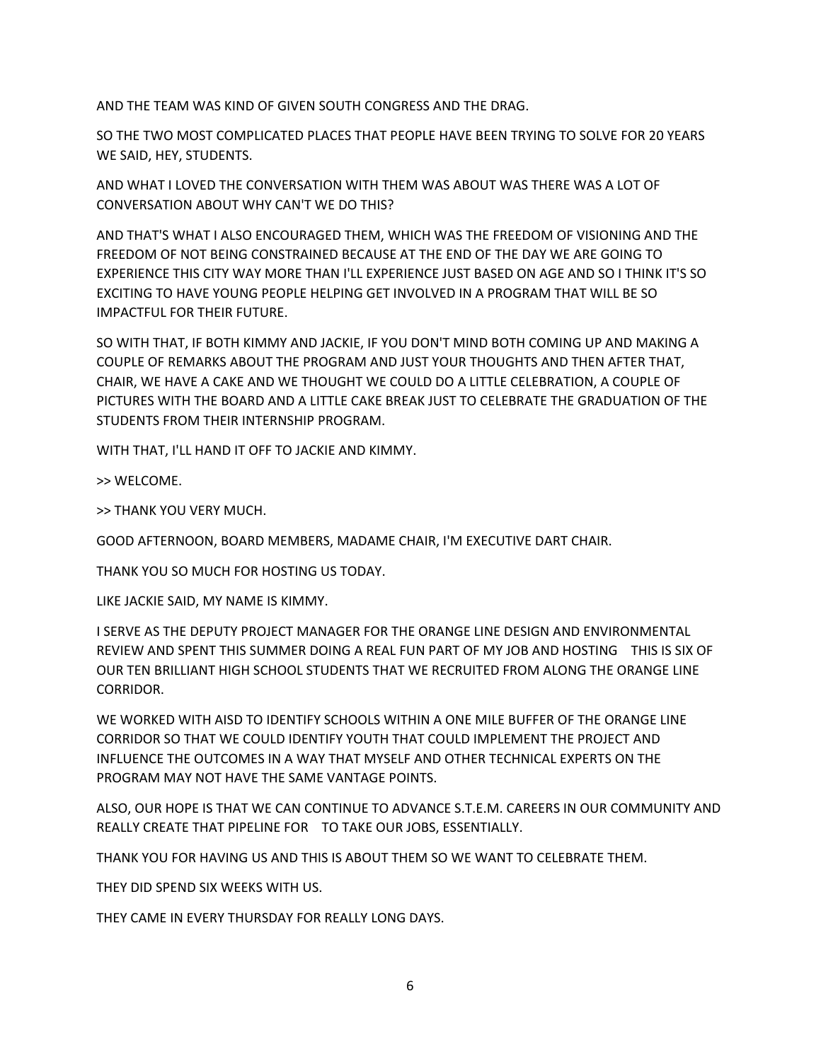AND THE TEAM WAS KIND OF GIVEN SOUTH CONGRESS AND THE DRAG.

SO THE TWO MOST COMPLICATED PLACES THAT PEOPLE HAVE BEEN TRYING TO SOLVE FOR 20 YEARS WE SAID, HEY, STUDENTS.

AND WHAT I LOVED THE CONVERSATION WITH THEM WAS ABOUT WAS THERE WAS A LOT OF CONVERSATION ABOUT WHY CAN'T WE DO THIS?

AND THAT'S WHAT I ALSO ENCOURAGED THEM, WHICH WAS THE FREEDOM OF VISIONING AND THE FREEDOM OF NOT BEING CONSTRAINED BECAUSE AT THE END OF THE DAY WE ARE GOING TO EXPERIENCE THIS CITY WAY MORE THAN I'LL EXPERIENCE JUST BASED ON AGE AND SO I THINK IT'S SO EXCITING TO HAVE YOUNG PEOPLE HELPING GET INVOLVED IN A PROGRAM THAT WILL BE SO IMPACTFUL FOR THEIR FUTURE.

SO WITH THAT, IF BOTH KIMMY AND JACKIE, IF YOU DON'T MIND BOTH COMING UP AND MAKING A COUPLE OF REMARKS ABOUT THE PROGRAM AND JUST YOUR THOUGHTS AND THEN AFTER THAT, CHAIR, WE HAVE A CAKE AND WE THOUGHT WE COULD DO A LITTLE CELEBRATION, A COUPLE OF PICTURES WITH THE BOARD AND A LITTLE CAKE BREAK JUST TO CELEBRATE THE GRADUATION OF THE STUDENTS FROM THEIR INTERNSHIP PROGRAM.

WITH THAT, I'LL HAND IT OFF TO JACKIE AND KIMMY.

>> WELCOME.

>> THANK YOU VERY MUCH.

GOOD AFTERNOON, BOARD MEMBERS, MADAME CHAIR, I'M EXECUTIVE DART CHAIR.

THANK YOU SO MUCH FOR HOSTING US TODAY.

LIKE JACKIE SAID, MY NAME IS KIMMY.

I SERVE AS THE DEPUTY PROJECT MANAGER FOR THE ORANGE LINE DESIGN AND ENVIRONMENTAL REVIEW AND SPENT THIS SUMMER DOING A REAL FUN PART OF MY JOB AND HOSTING THIS IS SIX OF OUR TEN BRILLIANT HIGH SCHOOL STUDENTS THAT WE RECRUITED FROM ALONG THE ORANGE LINE CORRIDOR.

WE WORKED WITH AISD TO IDENTIFY SCHOOLS WITHIN A ONE MILE BUFFER OF THE ORANGE LINE CORRIDOR SO THAT WE COULD IDENTIFY YOUTH THAT COULD IMPLEMENT THE PROJECT AND INFLUENCE THE OUTCOMES IN A WAY THAT MYSELF AND OTHER TECHNICAL EXPERTS ON THE PROGRAM MAY NOT HAVE THE SAME VANTAGE POINTS.

ALSO, OUR HOPE IS THAT WE CAN CONTINUE TO ADVANCE S.T.E.M. CAREERS IN OUR COMMUNITY AND REALLY CREATE THAT PIPELINE FOR TO TAKE OUR JOBS, ESSENTIALLY.

THANK YOU FOR HAVING US AND THIS IS ABOUT THEM SO WE WANT TO CELEBRATE THEM.

THEY DID SPEND SIX WEEKS WITH US.

THEY CAME IN EVERY THURSDAY FOR REALLY LONG DAYS.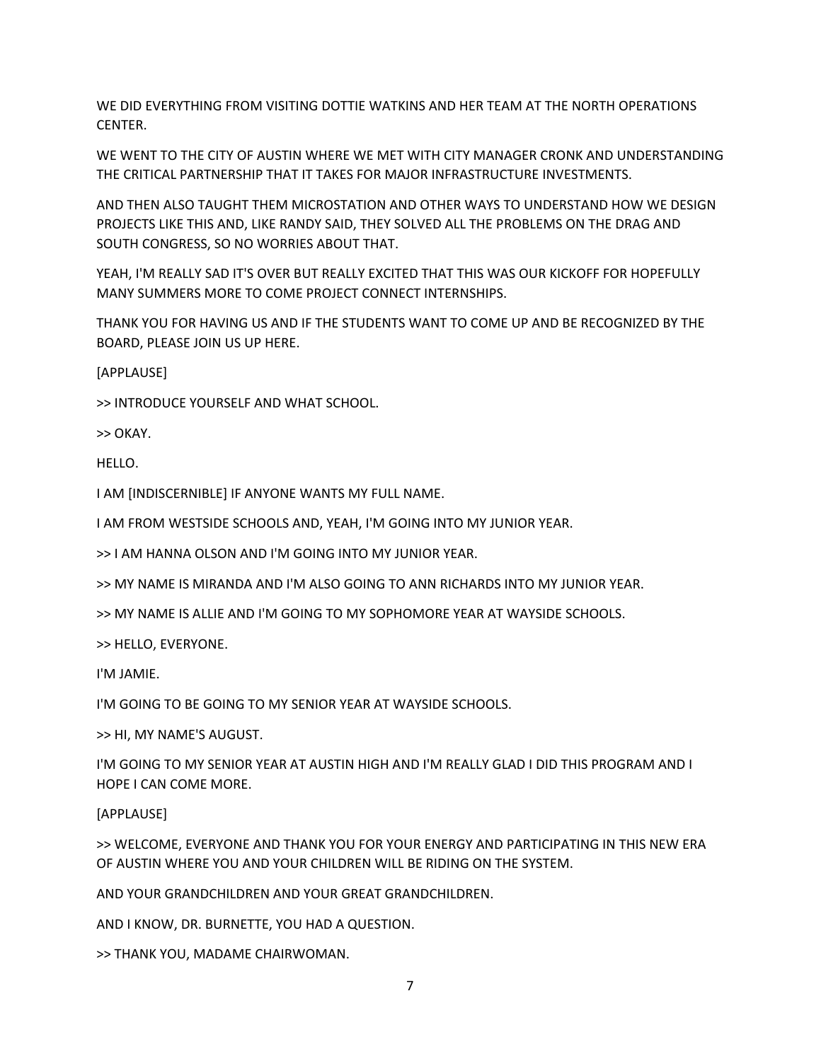WE DID EVERYTHING FROM VISITING DOTTIE WATKINS AND HER TEAM AT THE NORTH OPERATIONS CENTER.

WE WENT TO THE CITY OF AUSTIN WHERE WE MET WITH CITY MANAGER CRONK AND UNDERSTANDING THE CRITICAL PARTNERSHIP THAT IT TAKES FOR MAJOR INFRASTRUCTURE INVESTMENTS.

AND THEN ALSO TAUGHT THEM MICROSTATION AND OTHER WAYS TO UNDERSTAND HOW WE DESIGN PROJECTS LIKE THIS AND, LIKE RANDY SAID, THEY SOLVED ALL THE PROBLEMS ON THE DRAG AND SOUTH CONGRESS, SO NO WORRIES ABOUT THAT.

YEAH, I'M REALLY SAD IT'S OVER BUT REALLY EXCITED THAT THIS WAS OUR KICKOFF FOR HOPEFULLY MANY SUMMERS MORE TO COME PROJECT CONNECT INTERNSHIPS.

THANK YOU FOR HAVING US AND IF THE STUDENTS WANT TO COME UP AND BE RECOGNIZED BY THE BOARD, PLEASE JOIN US UP HERE.

[APPLAUSE]

>> INTRODUCE YOURSELF AND WHAT SCHOOL.

>> OKAY.

HELLO.

I AM [INDISCERNIBLE] IF ANYONE WANTS MY FULL NAME.

I AM FROM WESTSIDE SCHOOLS AND, YEAH, I'M GOING INTO MY JUNIOR YEAR.

>> I AM HANNA OLSON AND I'M GOING INTO MY JUNIOR YEAR.

>> MY NAME IS MIRANDA AND I'M ALSO GOING TO ANN RICHARDS INTO MY JUNIOR YEAR.

>> MY NAME IS ALLIE AND I'M GOING TO MY SOPHOMORE YEAR AT WAYSIDE SCHOOLS.

>> HELLO, EVERYONE.

I'M JAMIE.

I'M GOING TO BE GOING TO MY SENIOR YEAR AT WAYSIDE SCHOOLS.

>> HI, MY NAME'S AUGUST.

I'M GOING TO MY SENIOR YEAR AT AUSTIN HIGH AND I'M REALLY GLAD I DID THIS PROGRAM AND I HOPE I CAN COME MORE.

[APPLAUSE]

>> WELCOME, EVERYONE AND THANK YOU FOR YOUR ENERGY AND PARTICIPATING IN THIS NEW ERA OF AUSTIN WHERE YOU AND YOUR CHILDREN WILL BE RIDING ON THE SYSTEM.

AND YOUR GRANDCHILDREN AND YOUR GREAT GRANDCHILDREN.

AND I KNOW, DR. BURNETTE, YOU HAD A QUESTION.

>> THANK YOU, MADAME CHAIRWOMAN.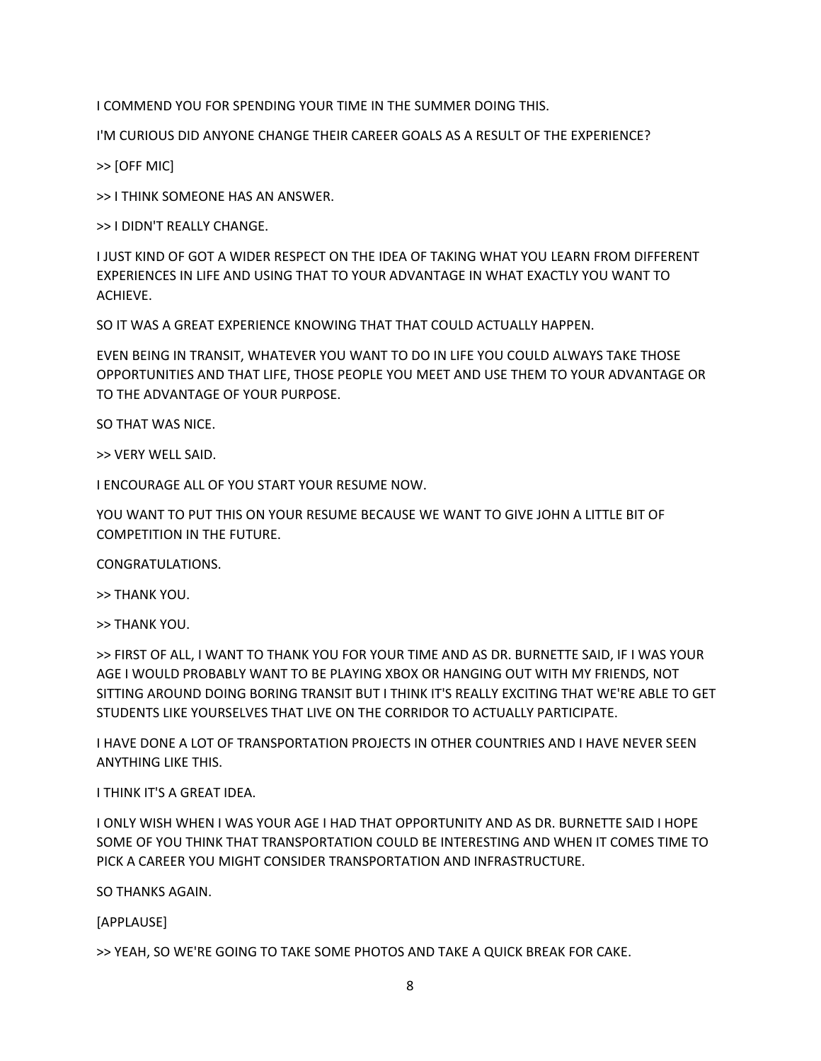I COMMEND YOU FOR SPENDING YOUR TIME IN THE SUMMER DOING THIS.

I'M CURIOUS DID ANYONE CHANGE THEIR CAREER GOALS AS A RESULT OF THE EXPERIENCE?

>> [OFF MIC]

>> I THINK SOMEONE HAS AN ANSWER.

>> I DIDN'T REALLY CHANGE.

I JUST KIND OF GOT A WIDER RESPECT ON THE IDEA OF TAKING WHAT YOU LEARN FROM DIFFERENT EXPERIENCES IN LIFE AND USING THAT TO YOUR ADVANTAGE IN WHAT EXACTLY YOU WANT TO ACHIEVE.

SO IT WAS A GREAT EXPERIENCE KNOWING THAT THAT COULD ACTUALLY HAPPEN.

EVEN BEING IN TRANSIT, WHATEVER YOU WANT TO DO IN LIFE YOU COULD ALWAYS TAKE THOSE OPPORTUNITIES AND THAT LIFE, THOSE PEOPLE YOU MEET AND USE THEM TO YOUR ADVANTAGE OR TO THE ADVANTAGE OF YOUR PURPOSE.

SO THAT WAS NICE.

>> VERY WELL SAID.

I ENCOURAGE ALL OF YOU START YOUR RESUME NOW.

YOU WANT TO PUT THIS ON YOUR RESUME BECAUSE WE WANT TO GIVE JOHN A LITTLE BIT OF COMPETITION IN THE FUTURE.

CONGRATULATIONS.

>> THANK YOU.

>> THANK YOU.

>> FIRST OF ALL, I WANT TO THANK YOU FOR YOUR TIME AND AS DR. BURNETTE SAID, IF I WAS YOUR AGE I WOULD PROBABLY WANT TO BE PLAYING XBOX OR HANGING OUT WITH MY FRIENDS, NOT SITTING AROUND DOING BORING TRANSIT BUT I THINK IT'S REALLY EXCITING THAT WE'RE ABLE TO GET STUDENTS LIKE YOURSELVES THAT LIVE ON THE CORRIDOR TO ACTUALLY PARTICIPATE.

I HAVE DONE A LOT OF TRANSPORTATION PROJECTS IN OTHER COUNTRIES AND I HAVE NEVER SEEN ANYTHING LIKE THIS.

## I THINK IT'S A GREAT IDEA.

I ONLY WISH WHEN I WAS YOUR AGE I HAD THAT OPPORTUNITY AND AS DR. BURNETTE SAID I HOPE SOME OF YOU THINK THAT TRANSPORTATION COULD BE INTERESTING AND WHEN IT COMES TIME TO PICK A CAREER YOU MIGHT CONSIDER TRANSPORTATION AND INFRASTRUCTURE.

SO THANKS AGAIN.

[APPLAUSE]

>> YEAH, SO WE'RE GOING TO TAKE SOME PHOTOS AND TAKE A QUICK BREAK FOR CAKE.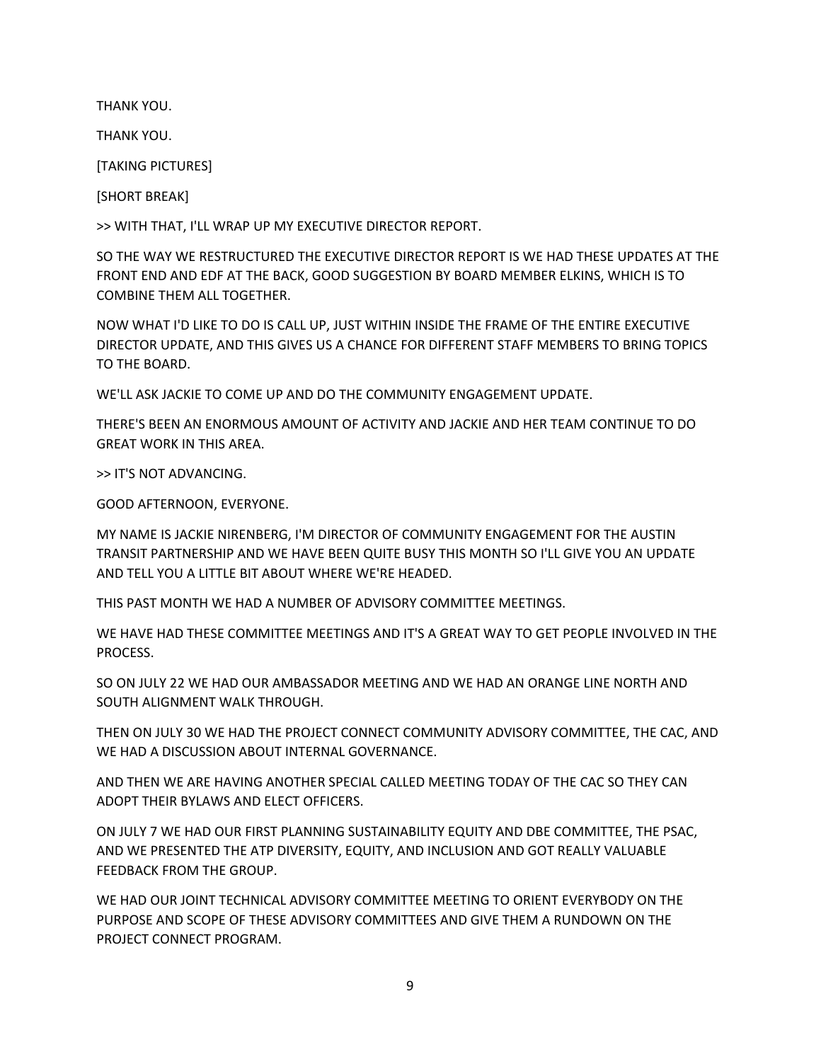THANK YOU.

THANK YOU.

[TAKING PICTURES]

[SHORT BREAK]

>> WITH THAT, I'LL WRAP UP MY EXECUTIVE DIRECTOR REPORT.

SO THE WAY WE RESTRUCTURED THE EXECUTIVE DIRECTOR REPORT IS WE HAD THESE UPDATES AT THE FRONT END AND EDF AT THE BACK, GOOD SUGGESTION BY BOARD MEMBER ELKINS, WHICH IS TO COMBINE THEM ALL TOGETHER.

NOW WHAT I'D LIKE TO DO IS CALL UP, JUST WITHIN INSIDE THE FRAME OF THE ENTIRE EXECUTIVE DIRECTOR UPDATE, AND THIS GIVES US A CHANCE FOR DIFFERENT STAFF MEMBERS TO BRING TOPICS TO THE BOARD.

WE'LL ASK JACKIE TO COME UP AND DO THE COMMUNITY ENGAGEMENT UPDATE.

THERE'S BEEN AN ENORMOUS AMOUNT OF ACTIVITY AND JACKIE AND HER TEAM CONTINUE TO DO GREAT WORK IN THIS AREA.

>> IT'S NOT ADVANCING.

GOOD AFTERNOON, EVERYONE.

MY NAME IS JACKIE NIRENBERG, I'M DIRECTOR OF COMMUNITY ENGAGEMENT FOR THE AUSTIN TRANSIT PARTNERSHIP AND WE HAVE BEEN QUITE BUSY THIS MONTH SO I'LL GIVE YOU AN UPDATE AND TELL YOU A LITTLE BIT ABOUT WHERE WE'RE HEADED.

THIS PAST MONTH WE HAD A NUMBER OF ADVISORY COMMITTEE MEETINGS.

WE HAVE HAD THESE COMMITTEE MEETINGS AND IT'S A GREAT WAY TO GET PEOPLE INVOLVED IN THE PROCESS.

SO ON JULY 22 WE HAD OUR AMBASSADOR MEETING AND WE HAD AN ORANGE LINE NORTH AND SOUTH ALIGNMENT WALK THROUGH.

THEN ON JULY 30 WE HAD THE PROJECT CONNECT COMMUNITY ADVISORY COMMITTEE, THE CAC, AND WE HAD A DISCUSSION ABOUT INTERNAL GOVERNANCE.

AND THEN WE ARE HAVING ANOTHER SPECIAL CALLED MEETING TODAY OF THE CAC SO THEY CAN ADOPT THEIR BYLAWS AND ELECT OFFICERS.

ON JULY 7 WE HAD OUR FIRST PLANNING SUSTAINABILITY EQUITY AND DBE COMMITTEE, THE PSAC, AND WE PRESENTED THE ATP DIVERSITY, EQUITY, AND INCLUSION AND GOT REALLY VALUABLE FEEDBACK FROM THE GROUP.

WE HAD OUR JOINT TECHNICAL ADVISORY COMMITTEE MEETING TO ORIENT EVERYBODY ON THE PURPOSE AND SCOPE OF THESE ADVISORY COMMITTEES AND GIVE THEM A RUNDOWN ON THE PROJECT CONNECT PROGRAM.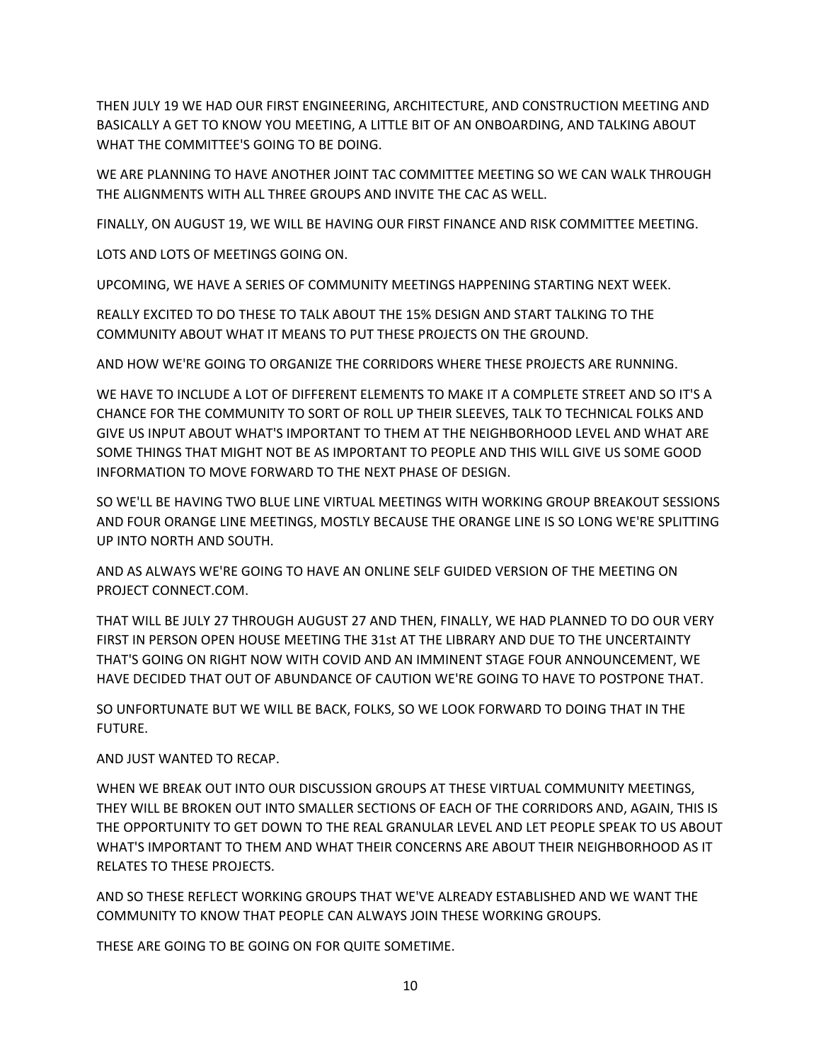THEN JULY 19 WE HAD OUR FIRST ENGINEERING, ARCHITECTURE, AND CONSTRUCTION MEETING AND BASICALLY A GET TO KNOW YOU MEETING, A LITTLE BIT OF AN ONBOARDING, AND TALKING ABOUT WHAT THE COMMITTEE'S GOING TO BE DOING.

WE ARE PLANNING TO HAVE ANOTHER JOINT TAC COMMITTEE MEETING SO WE CAN WALK THROUGH THE ALIGNMENTS WITH ALL THREE GROUPS AND INVITE THE CAC AS WELL.

FINALLY, ON AUGUST 19, WE WILL BE HAVING OUR FIRST FINANCE AND RISK COMMITTEE MEETING.

LOTS AND LOTS OF MEETINGS GOING ON.

UPCOMING, WE HAVE A SERIES OF COMMUNITY MEETINGS HAPPENING STARTING NEXT WEEK.

REALLY EXCITED TO DO THESE TO TALK ABOUT THE 15% DESIGN AND START TALKING TO THE COMMUNITY ABOUT WHAT IT MEANS TO PUT THESE PROJECTS ON THE GROUND.

AND HOW WE'RE GOING TO ORGANIZE THE CORRIDORS WHERE THESE PROJECTS ARE RUNNING.

WE HAVE TO INCLUDE A LOT OF DIFFERENT ELEMENTS TO MAKE IT A COMPLETE STREET AND SO IT'S A CHANCE FOR THE COMMUNITY TO SORT OF ROLL UP THEIR SLEEVES, TALK TO TECHNICAL FOLKS AND GIVE US INPUT ABOUT WHAT'S IMPORTANT TO THEM AT THE NEIGHBORHOOD LEVEL AND WHAT ARE SOME THINGS THAT MIGHT NOT BE AS IMPORTANT TO PEOPLE AND THIS WILL GIVE US SOME GOOD INFORMATION TO MOVE FORWARD TO THE NEXT PHASE OF DESIGN.

SO WE'LL BE HAVING TWO BLUE LINE VIRTUAL MEETINGS WITH WORKING GROUP BREAKOUT SESSIONS AND FOUR ORANGE LINE MEETINGS, MOSTLY BECAUSE THE ORANGE LINE IS SO LONG WE'RE SPLITTING UP INTO NORTH AND SOUTH.

AND AS ALWAYS WE'RE GOING TO HAVE AN ONLINE SELF GUIDED VERSION OF THE MEETING ON PROJECT CONNECT.COM.

THAT WILL BE JULY 27 THROUGH AUGUST 27 AND THEN, FINALLY, WE HAD PLANNED TO DO OUR VERY FIRST IN PERSON OPEN HOUSE MEETING THE 31st AT THE LIBRARY AND DUE TO THE UNCERTAINTY THAT'S GOING ON RIGHT NOW WITH COVID AND AN IMMINENT STAGE FOUR ANNOUNCEMENT, WE HAVE DECIDED THAT OUT OF ABUNDANCE OF CAUTION WE'RE GOING TO HAVE TO POSTPONE THAT.

SO UNFORTUNATE BUT WE WILL BE BACK, FOLKS, SO WE LOOK FORWARD TO DOING THAT IN THE FUTURE.

AND JUST WANTED TO RECAP.

WHEN WE BREAK OUT INTO OUR DISCUSSION GROUPS AT THESE VIRTUAL COMMUNITY MEETINGS, THEY WILL BE BROKEN OUT INTO SMALLER SECTIONS OF EACH OF THE CORRIDORS AND, AGAIN, THIS IS THE OPPORTUNITY TO GET DOWN TO THE REAL GRANULAR LEVEL AND LET PEOPLE SPEAK TO US ABOUT WHAT'S IMPORTANT TO THEM AND WHAT THEIR CONCERNS ARE ABOUT THEIR NEIGHBORHOOD AS IT RELATES TO THESE PROJECTS.

AND SO THESE REFLECT WORKING GROUPS THAT WE'VE ALREADY ESTABLISHED AND WE WANT THE COMMUNITY TO KNOW THAT PEOPLE CAN ALWAYS JOIN THESE WORKING GROUPS.

THESE ARE GOING TO BE GOING ON FOR QUITE SOMETIME.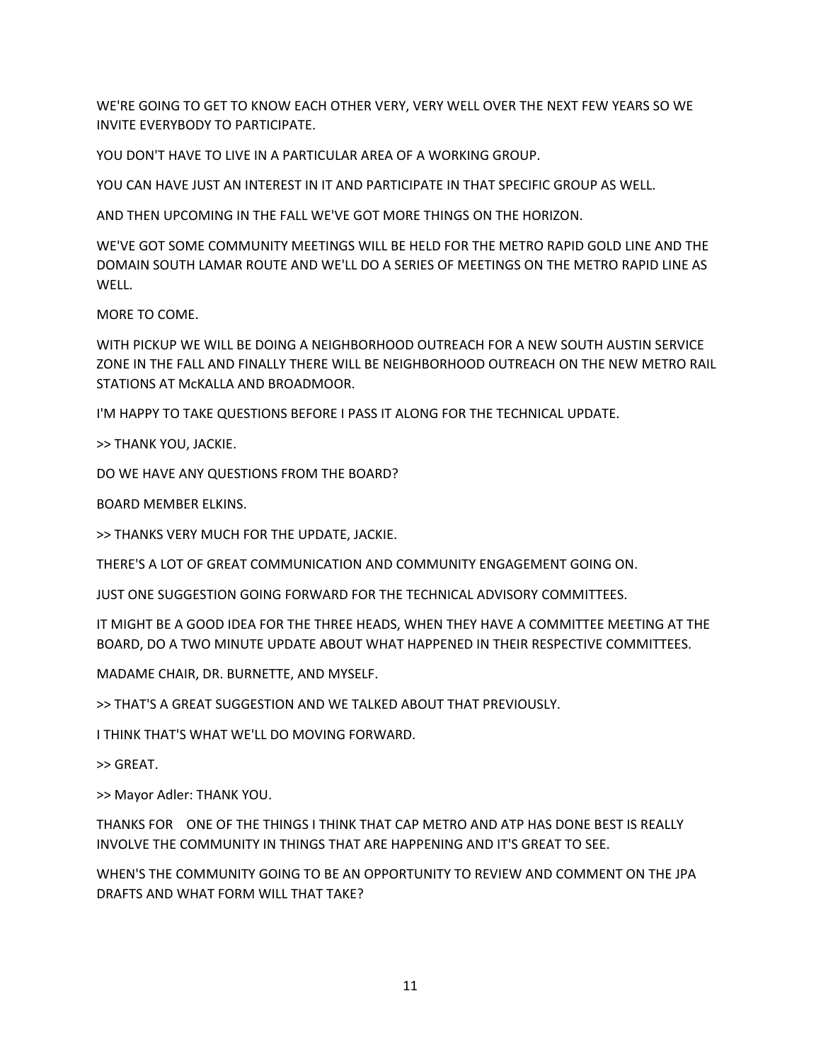WE'RE GOING TO GET TO KNOW EACH OTHER VERY, VERY WELL OVER THE NEXT FEW YEARS SO WE INVITE EVERYBODY TO PARTICIPATE.

YOU DON'T HAVE TO LIVE IN A PARTICULAR AREA OF A WORKING GROUP.

YOU CAN HAVE JUST AN INTEREST IN IT AND PARTICIPATE IN THAT SPECIFIC GROUP AS WELL.

AND THEN UPCOMING IN THE FALL WE'VE GOT MORE THINGS ON THE HORIZON.

WE'VE GOT SOME COMMUNITY MEETINGS WILL BE HELD FOR THE METRO RAPID GOLD LINE AND THE DOMAIN SOUTH LAMAR ROUTE AND WE'LL DO A SERIES OF MEETINGS ON THE METRO RAPID LINE AS WELL.

MORE TO COME.

WITH PICKUP WE WILL BE DOING A NEIGHBORHOOD OUTREACH FOR A NEW SOUTH AUSTIN SERVICE ZONE IN THE FALL AND FINALLY THERE WILL BE NEIGHBORHOOD OUTREACH ON THE NEW METRO RAIL STATIONS AT McKALLA AND BROADMOOR.

I'M HAPPY TO TAKE QUESTIONS BEFORE I PASS IT ALONG FOR THE TECHNICAL UPDATE.

>> THANK YOU, JACKIE.

DO WE HAVE ANY QUESTIONS FROM THE BOARD?

BOARD MEMBER ELKINS.

>> THANKS VERY MUCH FOR THE UPDATE, JACKIE.

THERE'S A LOT OF GREAT COMMUNICATION AND COMMUNITY ENGAGEMENT GOING ON.

JUST ONE SUGGESTION GOING FORWARD FOR THE TECHNICAL ADVISORY COMMITTEES.

IT MIGHT BE A GOOD IDEA FOR THE THREE HEADS, WHEN THEY HAVE A COMMITTEE MEETING AT THE BOARD, DO A TWO MINUTE UPDATE ABOUT WHAT HAPPENED IN THEIR RESPECTIVE COMMITTEES.

MADAME CHAIR, DR. BURNETTE, AND MYSELF.

>> THAT'S A GREAT SUGGESTION AND WE TALKED ABOUT THAT PREVIOUSLY.

I THINK THAT'S WHAT WE'LL DO MOVING FORWARD.

>> GREAT.

>> Mayor Adler: THANK YOU.

THANKS FOR ONE OF THE THINGS I THINK THAT CAP METRO AND ATP HAS DONE BEST IS REALLY INVOLVE THE COMMUNITY IN THINGS THAT ARE HAPPENING AND IT'S GREAT TO SEE.

WHEN'S THE COMMUNITY GOING TO BE AN OPPORTUNITY TO REVIEW AND COMMENT ON THE JPA DRAFTS AND WHAT FORM WILL THAT TAKE?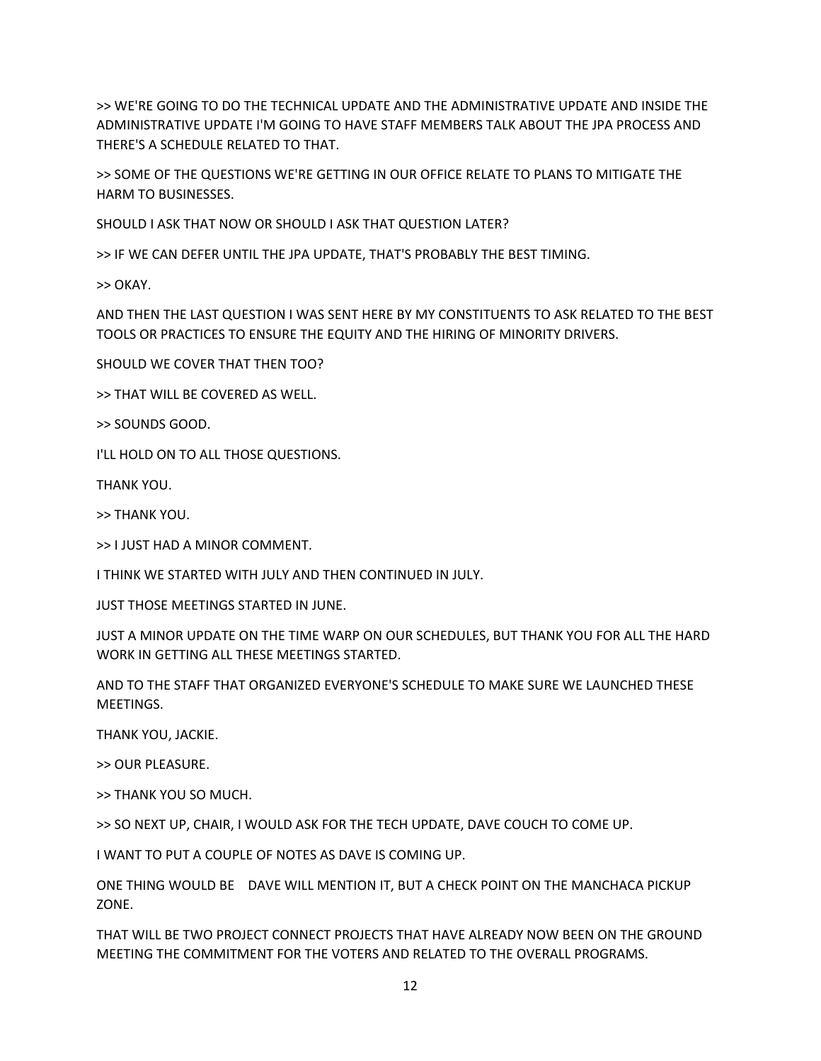>> WE'RE GOING TO DO THE TECHNICAL UPDATE AND THE ADMINISTRATIVE UPDATE AND INSIDE THE ADMINISTRATIVE UPDATE I'M GOING TO HAVE STAFF MEMBERS TALK ABOUT THE JPA PROCESS AND THERE'S A SCHEDULE RELATED TO THAT.

>> SOME OF THE QUESTIONS WE'RE GETTING IN OUR OFFICE RELATE TO PLANS TO MITIGATE THE HARM TO BUSINESSES.

SHOULD I ASK THAT NOW OR SHOULD I ASK THAT QUESTION LATER?

>> IF WE CAN DEFER UNTIL THE JPA UPDATE, THAT'S PROBABLY THE BEST TIMING.

>> OKAY.

AND THEN THE LAST QUESTION I WAS SENT HERE BY MY CONSTITUENTS TO ASK RELATED TO THE BEST TOOLS OR PRACTICES TO ENSURE THE EQUITY AND THE HIRING OF MINORITY DRIVERS.

SHOULD WE COVER THAT THEN TOO?

>> THAT WILL BE COVERED AS WELL.

>> SOUNDS GOOD.

I'LL HOLD ON TO ALL THOSE QUESTIONS.

THANK YOU.

>> THANK YOU.

>> I JUST HAD A MINOR COMMENT.

I THINK WE STARTED WITH JULY AND THEN CONTINUED IN JULY.

JUST THOSE MEETINGS STARTED IN JUNE.

JUST A MINOR UPDATE ON THE TIME WARP ON OUR SCHEDULES, BUT THANK YOU FOR ALL THE HARD WORK IN GETTING ALL THESE MEETINGS STARTED.

AND TO THE STAFF THAT ORGANIZED EVERYONE'S SCHEDULE TO MAKE SURE WE LAUNCHED THESE MEETINGS.

THANK YOU, JACKIE.

>> OUR PLEASURE.

>> THANK YOU SO MUCH.

>> SO NEXT UP, CHAIR, I WOULD ASK FOR THE TECH UPDATE, DAVE COUCH TO COME UP.

I WANT TO PUT A COUPLE OF NOTES AS DAVE IS COMING UP.

ONE THING WOULD BE DAVE WILL MENTION IT, BUT A CHECK POINT ON THE MANCHACA PICKUP ZONE.

THAT WILL BE TWO PROJECT CONNECT PROJECTS THAT HAVE ALREADY NOW BEEN ON THE GROUND MEETING THE COMMITMENT FOR THE VOTERS AND RELATED TO THE OVERALL PROGRAMS.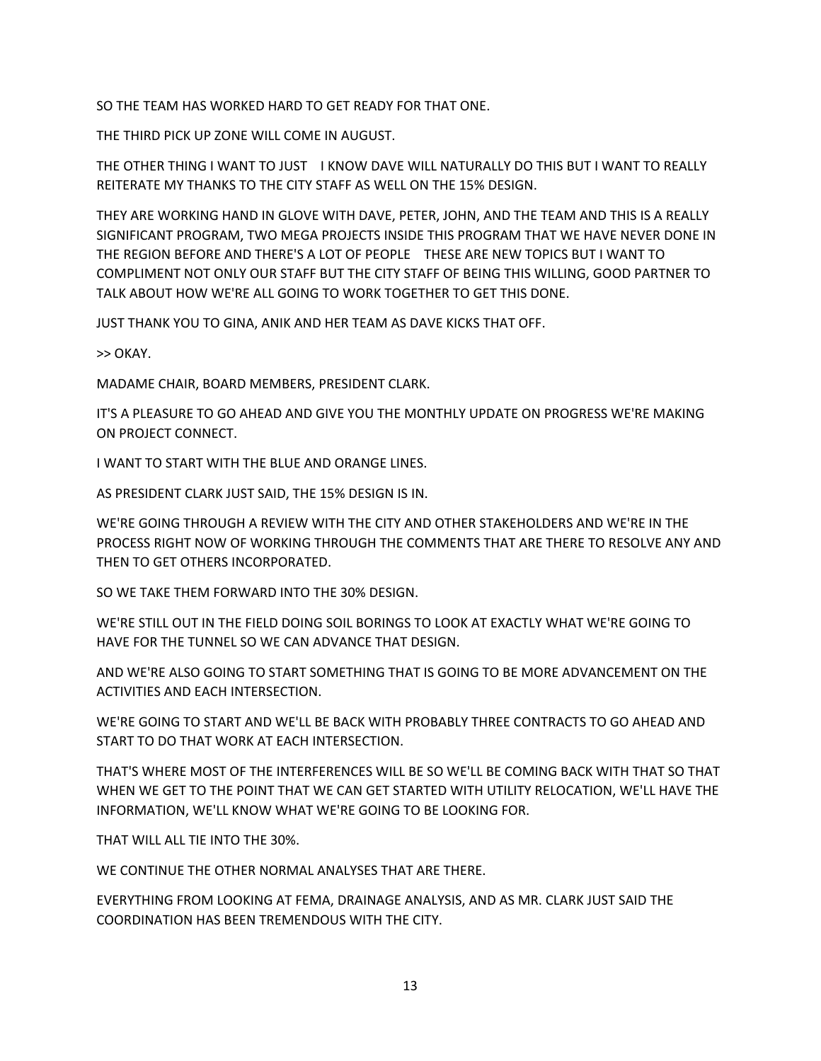SO THE TEAM HAS WORKED HARD TO GET READY FOR THAT ONE.

THE THIRD PICK UP ZONE WILL COME IN AUGUST.

THE OTHER THING I WANT TO JUST I KNOW DAVE WILL NATURALLY DO THIS BUT I WANT TO REALLY REITERATE MY THANKS TO THE CITY STAFF AS WELL ON THE 15% DESIGN.

THEY ARE WORKING HAND IN GLOVE WITH DAVE, PETER, JOHN, AND THE TEAM AND THIS IS A REALLY SIGNIFICANT PROGRAM, TWO MEGA PROJECTS INSIDE THIS PROGRAM THAT WE HAVE NEVER DONE IN THE REGION BEFORE AND THERE'S A LOT OF PEOPLE THESE ARE NEW TOPICS BUT I WANT TO COMPLIMENT NOT ONLY OUR STAFF BUT THE CITY STAFF OF BEING THIS WILLING, GOOD PARTNER TO TALK ABOUT HOW WE'RE ALL GOING TO WORK TOGETHER TO GET THIS DONE.

JUST THANK YOU TO GINA, ANIK AND HER TEAM AS DAVE KICKS THAT OFF.

>> OKAY.

MADAME CHAIR, BOARD MEMBERS, PRESIDENT CLARK.

IT'S A PLEASURE TO GO AHEAD AND GIVE YOU THE MONTHLY UPDATE ON PROGRESS WE'RE MAKING ON PROJECT CONNECT.

I WANT TO START WITH THE BLUE AND ORANGE LINES.

AS PRESIDENT CLARK JUST SAID, THE 15% DESIGN IS IN.

WE'RE GOING THROUGH A REVIEW WITH THE CITY AND OTHER STAKEHOLDERS AND WE'RE IN THE PROCESS RIGHT NOW OF WORKING THROUGH THE COMMENTS THAT ARE THERE TO RESOLVE ANY AND THEN TO GET OTHERS INCORPORATED.

SO WE TAKE THEM FORWARD INTO THE 30% DESIGN.

WE'RE STILL OUT IN THE FIELD DOING SOIL BORINGS TO LOOK AT EXACTLY WHAT WE'RE GOING TO HAVE FOR THE TUNNEL SO WE CAN ADVANCE THAT DESIGN.

AND WE'RE ALSO GOING TO START SOMETHING THAT IS GOING TO BE MORE ADVANCEMENT ON THE ACTIVITIES AND EACH INTERSECTION.

WE'RE GOING TO START AND WE'LL BE BACK WITH PROBABLY THREE CONTRACTS TO GO AHEAD AND START TO DO THAT WORK AT EACH INTERSECTION.

THAT'S WHERE MOST OF THE INTERFERENCES WILL BE SO WE'LL BE COMING BACK WITH THAT SO THAT WHEN WE GET TO THE POINT THAT WE CAN GET STARTED WITH UTILITY RELOCATION, WE'LL HAVE THE INFORMATION, WE'LL KNOW WHAT WE'RE GOING TO BE LOOKING FOR.

THAT WILL ALL TIE INTO THE 30%.

WE CONTINUE THE OTHER NORMAL ANALYSES THAT ARE THERE.

EVERYTHING FROM LOOKING AT FEMA, DRAINAGE ANALYSIS, AND AS MR. CLARK JUST SAID THE COORDINATION HAS BEEN TREMENDOUS WITH THE CITY.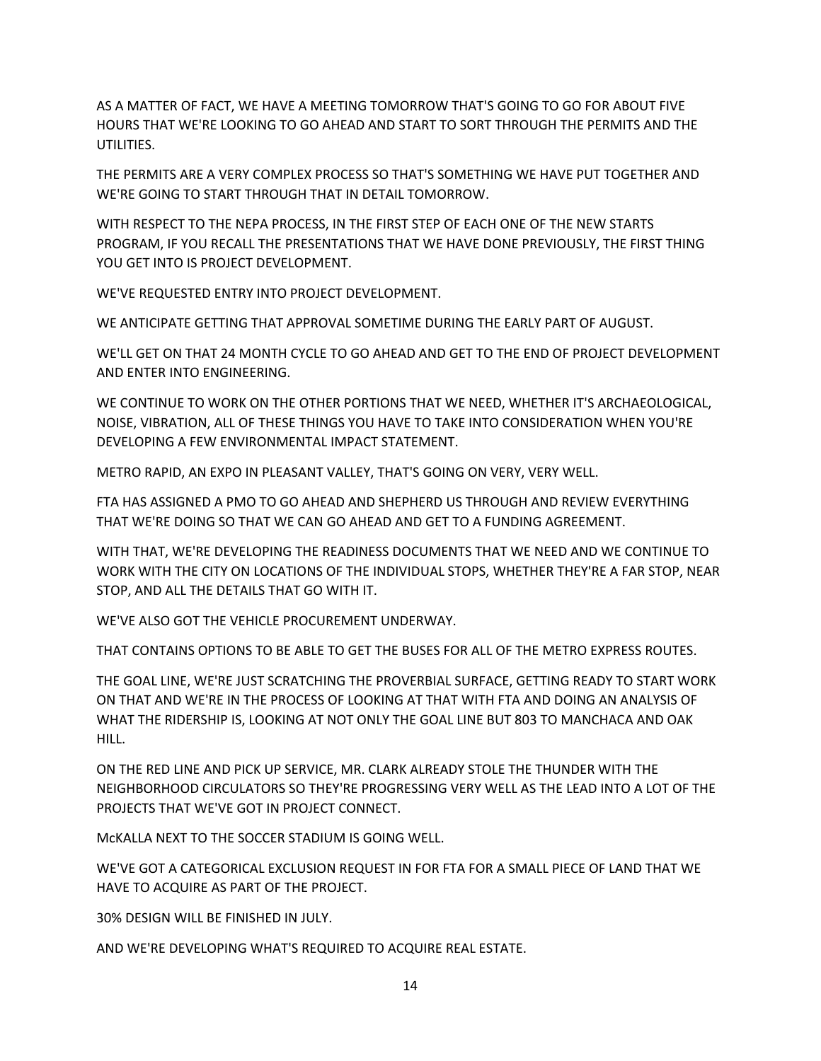AS A MATTER OF FACT, WE HAVE A MEETING TOMORROW THAT'S GOING TO GO FOR ABOUT FIVE HOURS THAT WE'RE LOOKING TO GO AHEAD AND START TO SORT THROUGH THE PERMITS AND THE UTILITIES.

THE PERMITS ARE A VERY COMPLEX PROCESS SO THAT'S SOMETHING WE HAVE PUT TOGETHER AND WE'RE GOING TO START THROUGH THAT IN DETAIL TOMORROW.

WITH RESPECT TO THE NEPA PROCESS, IN THE FIRST STEP OF EACH ONE OF THE NEW STARTS PROGRAM, IF YOU RECALL THE PRESENTATIONS THAT WE HAVE DONE PREVIOUSLY, THE FIRST THING YOU GET INTO IS PROJECT DEVELOPMENT.

WE'VE REQUESTED ENTRY INTO PROJECT DEVELOPMENT.

WE ANTICIPATE GETTING THAT APPROVAL SOMETIME DURING THE EARLY PART OF AUGUST.

WE'LL GET ON THAT 24 MONTH CYCLE TO GO AHEAD AND GET TO THE END OF PROJECT DEVELOPMENT AND ENTER INTO ENGINEERING.

WE CONTINUE TO WORK ON THE OTHER PORTIONS THAT WE NEED, WHETHER IT'S ARCHAEOLOGICAL, NOISE, VIBRATION, ALL OF THESE THINGS YOU HAVE TO TAKE INTO CONSIDERATION WHEN YOU'RE DEVELOPING A FEW ENVIRONMENTAL IMPACT STATEMENT.

METRO RAPID, AN EXPO IN PLEASANT VALLEY, THAT'S GOING ON VERY, VERY WELL.

FTA HAS ASSIGNED A PMO TO GO AHEAD AND SHEPHERD US THROUGH AND REVIEW EVERYTHING THAT WE'RE DOING SO THAT WE CAN GO AHEAD AND GET TO A FUNDING AGREEMENT.

WITH THAT, WE'RE DEVELOPING THE READINESS DOCUMENTS THAT WE NEED AND WE CONTINUE TO WORK WITH THE CITY ON LOCATIONS OF THE INDIVIDUAL STOPS, WHETHER THEY'RE A FAR STOP, NEAR STOP, AND ALL THE DETAILS THAT GO WITH IT.

WE'VE ALSO GOT THE VEHICLE PROCUREMENT UNDERWAY.

THAT CONTAINS OPTIONS TO BE ABLE TO GET THE BUSES FOR ALL OF THE METRO EXPRESS ROUTES.

THE GOAL LINE, WE'RE JUST SCRATCHING THE PROVERBIAL SURFACE, GETTING READY TO START WORK ON THAT AND WE'RE IN THE PROCESS OF LOOKING AT THAT WITH FTA AND DOING AN ANALYSIS OF WHAT THE RIDERSHIP IS, LOOKING AT NOT ONLY THE GOAL LINE BUT 803 TO MANCHACA AND OAK HILL.

ON THE RED LINE AND PICK UP SERVICE, MR. CLARK ALREADY STOLE THE THUNDER WITH THE NEIGHBORHOOD CIRCULATORS SO THEY'RE PROGRESSING VERY WELL AS THE LEAD INTO A LOT OF THE PROJECTS THAT WE'VE GOT IN PROJECT CONNECT.

McKALLA NEXT TO THE SOCCER STADIUM IS GOING WELL.

WE'VE GOT A CATEGORICAL EXCLUSION REQUEST IN FOR FTA FOR A SMALL PIECE OF LAND THAT WE HAVE TO ACQUIRE AS PART OF THE PROJECT.

30% DESIGN WILL BE FINISHED IN JULY.

AND WE'RE DEVELOPING WHAT'S REQUIRED TO ACQUIRE REAL ESTATE.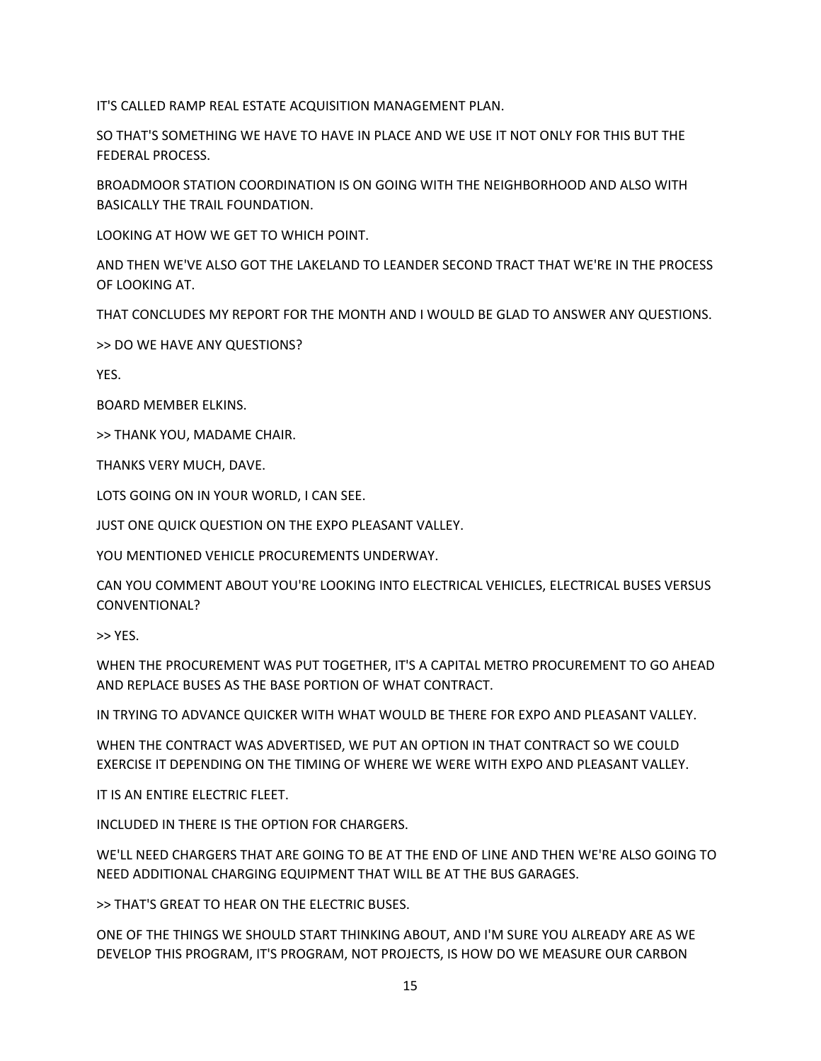IT'S CALLED RAMP REAL ESTATE ACQUISITION MANAGEMENT PLAN.

SO THAT'S SOMETHING WE HAVE TO HAVE IN PLACE AND WE USE IT NOT ONLY FOR THIS BUT THE FEDERAL PROCESS.

BROADMOOR STATION COORDINATION IS ON GOING WITH THE NEIGHBORHOOD AND ALSO WITH BASICALLY THE TRAIL FOUNDATION.

LOOKING AT HOW WE GET TO WHICH POINT.

AND THEN WE'VE ALSO GOT THE LAKELAND TO LEANDER SECOND TRACT THAT WE'RE IN THE PROCESS OF LOOKING AT.

THAT CONCLUDES MY REPORT FOR THE MONTH AND I WOULD BE GLAD TO ANSWER ANY QUESTIONS.

>> DO WE HAVE ANY QUESTIONS?

YES.

BOARD MEMBER ELKINS.

>> THANK YOU, MADAME CHAIR.

THANKS VERY MUCH, DAVE.

LOTS GOING ON IN YOUR WORLD, I CAN SEE.

JUST ONE QUICK QUESTION ON THE EXPO PLEASANT VALLEY.

YOU MENTIONED VEHICLE PROCUREMENTS UNDERWAY.

CAN YOU COMMENT ABOUT YOU'RE LOOKING INTO ELECTRICAL VEHICLES, ELECTRICAL BUSES VERSUS CONVENTIONAL?

>> YES.

WHEN THE PROCUREMENT WAS PUT TOGETHER, IT'S A CAPITAL METRO PROCUREMENT TO GO AHEAD AND REPLACE BUSES AS THE BASE PORTION OF WHAT CONTRACT.

IN TRYING TO ADVANCE QUICKER WITH WHAT WOULD BE THERE FOR EXPO AND PLEASANT VALLEY.

WHEN THE CONTRACT WAS ADVERTISED, WE PUT AN OPTION IN THAT CONTRACT SO WE COULD EXERCISE IT DEPENDING ON THE TIMING OF WHERE WE WERE WITH EXPO AND PLEASANT VALLEY.

IT IS AN ENTIRE ELECTRIC FLEET.

INCLUDED IN THERE IS THE OPTION FOR CHARGERS.

WE'LL NEED CHARGERS THAT ARE GOING TO BE AT THE END OF LINE AND THEN WE'RE ALSO GOING TO NEED ADDITIONAL CHARGING EQUIPMENT THAT WILL BE AT THE BUS GARAGES.

>> THAT'S GREAT TO HEAR ON THE ELECTRIC BUSES.

ONE OF THE THINGS WE SHOULD START THINKING ABOUT, AND I'M SURE YOU ALREADY ARE AS WE DEVELOP THIS PROGRAM, IT'S PROGRAM, NOT PROJECTS, IS HOW DO WE MEASURE OUR CARBON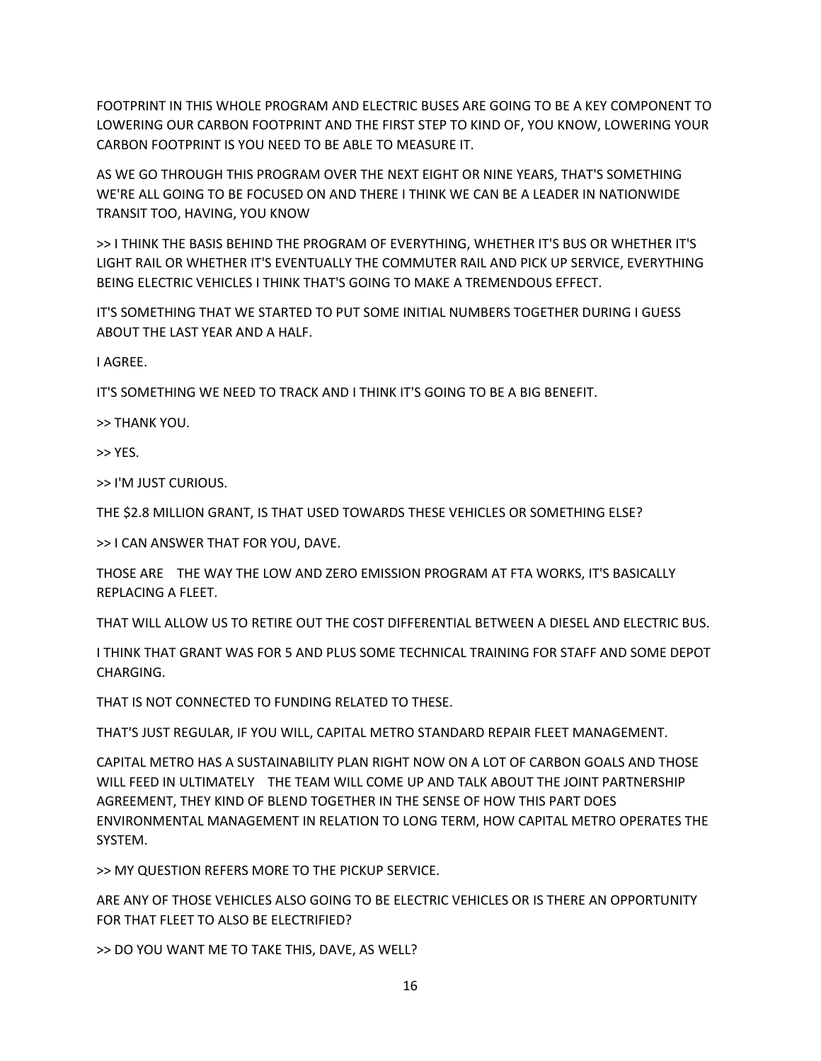FOOTPRINT IN THIS WHOLE PROGRAM AND ELECTRIC BUSES ARE GOING TO BE A KEY COMPONENT TO LOWERING OUR CARBON FOOTPRINT AND THE FIRST STEP TO KIND OF, YOU KNOW, LOWERING YOUR CARBON FOOTPRINT IS YOU NEED TO BE ABLE TO MEASURE IT.

AS WE GO THROUGH THIS PROGRAM OVER THE NEXT EIGHT OR NINE YEARS, THAT'S SOMETHING WE'RE ALL GOING TO BE FOCUSED ON AND THERE I THINK WE CAN BE A LEADER IN NATIONWIDE TRANSIT TOO, HAVING, YOU KNOW

>> I THINK THE BASIS BEHIND THE PROGRAM OF EVERYTHING, WHETHER IT'S BUS OR WHETHER IT'S LIGHT RAIL OR WHETHER IT'S EVENTUALLY THE COMMUTER RAIL AND PICK UP SERVICE, EVERYTHING BEING ELECTRIC VEHICLES I THINK THAT'S GOING TO MAKE A TREMENDOUS EFFECT.

IT'S SOMETHING THAT WE STARTED TO PUT SOME INITIAL NUMBERS TOGETHER DURING I GUESS ABOUT THE LAST YEAR AND A HALF.

I AGREE.

IT'S SOMETHING WE NEED TO TRACK AND I THINK IT'S GOING TO BE A BIG BENEFIT.

>> THANK YOU.

>> YES.

>> I'M JUST CURIOUS.

THE \$2.8 MILLION GRANT, IS THAT USED TOWARDS THESE VEHICLES OR SOMETHING ELSE?

>> I CAN ANSWER THAT FOR YOU, DAVE.

THOSE ARE THE WAY THE LOW AND ZERO EMISSION PROGRAM AT FTA WORKS, IT'S BASICALLY REPLACING A FLEET.

THAT WILL ALLOW US TO RETIRE OUT THE COST DIFFERENTIAL BETWEEN A DIESEL AND ELECTRIC BUS.

I THINK THAT GRANT WAS FOR 5 AND PLUS SOME TECHNICAL TRAINING FOR STAFF AND SOME DEPOT CHARGING.

THAT IS NOT CONNECTED TO FUNDING RELATED TO THESE.

THAT'S JUST REGULAR, IF YOU WILL, CAPITAL METRO STANDARD REPAIR FLEET MANAGEMENT.

CAPITAL METRO HAS A SUSTAINABILITY PLAN RIGHT NOW ON A LOT OF CARBON GOALS AND THOSE WILL FEED IN ULTIMATELY THE TEAM WILL COME UP AND TALK ABOUT THE JOINT PARTNERSHIP AGREEMENT, THEY KIND OF BLEND TOGETHER IN THE SENSE OF HOW THIS PART DOES ENVIRONMENTAL MANAGEMENT IN RELATION TO LONG TERM, HOW CAPITAL METRO OPERATES THE SYSTEM.

>> MY QUESTION REFERS MORE TO THE PICKUP SERVICE.

ARE ANY OF THOSE VEHICLES ALSO GOING TO BE ELECTRIC VEHICLES OR IS THERE AN OPPORTUNITY FOR THAT FLEET TO ALSO BE ELECTRIFIED?

>> DO YOU WANT ME TO TAKE THIS, DAVE, AS WELL?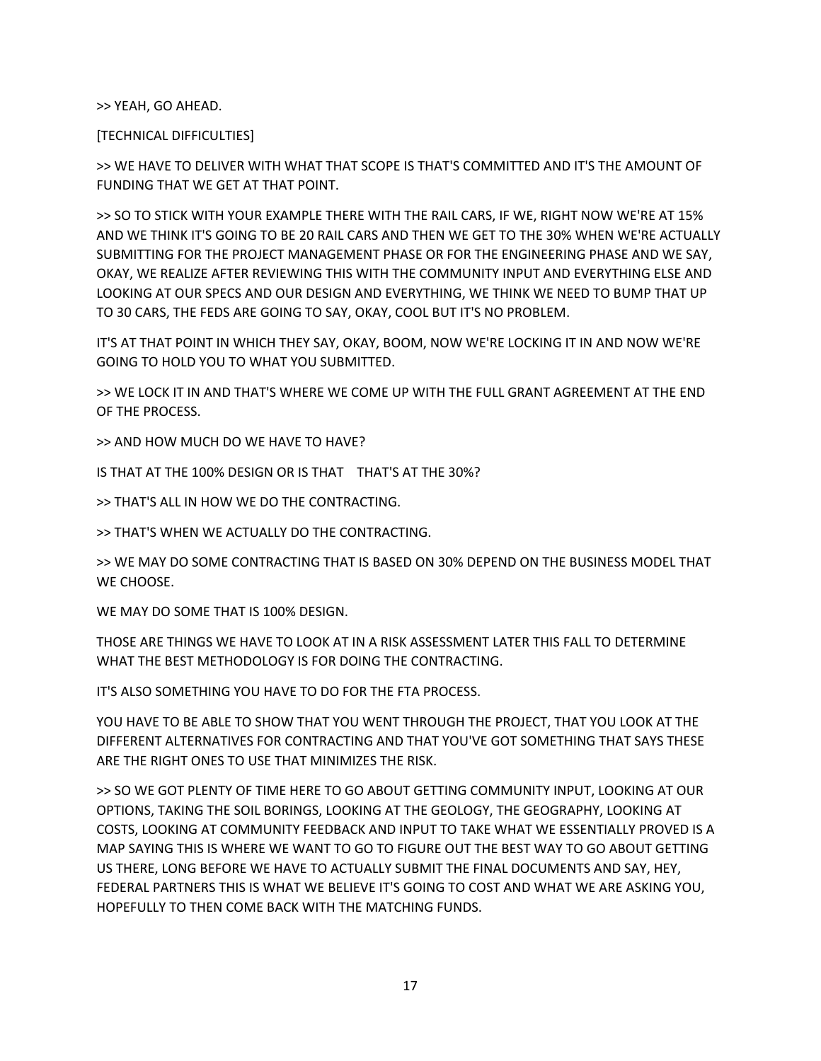>> YEAH, GO AHEAD.

[TECHNICAL DIFFICULTIES]

>> WE HAVE TO DELIVER WITH WHAT THAT SCOPE IS THAT'S COMMITTED AND IT'S THE AMOUNT OF FUNDING THAT WE GET AT THAT POINT.

>> SO TO STICK WITH YOUR EXAMPLE THERE WITH THE RAIL CARS, IF WE, RIGHT NOW WE'RE AT 15% AND WE THINK IT'S GOING TO BE 20 RAIL CARS AND THEN WE GET TO THE 30% WHEN WE'RE ACTUALLY SUBMITTING FOR THE PROJECT MANAGEMENT PHASE OR FOR THE ENGINEERING PHASE AND WE SAY, OKAY, WE REALIZE AFTER REVIEWING THIS WITH THE COMMUNITY INPUT AND EVERYTHING ELSE AND LOOKING AT OUR SPECS AND OUR DESIGN AND EVERYTHING, WE THINK WE NEED TO BUMP THAT UP TO 30 CARS, THE FEDS ARE GOING TO SAY, OKAY, COOL BUT IT'S NO PROBLEM.

IT'S AT THAT POINT IN WHICH THEY SAY, OKAY, BOOM, NOW WE'RE LOCKING IT IN AND NOW WE'RE GOING TO HOLD YOU TO WHAT YOU SUBMITTED.

>> WE LOCK IT IN AND THAT'S WHERE WE COME UP WITH THE FULL GRANT AGREEMENT AT THE END OF THE PROCESS.

>> AND HOW MUCH DO WE HAVE TO HAVE?

IS THAT AT THE 100% DESIGN OR IS THAT THAT'S AT THE 30%?

>> THAT'S ALL IN HOW WE DO THE CONTRACTING.

>> THAT'S WHEN WE ACTUALLY DO THE CONTRACTING.

>> WE MAY DO SOME CONTRACTING THAT IS BASED ON 30% DEPEND ON THE BUSINESS MODEL THAT WE CHOOSE.

WE MAY DO SOME THAT IS 100% DESIGN.

THOSE ARE THINGS WE HAVE TO LOOK AT IN A RISK ASSESSMENT LATER THIS FALL TO DETERMINE WHAT THE BEST METHODOLOGY IS FOR DOING THE CONTRACTING.

IT'S ALSO SOMETHING YOU HAVE TO DO FOR THE FTA PROCESS.

YOU HAVE TO BE ABLE TO SHOW THAT YOU WENT THROUGH THE PROJECT, THAT YOU LOOK AT THE DIFFERENT ALTERNATIVES FOR CONTRACTING AND THAT YOU'VE GOT SOMETHING THAT SAYS THESE ARE THE RIGHT ONES TO USE THAT MINIMIZES THE RISK.

>> SO WE GOT PLENTY OF TIME HERE TO GO ABOUT GETTING COMMUNITY INPUT, LOOKING AT OUR OPTIONS, TAKING THE SOIL BORINGS, LOOKING AT THE GEOLOGY, THE GEOGRAPHY, LOOKING AT COSTS, LOOKING AT COMMUNITY FEEDBACK AND INPUT TO TAKE WHAT WE ESSENTIALLY PROVED IS A MAP SAYING THIS IS WHERE WE WANT TO GO TO FIGURE OUT THE BEST WAY TO GO ABOUT GETTING US THERE, LONG BEFORE WE HAVE TO ACTUALLY SUBMIT THE FINAL DOCUMENTS AND SAY, HEY, FEDERAL PARTNERS THIS IS WHAT WE BELIEVE IT'S GOING TO COST AND WHAT WE ARE ASKING YOU, HOPEFULLY TO THEN COME BACK WITH THE MATCHING FUNDS.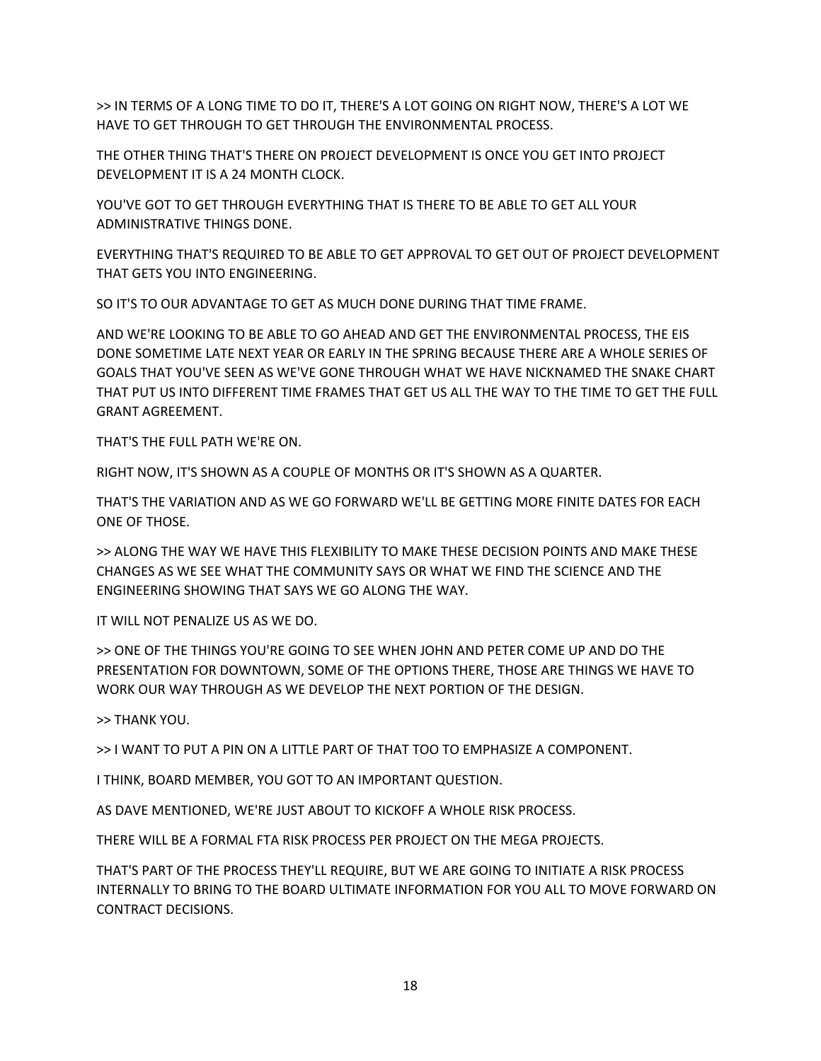>> IN TERMS OF A LONG TIME TO DO IT, THERE'S A LOT GOING ON RIGHT NOW, THERE'S A LOT WE HAVE TO GET THROUGH TO GET THROUGH THE ENVIRONMENTAL PROCESS.

THE OTHER THING THAT'S THERE ON PROJECT DEVELOPMENT IS ONCE YOU GET INTO PROJECT DEVELOPMENT IT IS A 24 MONTH CLOCK.

YOU'VE GOT TO GET THROUGH EVERYTHING THAT IS THERE TO BE ABLE TO GET ALL YOUR ADMINISTRATIVE THINGS DONE.

EVERYTHING THAT'S REQUIRED TO BE ABLE TO GET APPROVAL TO GET OUT OF PROJECT DEVELOPMENT THAT GETS YOU INTO ENGINEERING.

SO IT'S TO OUR ADVANTAGE TO GET AS MUCH DONE DURING THAT TIME FRAME.

AND WE'RE LOOKING TO BE ABLE TO GO AHEAD AND GET THE ENVIRONMENTAL PROCESS, THE EIS DONE SOMETIME LATE NEXT YEAR OR EARLY IN THE SPRING BECAUSE THERE ARE A WHOLE SERIES OF GOALS THAT YOU'VE SEEN AS WE'VE GONE THROUGH WHAT WE HAVE NICKNAMED THE SNAKE CHART THAT PUT US INTO DIFFERENT TIME FRAMES THAT GET US ALL THE WAY TO THE TIME TO GET THE FULL GRANT AGREEMENT.

THAT'S THE FULL PATH WE'RE ON.

RIGHT NOW, IT'S SHOWN AS A COUPLE OF MONTHS OR IT'S SHOWN AS A QUARTER.

THAT'S THE VARIATION AND AS WE GO FORWARD WE'LL BE GETTING MORE FINITE DATES FOR EACH ONE OF THOSE.

>> ALONG THE WAY WE HAVE THIS FLEXIBILITY TO MAKE THESE DECISION POINTS AND MAKE THESE CHANGES AS WE SEE WHAT THE COMMUNITY SAYS OR WHAT WE FIND THE SCIENCE AND THE ENGINEERING SHOWING THAT SAYS WE GO ALONG THE WAY.

IT WILL NOT PENALIZE US AS WE DO.

>> ONE OF THE THINGS YOU'RE GOING TO SEE WHEN JOHN AND PETER COME UP AND DO THE PRESENTATION FOR DOWNTOWN, SOME OF THE OPTIONS THERE, THOSE ARE THINGS WE HAVE TO WORK OUR WAY THROUGH AS WE DEVELOP THE NEXT PORTION OF THE DESIGN.

>> THANK YOU.

>> I WANT TO PUT A PIN ON A LITTLE PART OF THAT TOO TO EMPHASIZE A COMPONENT.

I THINK, BOARD MEMBER, YOU GOT TO AN IMPORTANT QUESTION.

AS DAVE MENTIONED, WE'RE JUST ABOUT TO KICKOFF A WHOLE RISK PROCESS.

THERE WILL BE A FORMAL FTA RISK PROCESS PER PROJECT ON THE MEGA PROJECTS.

THAT'S PART OF THE PROCESS THEY'LL REQUIRE, BUT WE ARE GOING TO INITIATE A RISK PROCESS INTERNALLY TO BRING TO THE BOARD ULTIMATE INFORMATION FOR YOU ALL TO MOVE FORWARD ON CONTRACT DECISIONS.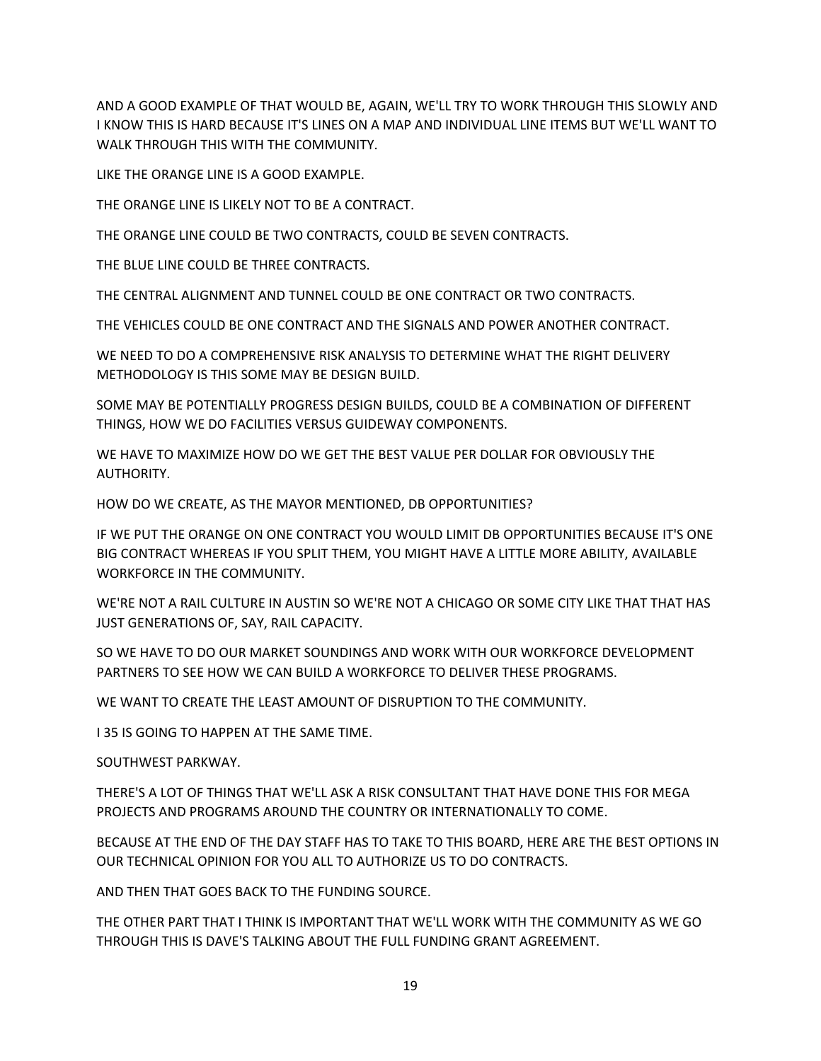AND A GOOD EXAMPLE OF THAT WOULD BE, AGAIN, WE'LL TRY TO WORK THROUGH THIS SLOWLY AND I KNOW THIS IS HARD BECAUSE IT'S LINES ON A MAP AND INDIVIDUAL LINE ITEMS BUT WE'LL WANT TO WALK THROUGH THIS WITH THE COMMUNITY.

LIKE THE ORANGE LINE IS A GOOD EXAMPLE.

THE ORANGE LINE IS LIKELY NOT TO BE A CONTRACT.

THE ORANGE LINE COULD BE TWO CONTRACTS, COULD BE SEVEN CONTRACTS.

THE BLUE LINE COULD BE THREE CONTRACTS.

THE CENTRAL ALIGNMENT AND TUNNEL COULD BE ONE CONTRACT OR TWO CONTRACTS.

THE VEHICLES COULD BE ONE CONTRACT AND THE SIGNALS AND POWER ANOTHER CONTRACT.

WE NEED TO DO A COMPREHENSIVE RISK ANALYSIS TO DETERMINE WHAT THE RIGHT DELIVERY METHODOLOGY IS THIS SOME MAY BE DESIGN BUILD.

SOME MAY BE POTENTIALLY PROGRESS DESIGN BUILDS, COULD BE A COMBINATION OF DIFFERENT THINGS, HOW WE DO FACILITIES VERSUS GUIDEWAY COMPONENTS.

WE HAVE TO MAXIMIZE HOW DO WE GET THE BEST VALUE PER DOLLAR FOR OBVIOUSLY THE AUTHORITY.

HOW DO WE CREATE, AS THE MAYOR MENTIONED, DB OPPORTUNITIES?

IF WE PUT THE ORANGE ON ONE CONTRACT YOU WOULD LIMIT DB OPPORTUNITIES BECAUSE IT'S ONE BIG CONTRACT WHEREAS IF YOU SPLIT THEM, YOU MIGHT HAVE A LITTLE MORE ABILITY, AVAILABLE WORKFORCE IN THE COMMUNITY.

WE'RE NOT A RAIL CULTURE IN AUSTIN SO WE'RE NOT A CHICAGO OR SOME CITY LIKE THAT THAT HAS JUST GENERATIONS OF, SAY, RAIL CAPACITY.

SO WE HAVE TO DO OUR MARKET SOUNDINGS AND WORK WITH OUR WORKFORCE DEVELOPMENT PARTNERS TO SEE HOW WE CAN BUILD A WORKFORCE TO DELIVER THESE PROGRAMS.

WE WANT TO CREATE THE LEAST AMOUNT OF DISRUPTION TO THE COMMUNITY.

I 35 IS GOING TO HAPPEN AT THE SAME TIME.

SOUTHWEST PARKWAY.

THERE'S A LOT OF THINGS THAT WE'LL ASK A RISK CONSULTANT THAT HAVE DONE THIS FOR MEGA PROJECTS AND PROGRAMS AROUND THE COUNTRY OR INTERNATIONALLY TO COME.

BECAUSE AT THE END OF THE DAY STAFF HAS TO TAKE TO THIS BOARD, HERE ARE THE BEST OPTIONS IN OUR TECHNICAL OPINION FOR YOU ALL TO AUTHORIZE US TO DO CONTRACTS.

AND THEN THAT GOES BACK TO THE FUNDING SOURCE.

THE OTHER PART THAT I THINK IS IMPORTANT THAT WE'LL WORK WITH THE COMMUNITY AS WE GO THROUGH THIS IS DAVE'S TALKING ABOUT THE FULL FUNDING GRANT AGREEMENT.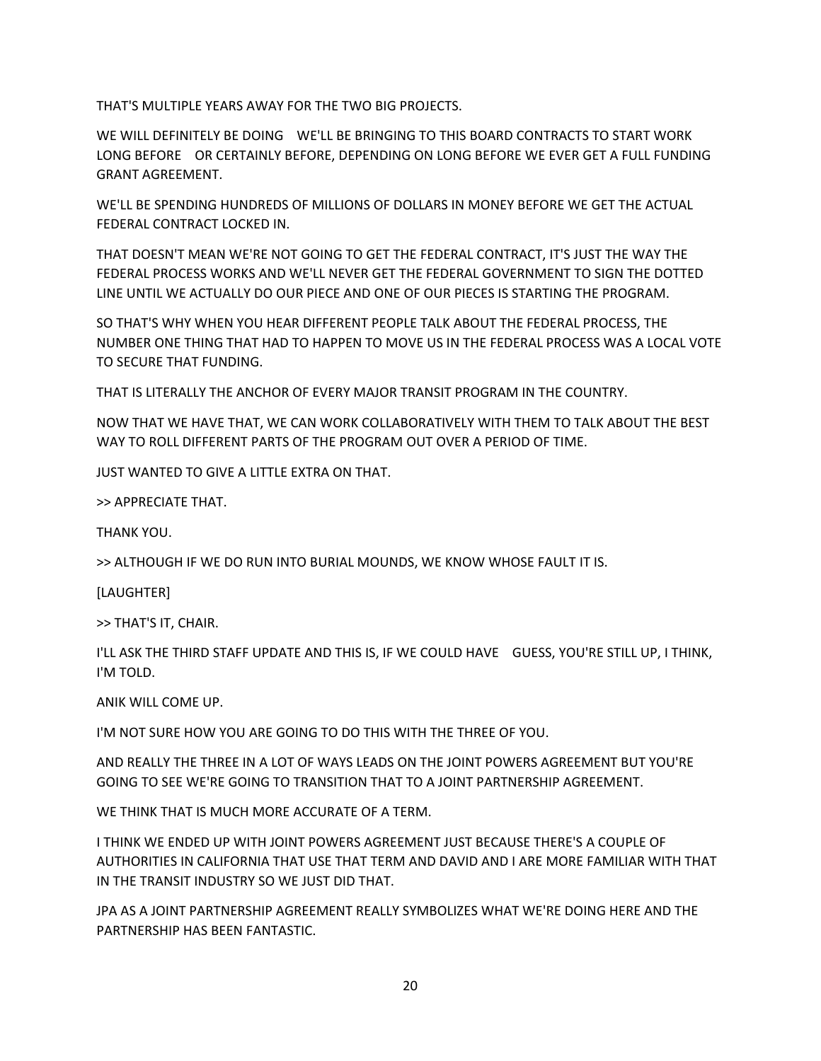THAT'S MULTIPLE YEARS AWAY FOR THE TWO BIG PROJECTS.

WE WILL DEFINITELY BE DOING WE'LL BE BRINGING TO THIS BOARD CONTRACTS TO START WORK LONG BEFORE OR CERTAINLY BEFORE, DEPENDING ON LONG BEFORE WE EVER GET A FULL FUNDING GRANT AGREEMENT.

WE'LL BE SPENDING HUNDREDS OF MILLIONS OF DOLLARS IN MONEY BEFORE WE GET THE ACTUAL FEDERAL CONTRACT LOCKED IN.

THAT DOESN'T MEAN WE'RE NOT GOING TO GET THE FEDERAL CONTRACT, IT'S JUST THE WAY THE FEDERAL PROCESS WORKS AND WE'LL NEVER GET THE FEDERAL GOVERNMENT TO SIGN THE DOTTED LINE UNTIL WE ACTUALLY DO OUR PIECE AND ONE OF OUR PIECES IS STARTING THE PROGRAM.

SO THAT'S WHY WHEN YOU HEAR DIFFERENT PEOPLE TALK ABOUT THE FEDERAL PROCESS, THE NUMBER ONE THING THAT HAD TO HAPPEN TO MOVE US IN THE FEDERAL PROCESS WAS A LOCAL VOTE TO SECURE THAT FUNDING.

THAT IS LITERALLY THE ANCHOR OF EVERY MAJOR TRANSIT PROGRAM IN THE COUNTRY.

NOW THAT WE HAVE THAT, WE CAN WORK COLLABORATIVELY WITH THEM TO TALK ABOUT THE BEST WAY TO ROLL DIFFERENT PARTS OF THE PROGRAM OUT OVER A PERIOD OF TIME.

JUST WANTED TO GIVE A LITTLE EXTRA ON THAT.

>> APPRECIATE THAT.

THANK YOU.

>> ALTHOUGH IF WE DO RUN INTO BURIAL MOUNDS, WE KNOW WHOSE FAULT IT IS.

[LAUGHTER]

>> THAT'S IT, CHAIR.

I'LL ASK THE THIRD STAFF UPDATE AND THIS IS, IF WE COULD HAVE GUESS, YOU'RE STILL UP, I THINK, I'M TOLD.

ANIK WILL COME UP.

I'M NOT SURE HOW YOU ARE GOING TO DO THIS WITH THE THREE OF YOU.

AND REALLY THE THREE IN A LOT OF WAYS LEADS ON THE JOINT POWERS AGREEMENT BUT YOU'RE GOING TO SEE WE'RE GOING TO TRANSITION THAT TO A JOINT PARTNERSHIP AGREEMENT.

WE THINK THAT IS MUCH MORE ACCURATE OF A TERM.

I THINK WE ENDED UP WITH JOINT POWERS AGREEMENT JUST BECAUSE THERE'S A COUPLE OF AUTHORITIES IN CALIFORNIA THAT USE THAT TERM AND DAVID AND I ARE MORE FAMILIAR WITH THAT IN THE TRANSIT INDUSTRY SO WE JUST DID THAT.

JPA AS A JOINT PARTNERSHIP AGREEMENT REALLY SYMBOLIZES WHAT WE'RE DOING HERE AND THE PARTNERSHIP HAS BEEN FANTASTIC.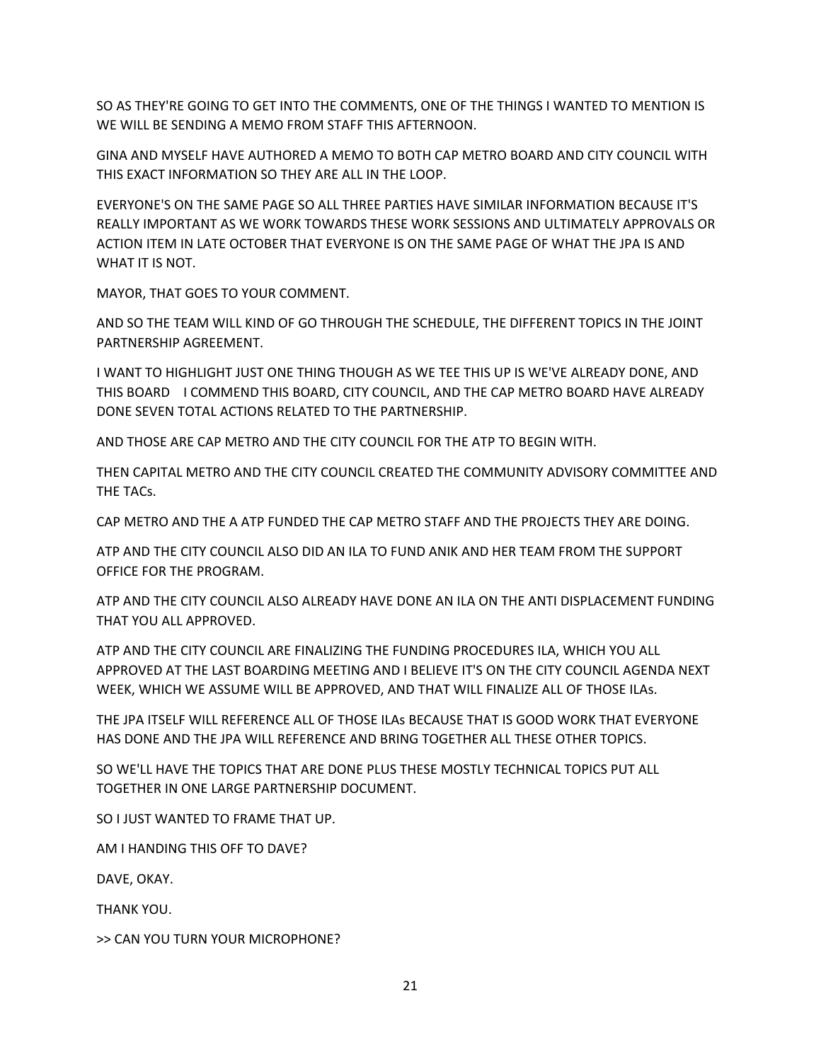SO AS THEY'RE GOING TO GET INTO THE COMMENTS, ONE OF THE THINGS I WANTED TO MENTION IS WE WILL BE SENDING A MEMO FROM STAFF THIS AFTERNOON.

GINA AND MYSELF HAVE AUTHORED A MEMO TO BOTH CAP METRO BOARD AND CITY COUNCIL WITH THIS EXACT INFORMATION SO THEY ARE ALL IN THE LOOP.

EVERYONE'S ON THE SAME PAGE SO ALL THREE PARTIES HAVE SIMILAR INFORMATION BECAUSE IT'S REALLY IMPORTANT AS WE WORK TOWARDS THESE WORK SESSIONS AND ULTIMATELY APPROVALS OR ACTION ITEM IN LATE OCTOBER THAT EVERYONE IS ON THE SAME PAGE OF WHAT THE JPA IS AND WHAT IT IS NOT.

MAYOR, THAT GOES TO YOUR COMMENT.

AND SO THE TEAM WILL KIND OF GO THROUGH THE SCHEDULE, THE DIFFERENT TOPICS IN THE JOINT PARTNERSHIP AGREEMENT.

I WANT TO HIGHLIGHT JUST ONE THING THOUGH AS WE TEE THIS UP IS WE'VE ALREADY DONE, AND THIS BOARD I COMMEND THIS BOARD, CITY COUNCIL, AND THE CAP METRO BOARD HAVE ALREADY DONE SEVEN TOTAL ACTIONS RELATED TO THE PARTNERSHIP.

AND THOSE ARE CAP METRO AND THE CITY COUNCIL FOR THE ATP TO BEGIN WITH.

THEN CAPITAL METRO AND THE CITY COUNCIL CREATED THE COMMUNITY ADVISORY COMMITTEE AND THE TACs.

CAP METRO AND THE A ATP FUNDED THE CAP METRO STAFF AND THE PROJECTS THEY ARE DOING.

ATP AND THE CITY COUNCIL ALSO DID AN ILA TO FUND ANIK AND HER TEAM FROM THE SUPPORT OFFICE FOR THE PROGRAM.

ATP AND THE CITY COUNCIL ALSO ALREADY HAVE DONE AN ILA ON THE ANTI DISPLACEMENT FUNDING THAT YOU ALL APPROVED.

ATP AND THE CITY COUNCIL ARE FINALIZING THE FUNDING PROCEDURES ILA, WHICH YOU ALL APPROVED AT THE LAST BOARDING MEETING AND I BELIEVE IT'S ON THE CITY COUNCIL AGENDA NEXT WEEK, WHICH WE ASSUME WILL BE APPROVED, AND THAT WILL FINALIZE ALL OF THOSE ILAs.

THE JPA ITSELF WILL REFERENCE ALL OF THOSE ILAs BECAUSE THAT IS GOOD WORK THAT EVERYONE HAS DONE AND THE JPA WILL REFERENCE AND BRING TOGETHER ALL THESE OTHER TOPICS.

SO WE'LL HAVE THE TOPICS THAT ARE DONE PLUS THESE MOSTLY TECHNICAL TOPICS PUT ALL TOGETHER IN ONE LARGE PARTNERSHIP DOCUMENT.

SO I JUST WANTED TO FRAME THAT UP.

AM I HANDING THIS OFF TO DAVE?

DAVE, OKAY.

THANK YOU.

>> CAN YOU TURN YOUR MICROPHONE?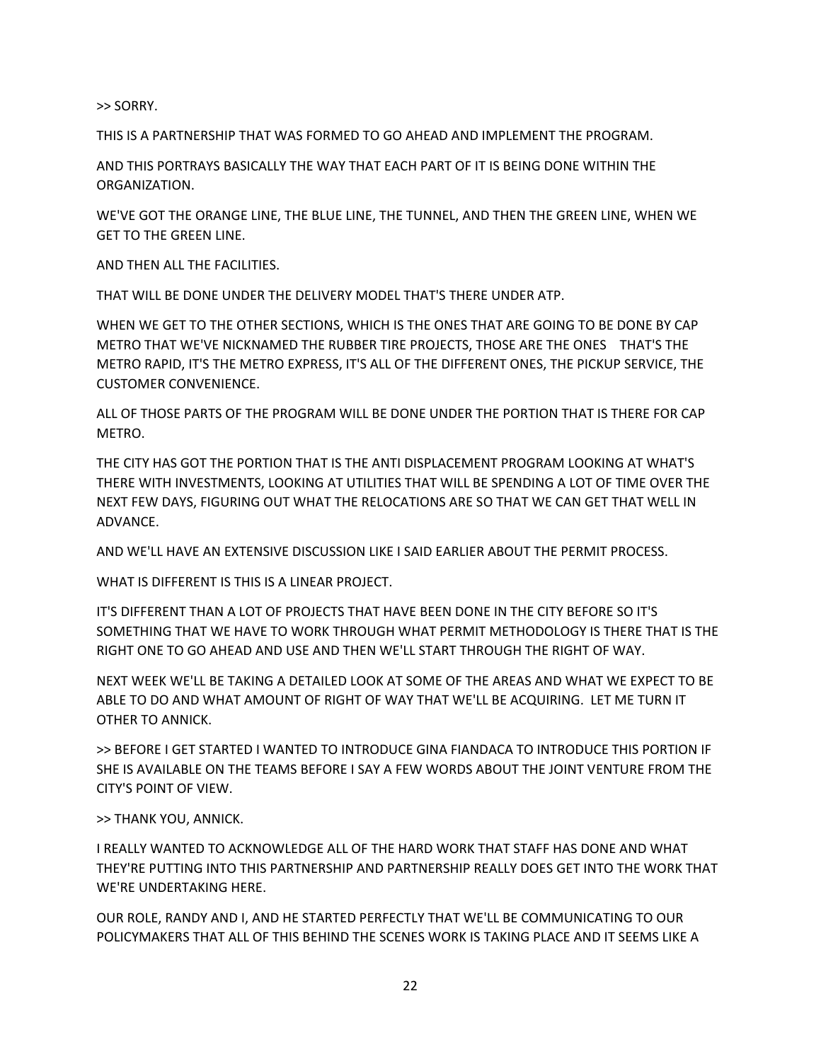>> SORRY.

THIS IS A PARTNERSHIP THAT WAS FORMED TO GO AHEAD AND IMPLEMENT THE PROGRAM.

AND THIS PORTRAYS BASICALLY THE WAY THAT EACH PART OF IT IS BEING DONE WITHIN THE ORGANIZATION.

WE'VE GOT THE ORANGE LINE, THE BLUE LINE, THE TUNNEL, AND THEN THE GREEN LINE, WHEN WE GET TO THE GREEN LINE.

AND THEN ALL THE FACILITIES.

THAT WILL BE DONE UNDER THE DELIVERY MODEL THAT'S THERE UNDER ATP.

WHEN WE GET TO THE OTHER SECTIONS, WHICH IS THE ONES THAT ARE GOING TO BE DONE BY CAP METRO THAT WE'VE NICKNAMED THE RUBBER TIRE PROJECTS, THOSE ARE THE ONES THAT'S THE METRO RAPID, IT'S THE METRO EXPRESS, IT'S ALL OF THE DIFFERENT ONES, THE PICKUP SERVICE, THE CUSTOMER CONVENIENCE.

ALL OF THOSE PARTS OF THE PROGRAM WILL BE DONE UNDER THE PORTION THAT IS THERE FOR CAP METRO.

THE CITY HAS GOT THE PORTION THAT IS THE ANTI DISPLACEMENT PROGRAM LOOKING AT WHAT'S THERE WITH INVESTMENTS, LOOKING AT UTILITIES THAT WILL BE SPENDING A LOT OF TIME OVER THE NEXT FEW DAYS, FIGURING OUT WHAT THE RELOCATIONS ARE SO THAT WE CAN GET THAT WELL IN ADVANCE.

AND WE'LL HAVE AN EXTENSIVE DISCUSSION LIKE I SAID EARLIER ABOUT THE PERMIT PROCESS.

WHAT IS DIFFERENT IS THIS IS A LINEAR PROJECT.

IT'S DIFFERENT THAN A LOT OF PROJECTS THAT HAVE BEEN DONE IN THE CITY BEFORE SO IT'S SOMETHING THAT WE HAVE TO WORK THROUGH WHAT PERMIT METHODOLOGY IS THERE THAT IS THE RIGHT ONE TO GO AHEAD AND USE AND THEN WE'LL START THROUGH THE RIGHT OF WAY.

NEXT WEEK WE'LL BE TAKING A DETAILED LOOK AT SOME OF THE AREAS AND WHAT WE EXPECT TO BE ABLE TO DO AND WHAT AMOUNT OF RIGHT OF WAY THAT WE'LL BE ACQUIRING. LET ME TURN IT OTHER TO ANNICK.

>> BEFORE I GET STARTED I WANTED TO INTRODUCE GINA FIANDACA TO INTRODUCE THIS PORTION IF SHE IS AVAILABLE ON THE TEAMS BEFORE I SAY A FEW WORDS ABOUT THE JOINT VENTURE FROM THE CITY'S POINT OF VIEW.

>> THANK YOU, ANNICK.

I REALLY WANTED TO ACKNOWLEDGE ALL OF THE HARD WORK THAT STAFF HAS DONE AND WHAT THEY'RE PUTTING INTO THIS PARTNERSHIP AND PARTNERSHIP REALLY DOES GET INTO THE WORK THAT WE'RE UNDERTAKING HERE.

OUR ROLE, RANDY AND I, AND HE STARTED PERFECTLY THAT WE'LL BE COMMUNICATING TO OUR POLICYMAKERS THAT ALL OF THIS BEHIND THE SCENES WORK IS TAKING PLACE AND IT SEEMS LIKE A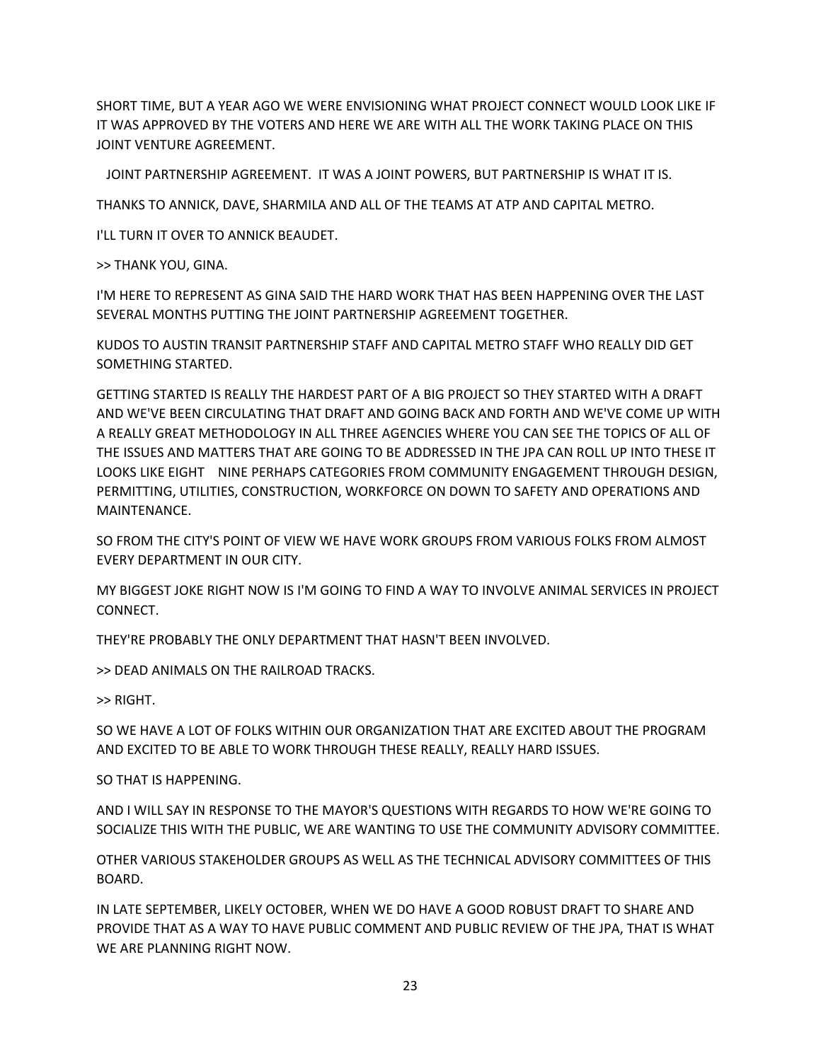SHORT TIME, BUT A YEAR AGO WE WERE ENVISIONING WHAT PROJECT CONNECT WOULD LOOK LIKE IF IT WAS APPROVED BY THE VOTERS AND HERE WE ARE WITH ALL THE WORK TAKING PLACE ON THIS JOINT VENTURE AGREEMENT.

JOINT PARTNERSHIP AGREEMENT. IT WAS A JOINT POWERS, BUT PARTNERSHIP IS WHAT IT IS.

THANKS TO ANNICK, DAVE, SHARMILA AND ALL OF THE TEAMS AT ATP AND CAPITAL METRO.

I'LL TURN IT OVER TO ANNICK BEAUDET.

>> THANK YOU, GINA.

I'M HERE TO REPRESENT AS GINA SAID THE HARD WORK THAT HAS BEEN HAPPENING OVER THE LAST SEVERAL MONTHS PUTTING THE JOINT PARTNERSHIP AGREEMENT TOGETHER.

KUDOS TO AUSTIN TRANSIT PARTNERSHIP STAFF AND CAPITAL METRO STAFF WHO REALLY DID GET SOMETHING STARTED.

GETTING STARTED IS REALLY THE HARDEST PART OF A BIG PROJECT SO THEY STARTED WITH A DRAFT AND WE'VE BEEN CIRCULATING THAT DRAFT AND GOING BACK AND FORTH AND WE'VE COME UP WITH A REALLY GREAT METHODOLOGY IN ALL THREE AGENCIES WHERE YOU CAN SEE THE TOPICS OF ALL OF THE ISSUES AND MATTERS THAT ARE GOING TO BE ADDRESSED IN THE JPA CAN ROLL UP INTO THESE IT LOOKS LIKE EIGHT NINE PERHAPS CATEGORIES FROM COMMUNITY ENGAGEMENT THROUGH DESIGN, PERMITTING, UTILITIES, CONSTRUCTION, WORKFORCE ON DOWN TO SAFETY AND OPERATIONS AND MAINTENANCE.

SO FROM THE CITY'S POINT OF VIEW WE HAVE WORK GROUPS FROM VARIOUS FOLKS FROM ALMOST EVERY DEPARTMENT IN OUR CITY.

MY BIGGEST JOKE RIGHT NOW IS I'M GOING TO FIND A WAY TO INVOLVE ANIMAL SERVICES IN PROJECT CONNECT.

THEY'RE PROBABLY THE ONLY DEPARTMENT THAT HASN'T BEEN INVOLVED.

>> DEAD ANIMALS ON THE RAILROAD TRACKS.

>> RIGHT.

SO WE HAVE A LOT OF FOLKS WITHIN OUR ORGANIZATION THAT ARE EXCITED ABOUT THE PROGRAM AND EXCITED TO BE ABLE TO WORK THROUGH THESE REALLY, REALLY HARD ISSUES.

SO THAT IS HAPPENING.

AND I WILL SAY IN RESPONSE TO THE MAYOR'S QUESTIONS WITH REGARDS TO HOW WE'RE GOING TO SOCIALIZE THIS WITH THE PUBLIC, WE ARE WANTING TO USE THE COMMUNITY ADVISORY COMMITTEE.

OTHER VARIOUS STAKEHOLDER GROUPS AS WELL AS THE TECHNICAL ADVISORY COMMITTEES OF THIS BOARD.

IN LATE SEPTEMBER, LIKELY OCTOBER, WHEN WE DO HAVE A GOOD ROBUST DRAFT TO SHARE AND PROVIDE THAT AS A WAY TO HAVE PUBLIC COMMENT AND PUBLIC REVIEW OF THE JPA, THAT IS WHAT WE ARE PLANNING RIGHT NOW.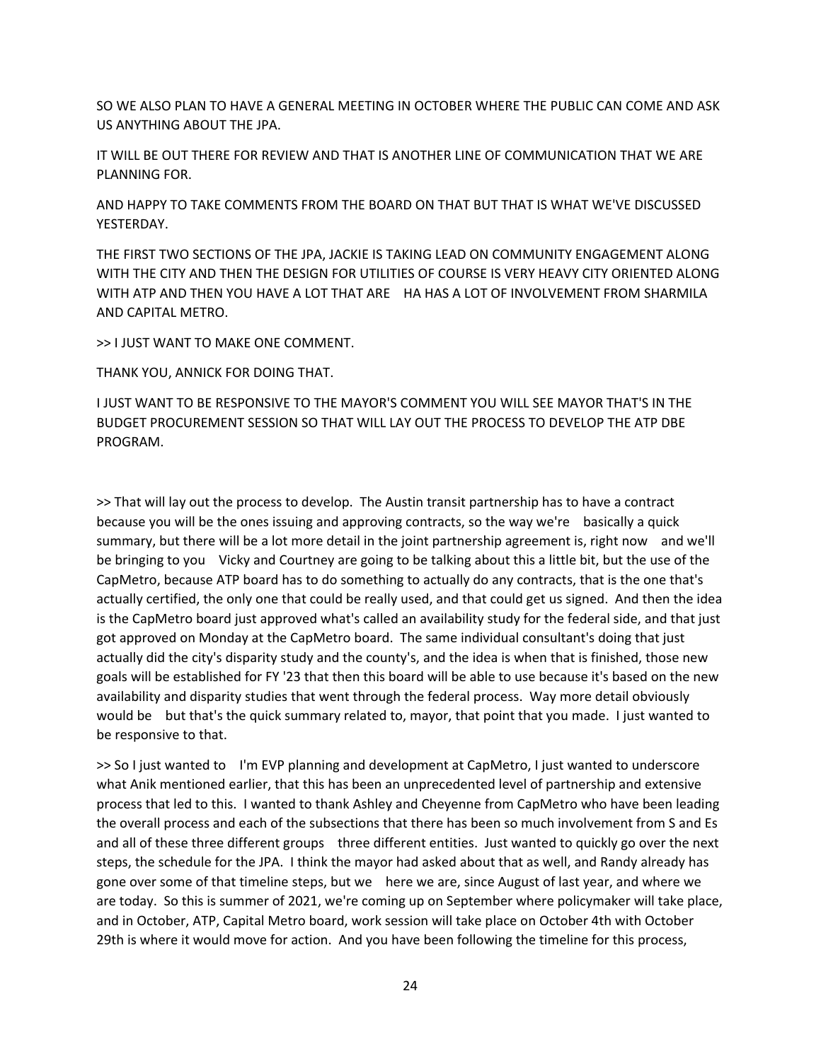SO WE ALSO PLAN TO HAVE A GENERAL MEETING IN OCTOBER WHERE THE PUBLIC CAN COME AND ASK US ANYTHING ABOUT THE JPA.

IT WILL BE OUT THERE FOR REVIEW AND THAT IS ANOTHER LINE OF COMMUNICATION THAT WE ARE PLANNING FOR.

AND HAPPY TO TAKE COMMENTS FROM THE BOARD ON THAT BUT THAT IS WHAT WE'VE DISCUSSED YESTERDAY.

THE FIRST TWO SECTIONS OF THE JPA, JACKIE IS TAKING LEAD ON COMMUNITY ENGAGEMENT ALONG WITH THE CITY AND THEN THE DESIGN FOR UTILITIES OF COURSE IS VERY HEAVY CITY ORIENTED ALONG WITH ATP AND THEN YOU HAVE A LOT THAT ARE HA HAS A LOT OF INVOLVEMENT FROM SHARMILA AND CAPITAL METRO.

>> I JUST WANT TO MAKE ONE COMMENT.

THANK YOU, ANNICK FOR DOING THAT.

I JUST WANT TO BE RESPONSIVE TO THE MAYOR'S COMMENT YOU WILL SEE MAYOR THAT'S IN THE BUDGET PROCUREMENT SESSION SO THAT WILL LAY OUT THE PROCESS TO DEVELOP THE ATP DBE PROGRAM.

>> That will lay out the process to develop. The Austin transit partnership has to have a contract because you will be the ones issuing and approving contracts, so the way we're basically a quick summary, but there will be a lot more detail in the joint partnership agreement is, right now and we'll be bringing to you Vicky and Courtney are going to be talking about this a little bit, but the use of the CapMetro, because ATP board has to do something to actually do any contracts, that is the one that's actually certified, the only one that could be really used, and that could get us signed. And then the idea is the CapMetro board just approved what's called an availability study for the federal side, and that just got approved on Monday at the CapMetro board. The same individual consultant's doing that just actually did the city's disparity study and the county's, and the idea is when that is finished, those new goals will be established for FY '23 that then this board will be able to use because it's based on the new availability and disparity studies that went through the federal process. Way more detail obviously would be but that's the quick summary related to, mayor, that point that you made. I just wanted to be responsive to that.

>> So I just wanted to I'm EVP planning and development at CapMetro, I just wanted to underscore what Anik mentioned earlier, that this has been an unprecedented level of partnership and extensive process that led to this. I wanted to thank Ashley and Cheyenne from CapMetro who have been leading the overall process and each of the subsections that there has been so much involvement from S and Es and all of these three different groups three different entities. Just wanted to quickly go over the next steps, the schedule for the JPA. I think the mayor had asked about that as well, and Randy already has gone over some of that timeline steps, but we here we are, since August of last year, and where we are today. So this is summer of 2021, we're coming up on September where policymaker will take place, and in October, ATP, Capital Metro board, work session will take place on October 4th with October 29th is where it would move for action. And you have been following the timeline for this process,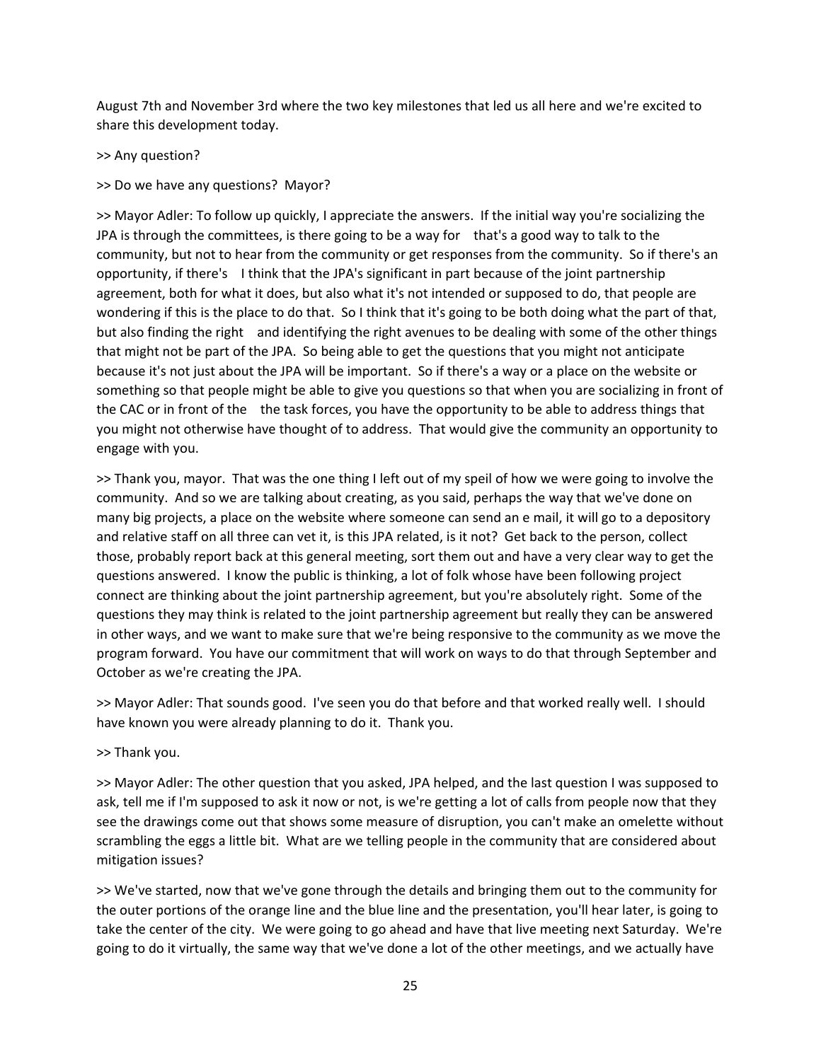August 7th and November 3rd where the two key milestones that led us all here and we're excited to share this development today.

>> Any question?

>> Do we have any questions? Mayor?

>> Mayor Adler: To follow up quickly, I appreciate the answers. If the initial way you're socializing the JPA is through the committees, is there going to be a way for that's a good way to talk to the community, but not to hear from the community or get responses from the community. So if there's an opportunity, if there's I think that the JPA's significant in part because of the joint partnership agreement, both for what it does, but also what it's not intended or supposed to do, that people are wondering if this is the place to do that. So I think that it's going to be both doing what the part of that, but also finding the right and identifying the right avenues to be dealing with some of the other things that might not be part of the JPA. So being able to get the questions that you might not anticipate because it's not just about the JPA will be important. So if there's a way or a place on the website or something so that people might be able to give you questions so that when you are socializing in front of the CAC or in front of the the task forces, you have the opportunity to be able to address things that you might not otherwise have thought of to address. That would give the community an opportunity to engage with you.

>> Thank you, mayor. That was the one thing I left out of my speil of how we were going to involve the community. And so we are talking about creating, as you said, perhaps the way that we've done on many big projects, a place on the website where someone can send an e mail, it will go to a depository and relative staff on all three can vet it, is this JPA related, is it not? Get back to the person, collect those, probably report back at this general meeting, sort them out and have a very clear way to get the questions answered. I know the public is thinking, a lot of folk whose have been following project connect are thinking about the joint partnership agreement, but you're absolutely right. Some of the questions they may think is related to the joint partnership agreement but really they can be answered in other ways, and we want to make sure that we're being responsive to the community as we move the program forward. You have our commitment that will work on ways to do that through September and October as we're creating the JPA.

>> Mayor Adler: That sounds good. I've seen you do that before and that worked really well. I should have known you were already planning to do it. Thank you.

>> Thank you.

>> Mayor Adler: The other question that you asked, JPA helped, and the last question I was supposed to ask, tell me if I'm supposed to ask it now or not, is we're getting a lot of calls from people now that they see the drawings come out that shows some measure of disruption, you can't make an omelette without scrambling the eggs a little bit. What are we telling people in the community that are considered about mitigation issues?

>> We've started, now that we've gone through the details and bringing them out to the community for the outer portions of the orange line and the blue line and the presentation, you'll hear later, is going to take the center of the city. We were going to go ahead and have that live meeting next Saturday. We're going to do it virtually, the same way that we've done a lot of the other meetings, and we actually have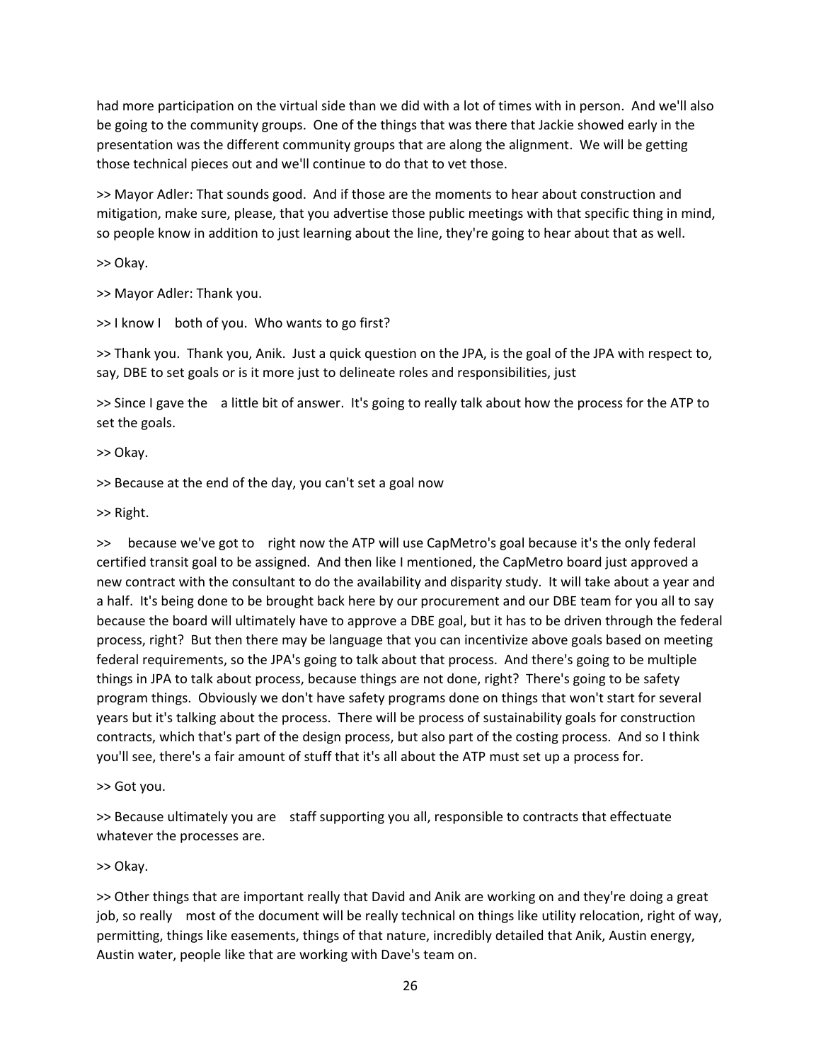had more participation on the virtual side than we did with a lot of times with in person. And we'll also be going to the community groups. One of the things that was there that Jackie showed early in the presentation was the different community groups that are along the alignment. We will be getting those technical pieces out and we'll continue to do that to vet those.

>> Mayor Adler: That sounds good. And if those are the moments to hear about construction and mitigation, make sure, please, that you advertise those public meetings with that specific thing in mind, so people know in addition to just learning about the line, they're going to hear about that as well.

>> Okay.

>> Mayor Adler: Thank you.

>> I know I both of you. Who wants to go first?

>> Thank you. Thank you, Anik. Just a quick question on the JPA, is the goal of the JPA with respect to, say, DBE to set goals or is it more just to delineate roles and responsibilities, just

>> Since I gave the a little bit of answer. It's going to really talk about how the process for the ATP to set the goals.

>> Okay.

>> Because at the end of the day, you can't set a goal now

>> Right.

>> because we've got to right now the ATP will use CapMetro's goal because it's the only federal certified transit goal to be assigned. And then like I mentioned, the CapMetro board just approved a new contract with the consultant to do the availability and disparity study. It will take about a year and a half. It's being done to be brought back here by our procurement and our DBE team for you all to say because the board will ultimately have to approve a DBE goal, but it has to be driven through the federal process, right? But then there may be language that you can incentivize above goals based on meeting federal requirements, so the JPA's going to talk about that process. And there's going to be multiple things in JPA to talk about process, because things are not done, right? There's going to be safety program things. Obviously we don't have safety programs done on things that won't start for several years but it's talking about the process. There will be process of sustainability goals for construction contracts, which that's part of the design process, but also part of the costing process. And so I think you'll see, there's a fair amount of stuff that it's all about the ATP must set up a process for.

>> Got you.

>> Because ultimately you are staff supporting you all, responsible to contracts that effectuate whatever the processes are.

>> Okay.

>> Other things that are important really that David and Anik are working on and they're doing a great job, so really most of the document will be really technical on things like utility relocation, right of way, permitting, things like easements, things of that nature, incredibly detailed that Anik, Austin energy, Austin water, people like that are working with Dave's team on.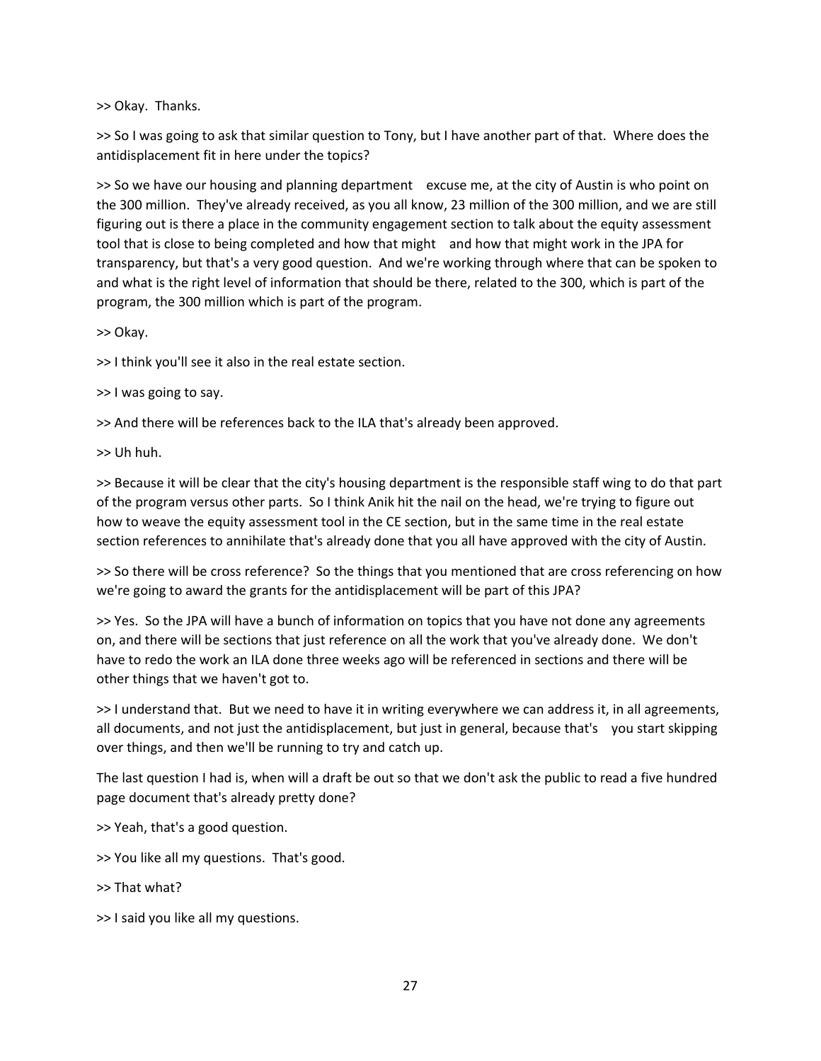>> Okay. Thanks.

>> So I was going to ask that similar question to Tony, but I have another part of that. Where does the antidisplacement fit in here under the topics?

>> So we have our housing and planning department excuse me, at the city of Austin is who point on the 300 million. They've already received, as you all know, 23 million of the 300 million, and we are still figuring out is there a place in the community engagement section to talk about the equity assessment tool that is close to being completed and how that might and how that might work in the JPA for transparency, but that's a very good question. And we're working through where that can be spoken to and what is the right level of information that should be there, related to the 300, which is part of the program, the 300 million which is part of the program.

>> Okay.

>> I think you'll see it also in the real estate section.

>> I was going to say.

>> And there will be references back to the ILA that's already been approved.

>> Uh huh.

>> Because it will be clear that the city's housing department is the responsible staff wing to do that part of the program versus other parts. So I think Anik hit the nail on the head, we're trying to figure out how to weave the equity assessment tool in the CE section, but in the same time in the real estate section references to annihilate that's already done that you all have approved with the city of Austin.

>> So there will be cross reference? So the things that you mentioned that are cross referencing on how we're going to award the grants for the antidisplacement will be part of this JPA?

>> Yes. So the JPA will have a bunch of information on topics that you have not done any agreements on, and there will be sections that just reference on all the work that you've already done. We don't have to redo the work an ILA done three weeks ago will be referenced in sections and there will be other things that we haven't got to.

>> I understand that. But we need to have it in writing everywhere we can address it, in all agreements, all documents, and not just the antidisplacement, but just in general, because that's you start skipping over things, and then we'll be running to try and catch up.

The last question I had is, when will a draft be out so that we don't ask the public to read a five hundred page document that's already pretty done?

>> Yeah, that's a good question.

>> You like all my questions. That's good.

- >> That what?
- >> I said you like all my questions.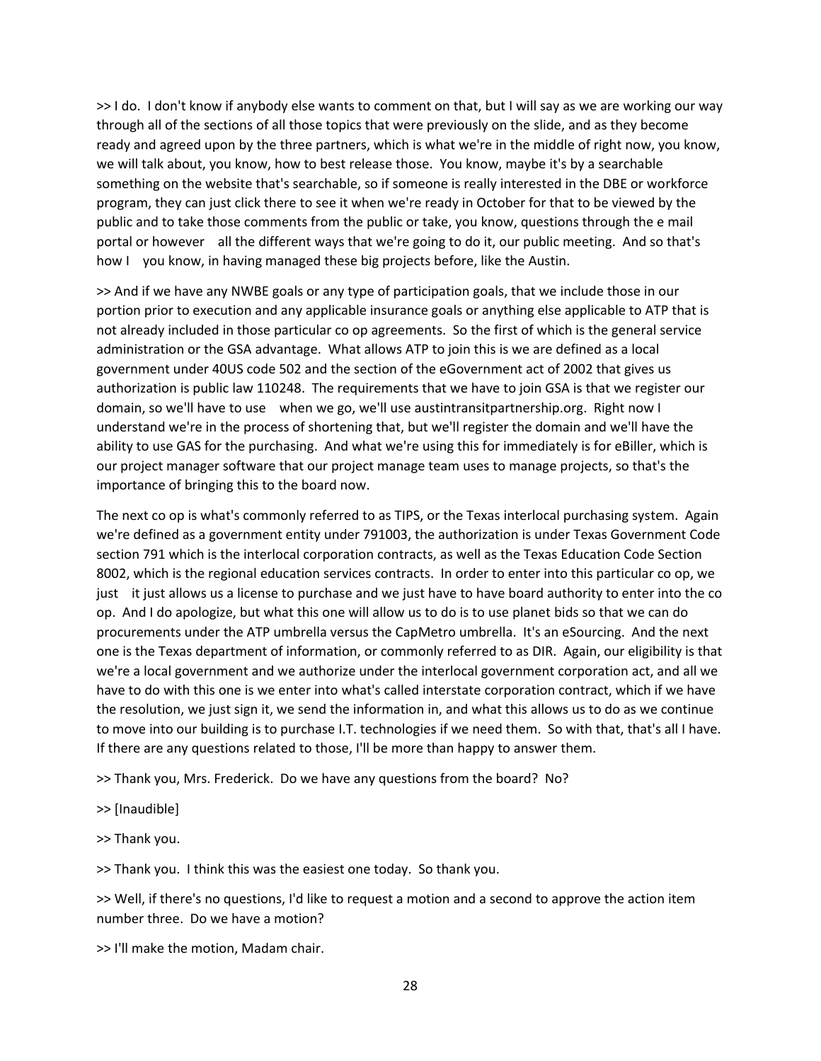>> I do. I don't know if anybody else wants to comment on that, but I will say as we are working our way through all of the sections of all those topics that were previously on the slide, and as they become ready and agreed upon by the three partners, which is what we're in the middle of right now, you know, we will talk about, you know, how to best release those. You know, maybe it's by a searchable something on the website that's searchable, so if someone is really interested in the DBE or workforce program, they can just click there to see it when we're ready in October for that to be viewed by the public and to take those comments from the public or take, you know, questions through the e mail portal or however all the different ways that we're going to do it, our public meeting. And so that's how I you know, in having managed these big projects before, like the Austin.

>> And if we have any NWBE goals or any type of participation goals, that we include those in our portion prior to execution and any applicable insurance goals or anything else applicable to ATP that is not already included in those particular co op agreements. So the first of which is the general service administration or the GSA advantage. What allows ATP to join this is we are defined as a local government under 40US code 502 and the section of the eGovernment act of 2002 that gives us authorization is public law 110248. The requirements that we have to join GSA is that we register our domain, so we'll have to use when we go, we'll use austintransitpartnership.org. Right now I understand we're in the process of shortening that, but we'll register the domain and we'll have the ability to use GAS for the purchasing. And what we're using this for immediately is for eBiller, which is our project manager software that our project manage team uses to manage projects, so that's the importance of bringing this to the board now.

The next co op is what's commonly referred to as TIPS, or the Texas interlocal purchasing system. Again we're defined as a government entity under 791003, the authorization is under Texas Government Code section 791 which is the interlocal corporation contracts, as well as the Texas Education Code Section 8002, which is the regional education services contracts. In order to enter into this particular co op, we just it just allows us a license to purchase and we just have to have board authority to enter into the co op. And I do apologize, but what this one will allow us to do is to use planet bids so that we can do procurements under the ATP umbrella versus the CapMetro umbrella. It's an eSourcing. And the next one is the Texas department of information, or commonly referred to as DIR. Again, our eligibility is that we're a local government and we authorize under the interlocal government corporation act, and all we have to do with this one is we enter into what's called interstate corporation contract, which if we have the resolution, we just sign it, we send the information in, and what this allows us to do as we continue to move into our building is to purchase I.T. technologies if we need them. So with that, that's all I have. If there are any questions related to those, I'll be more than happy to answer them.

>> Thank you, Mrs. Frederick. Do we have any questions from the board? No?

>> [Inaudible]

>> Thank you.

>> Thank you. I think this was the easiest one today. So thank you.

>> Well, if there's no questions, I'd like to request a motion and a second to approve the action item number three. Do we have a motion?

>> I'll make the motion, Madam chair.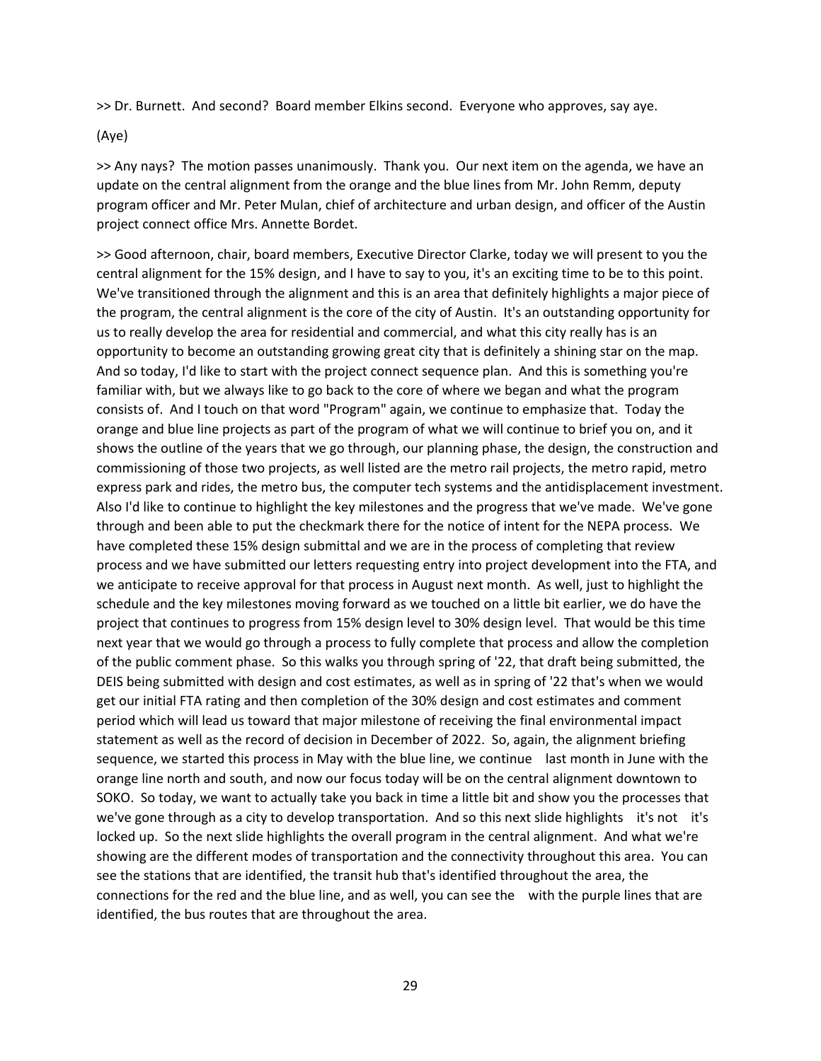>> Dr. Burnett. And second? Board member Elkins second. Everyone who approves, say aye.

(Aye)

>> Any nays? The motion passes unanimously. Thank you. Our next item on the agenda, we have an update on the central alignment from the orange and the blue lines from Mr. John Remm, deputy program officer and Mr. Peter Mulan, chief of architecture and urban design, and officer of the Austin project connect office Mrs. Annette Bordet.

>> Good afternoon, chair, board members, Executive Director Clarke, today we will present to you the central alignment for the 15% design, and I have to say to you, it's an exciting time to be to this point. We've transitioned through the alignment and this is an area that definitely highlights a major piece of the program, the central alignment is the core of the city of Austin. It's an outstanding opportunity for us to really develop the area for residential and commercial, and what this city really has is an opportunity to become an outstanding growing great city that is definitely a shining star on the map. And so today, I'd like to start with the project connect sequence plan. And this is something you're familiar with, but we always like to go back to the core of where we began and what the program consists of. And I touch on that word "Program" again, we continue to emphasize that. Today the orange and blue line projects as part of the program of what we will continue to brief you on, and it shows the outline of the years that we go through, our planning phase, the design, the construction and commissioning of those two projects, as well listed are the metro rail projects, the metro rapid, metro express park and rides, the metro bus, the computer tech systems and the antidisplacement investment. Also I'd like to continue to highlight the key milestones and the progress that we've made. We've gone through and been able to put the checkmark there for the notice of intent for the NEPA process. We have completed these 15% design submittal and we are in the process of completing that review process and we have submitted our letters requesting entry into project development into the FTA, and we anticipate to receive approval for that process in August next month. As well, just to highlight the schedule and the key milestones moving forward as we touched on a little bit earlier, we do have the project that continues to progress from 15% design level to 30% design level. That would be this time next year that we would go through a process to fully complete that process and allow the completion of the public comment phase. So this walks you through spring of '22, that draft being submitted, the DEIS being submitted with design and cost estimates, as well as in spring of '22 that's when we would get our initial FTA rating and then completion of the 30% design and cost estimates and comment period which will lead us toward that major milestone of receiving the final environmental impact statement as well as the record of decision in December of 2022. So, again, the alignment briefing sequence, we started this process in May with the blue line, we continue last month in June with the orange line north and south, and now our focus today will be on the central alignment downtown to SOKO. So today, we want to actually take you back in time a little bit and show you the processes that we've gone through as a city to develop transportation. And so this next slide highlights it's not it's locked up. So the next slide highlights the overall program in the central alignment. And what we're showing are the different modes of transportation and the connectivity throughout this area. You can see the stations that are identified, the transit hub that's identified throughout the area, the connections for the red and the blue line, and as well, you can see the with the purple lines that are identified, the bus routes that are throughout the area.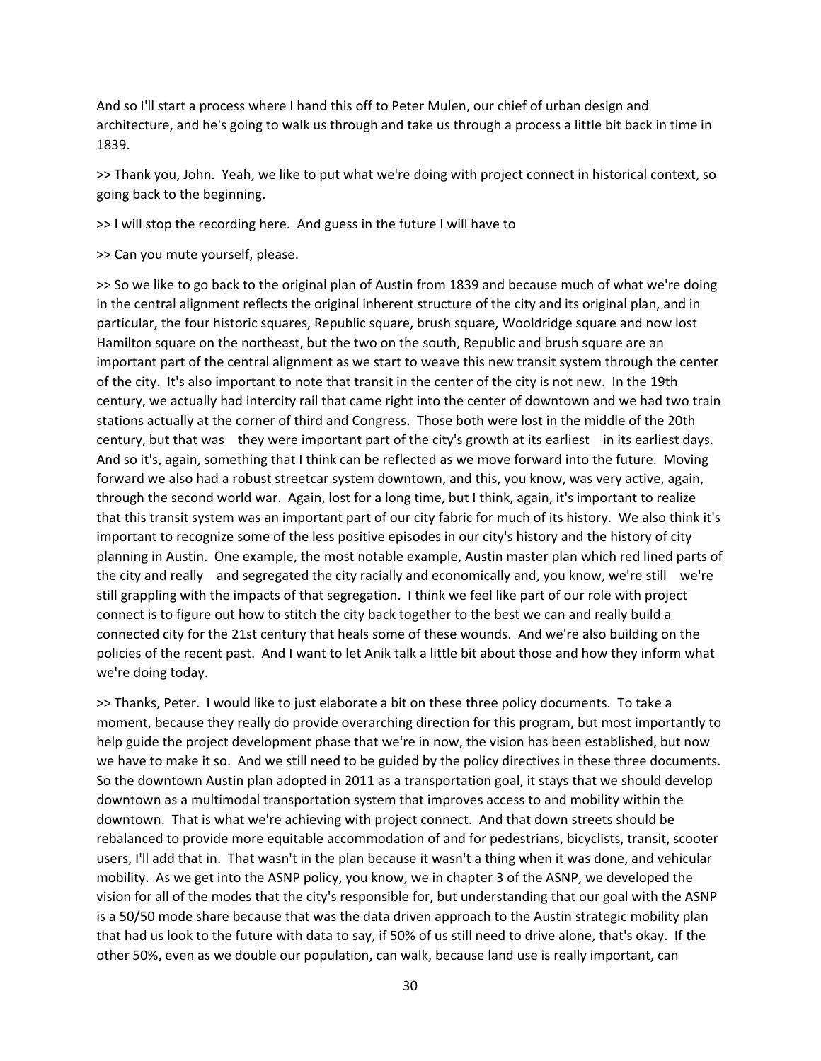And so I'll start a process where I hand this off to Peter Mulen, our chief of urban design and architecture, and he's going to walk us through and take us through a process a little bit back in time in 1839.

>> Thank you, John. Yeah, we like to put what we're doing with project connect in historical context, so going back to the beginning.

>> I will stop the recording here. And guess in the future I will have to

>> Can you mute yourself, please.

>> So we like to go back to the original plan of Austin from 1839 and because much of what we're doing in the central alignment reflects the original inherent structure of the city and its original plan, and in particular, the four historic squares, Republic square, brush square, Wooldridge square and now lost Hamilton square on the northeast, but the two on the south, Republic and brush square are an important part of the central alignment as we start to weave this new transit system through the center of the city. It's also important to note that transit in the center of the city is not new. In the 19th century, we actually had intercity rail that came right into the center of downtown and we had two train stations actually at the corner of third and Congress. Those both were lost in the middle of the 20th century, but that was they were important part of the city's growth at its earliest in its earliest days. And so it's, again, something that I think can be reflected as we move forward into the future. Moving forward we also had a robust streetcar system downtown, and this, you know, was very active, again, through the second world war. Again, lost for a long time, but I think, again, it's important to realize that this transit system was an important part of our city fabric for much of its history. We also think it's important to recognize some of the less positive episodes in our city's history and the history of city planning in Austin. One example, the most notable example, Austin master plan which red lined parts of the city and really and segregated the city racially and economically and, you know, we're still we're still grappling with the impacts of that segregation. I think we feel like part of our role with project connect is to figure out how to stitch the city back together to the best we can and really build a connected city for the 21st century that heals some of these wounds. And we're also building on the policies of the recent past. And I want to let Anik talk a little bit about those and how they inform what we're doing today.

>> Thanks, Peter. I would like to just elaborate a bit on these three policy documents. To take a moment, because they really do provide overarching direction for this program, but most importantly to help guide the project development phase that we're in now, the vision has been established, but now we have to make it so. And we still need to be guided by the policy directives in these three documents. So the downtown Austin plan adopted in 2011 as a transportation goal, it stays that we should develop downtown as a multimodal transportation system that improves access to and mobility within the downtown. That is what we're achieving with project connect. And that down streets should be rebalanced to provide more equitable accommodation of and for pedestrians, bicyclists, transit, scooter users, I'll add that in. That wasn't in the plan because it wasn't a thing when it was done, and vehicular mobility. As we get into the ASNP policy, you know, we in chapter 3 of the ASNP, we developed the vision for all of the modes that the city's responsible for, but understanding that our goal with the ASNP is a 50/50 mode share because that was the data driven approach to the Austin strategic mobility plan that had us look to the future with data to say, if 50% of us still need to drive alone, that's okay. If the other 50%, even as we double our population, can walk, because land use is really important, can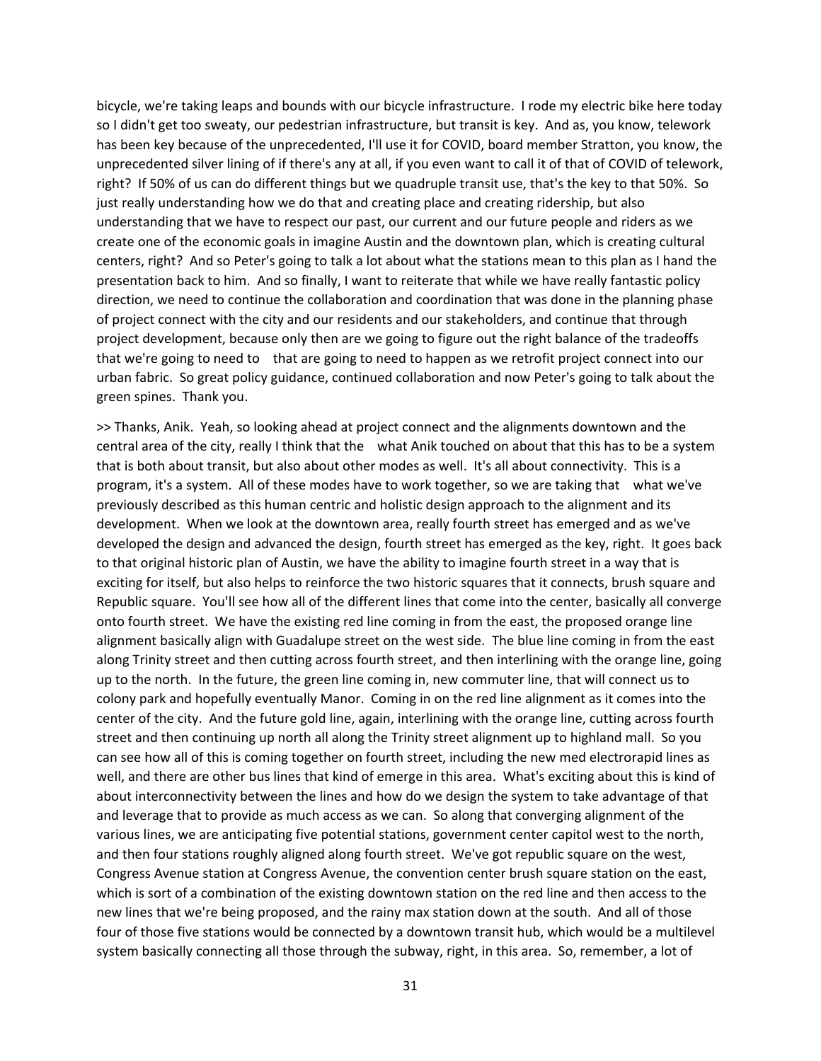bicycle, we're taking leaps and bounds with our bicycle infrastructure. I rode my electric bike here today so I didn't get too sweaty, our pedestrian infrastructure, but transit is key. And as, you know, telework has been key because of the unprecedented, I'll use it for COVID, board member Stratton, you know, the unprecedented silver lining of if there's any at all, if you even want to call it of that of COVID of telework, right? If 50% of us can do different things but we quadruple transit use, that's the key to that 50%. So just really understanding how we do that and creating place and creating ridership, but also understanding that we have to respect our past, our current and our future people and riders as we create one of the economic goals in imagine Austin and the downtown plan, which is creating cultural centers, right? And so Peter's going to talk a lot about what the stations mean to this plan as I hand the presentation back to him. And so finally, I want to reiterate that while we have really fantastic policy direction, we need to continue the collaboration and coordination that was done in the planning phase of project connect with the city and our residents and our stakeholders, and continue that through project development, because only then are we going to figure out the right balance of the tradeoffs that we're going to need to that are going to need to happen as we retrofit project connect into our urban fabric. So great policy guidance, continued collaboration and now Peter's going to talk about the green spines. Thank you.

>> Thanks, Anik. Yeah, so looking ahead at project connect and the alignments downtown and the central area of the city, really I think that the what Anik touched on about that this has to be a system that is both about transit, but also about other modes as well. It's all about connectivity. This is a program, it's a system. All of these modes have to work together, so we are taking that what we've previously described as this human centric and holistic design approach to the alignment and its development. When we look at the downtown area, really fourth street has emerged and as we've developed the design and advanced the design, fourth street has emerged as the key, right. It goes back to that original historic plan of Austin, we have the ability to imagine fourth street in a way that is exciting for itself, but also helps to reinforce the two historic squares that it connects, brush square and Republic square. You'll see how all of the different lines that come into the center, basically all converge onto fourth street. We have the existing red line coming in from the east, the proposed orange line alignment basically align with Guadalupe street on the west side. The blue line coming in from the east along Trinity street and then cutting across fourth street, and then interlining with the orange line, going up to the north. In the future, the green line coming in, new commuter line, that will connect us to colony park and hopefully eventually Manor. Coming in on the red line alignment as it comes into the center of the city. And the future gold line, again, interlining with the orange line, cutting across fourth street and then continuing up north all along the Trinity street alignment up to highland mall. So you can see how all of this is coming together on fourth street, including the new med electrorapid lines as well, and there are other bus lines that kind of emerge in this area. What's exciting about this is kind of about interconnectivity between the lines and how do we design the system to take advantage of that and leverage that to provide as much access as we can. So along that converging alignment of the various lines, we are anticipating five potential stations, government center capitol west to the north, and then four stations roughly aligned along fourth street. We've got republic square on the west, Congress Avenue station at Congress Avenue, the convention center brush square station on the east, which is sort of a combination of the existing downtown station on the red line and then access to the new lines that we're being proposed, and the rainy max station down at the south. And all of those four of those five stations would be connected by a downtown transit hub, which would be a multilevel system basically connecting all those through the subway, right, in this area. So, remember, a lot of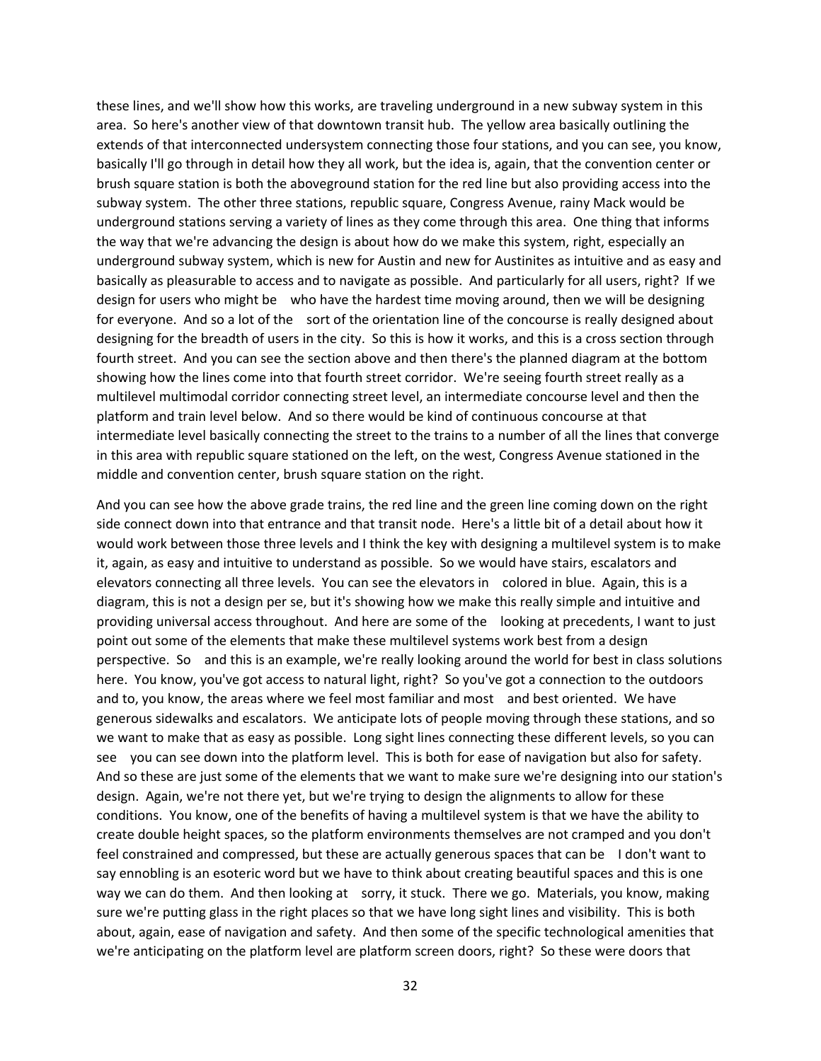these lines, and we'll show how this works, are traveling underground in a new subway system in this area. So here's another view of that downtown transit hub. The yellow area basically outlining the extends of that interconnected undersystem connecting those four stations, and you can see, you know, basically I'll go through in detail how they all work, but the idea is, again, that the convention center or brush square station is both the aboveground station for the red line but also providing access into the subway system. The other three stations, republic square, Congress Avenue, rainy Mack would be underground stations serving a variety of lines as they come through this area. One thing that informs the way that we're advancing the design is about how do we make this system, right, especially an underground subway system, which is new for Austin and new for Austinites as intuitive and as easy and basically as pleasurable to access and to navigate as possible. And particularly for all users, right? If we design for users who might be who have the hardest time moving around, then we will be designing for everyone. And so a lot of the sort of the orientation line of the concourse is really designed about designing for the breadth of users in the city. So this is how it works, and this is a cross section through fourth street. And you can see the section above and then there's the planned diagram at the bottom showing how the lines come into that fourth street corridor. We're seeing fourth street really as a multilevel multimodal corridor connecting street level, an intermediate concourse level and then the platform and train level below. And so there would be kind of continuous concourse at that intermediate level basically connecting the street to the trains to a number of all the lines that converge in this area with republic square stationed on the left, on the west, Congress Avenue stationed in the middle and convention center, brush square station on the right.

And you can see how the above grade trains, the red line and the green line coming down on the right side connect down into that entrance and that transit node. Here's a little bit of a detail about how it would work between those three levels and I think the key with designing a multilevel system is to make it, again, as easy and intuitive to understand as possible. So we would have stairs, escalators and elevators connecting all three levels. You can see the elevators in colored in blue. Again, this is a diagram, this is not a design per se, but it's showing how we make this really simple and intuitive and providing universal access throughout. And here are some of the looking at precedents, I want to just point out some of the elements that make these multilevel systems work best from a design perspective. So and this is an example, we're really looking around the world for best in class solutions here. You know, you've got access to natural light, right? So you've got a connection to the outdoors and to, you know, the areas where we feel most familiar and most and best oriented. We have generous sidewalks and escalators. We anticipate lots of people moving through these stations, and so we want to make that as easy as possible. Long sight lines connecting these different levels, so you can see you can see down into the platform level. This is both for ease of navigation but also for safety. And so these are just some of the elements that we want to make sure we're designing into our station's design. Again, we're not there yet, but we're trying to design the alignments to allow for these conditions. You know, one of the benefits of having a multilevel system is that we have the ability to create double height spaces, so the platform environments themselves are not cramped and you don't feel constrained and compressed, but these are actually generous spaces that can be I don't want to say ennobling is an esoteric word but we have to think about creating beautiful spaces and this is one way we can do them. And then looking at sorry, it stuck. There we go. Materials, you know, making sure we're putting glass in the right places so that we have long sight lines and visibility. This is both about, again, ease of navigation and safety. And then some of the specific technological amenities that we're anticipating on the platform level are platform screen doors, right? So these were doors that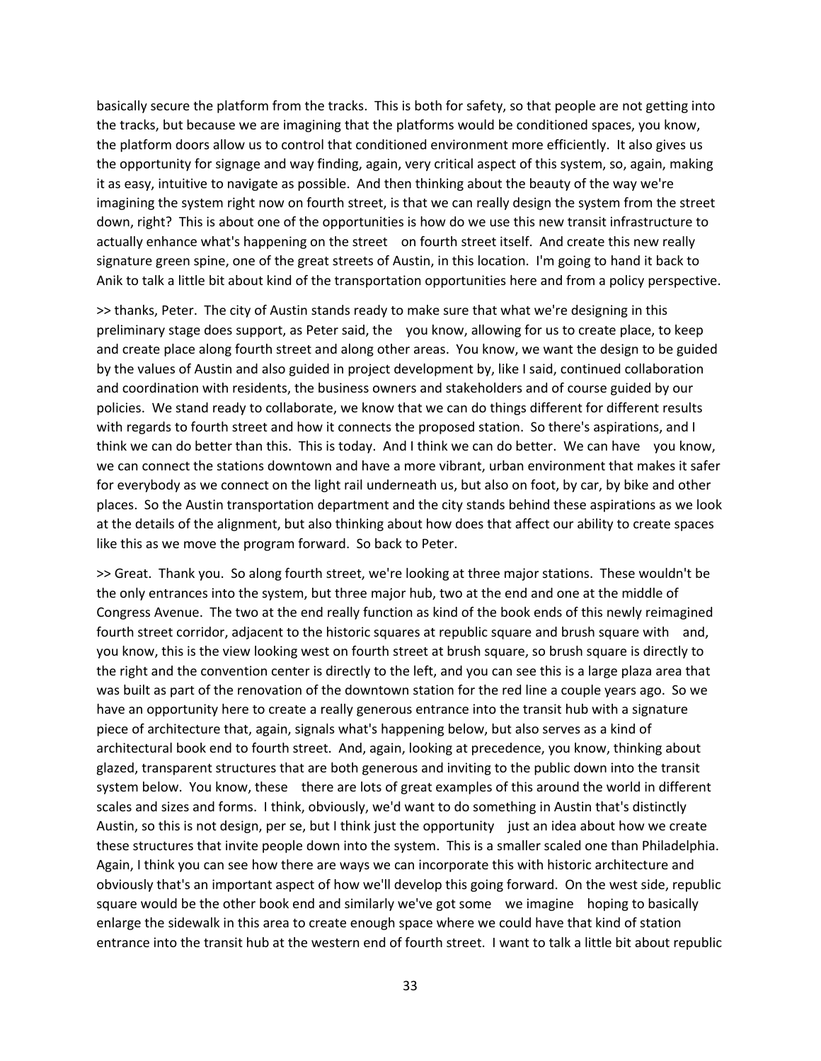basically secure the platform from the tracks. This is both for safety, so that people are not getting into the tracks, but because we are imagining that the platforms would be conditioned spaces, you know, the platform doors allow us to control that conditioned environment more efficiently. It also gives us the opportunity for signage and way finding, again, very critical aspect of this system, so, again, making it as easy, intuitive to navigate as possible. And then thinking about the beauty of the way we're imagining the system right now on fourth street, is that we can really design the system from the street down, right? This is about one of the opportunities is how do we use this new transit infrastructure to actually enhance what's happening on the street on fourth street itself. And create this new really signature green spine, one of the great streets of Austin, in this location. I'm going to hand it back to Anik to talk a little bit about kind of the transportation opportunities here and from a policy perspective.

>> thanks, Peter. The city of Austin stands ready to make sure that what we're designing in this preliminary stage does support, as Peter said, the you know, allowing for us to create place, to keep and create place along fourth street and along other areas. You know, we want the design to be guided by the values of Austin and also guided in project development by, like I said, continued collaboration and coordination with residents, the business owners and stakeholders and of course guided by our policies. We stand ready to collaborate, we know that we can do things different for different results with regards to fourth street and how it connects the proposed station. So there's aspirations, and I think we can do better than this. This is today. And I think we can do better. We can have you know, we can connect the stations downtown and have a more vibrant, urban environment that makes it safer for everybody as we connect on the light rail underneath us, but also on foot, by car, by bike and other places. So the Austin transportation department and the city stands behind these aspirations as we look at the details of the alignment, but also thinking about how does that affect our ability to create spaces like this as we move the program forward. So back to Peter.

>> Great. Thank you. So along fourth street, we're looking at three major stations. These wouldn't be the only entrances into the system, but three major hub, two at the end and one at the middle of Congress Avenue. The two at the end really function as kind of the book ends of this newly reimagined fourth street corridor, adjacent to the historic squares at republic square and brush square with and, you know, this is the view looking west on fourth street at brush square, so brush square is directly to the right and the convention center is directly to the left, and you can see this is a large plaza area that was built as part of the renovation of the downtown station for the red line a couple years ago. So we have an opportunity here to create a really generous entrance into the transit hub with a signature piece of architecture that, again, signals what's happening below, but also serves as a kind of architectural book end to fourth street. And, again, looking at precedence, you know, thinking about glazed, transparent structures that are both generous and inviting to the public down into the transit system below. You know, these there are lots of great examples of this around the world in different scales and sizes and forms. I think, obviously, we'd want to do something in Austin that's distinctly Austin, so this is not design, per se, but I think just the opportunity just an idea about how we create these structures that invite people down into the system. This is a smaller scaled one than Philadelphia. Again, I think you can see how there are ways we can incorporate this with historic architecture and obviously that's an important aspect of how we'll develop this going forward. On the west side, republic square would be the other book end and similarly we've got some we imagine hoping to basically enlarge the sidewalk in this area to create enough space where we could have that kind of station entrance into the transit hub at the western end of fourth street. I want to talk a little bit about republic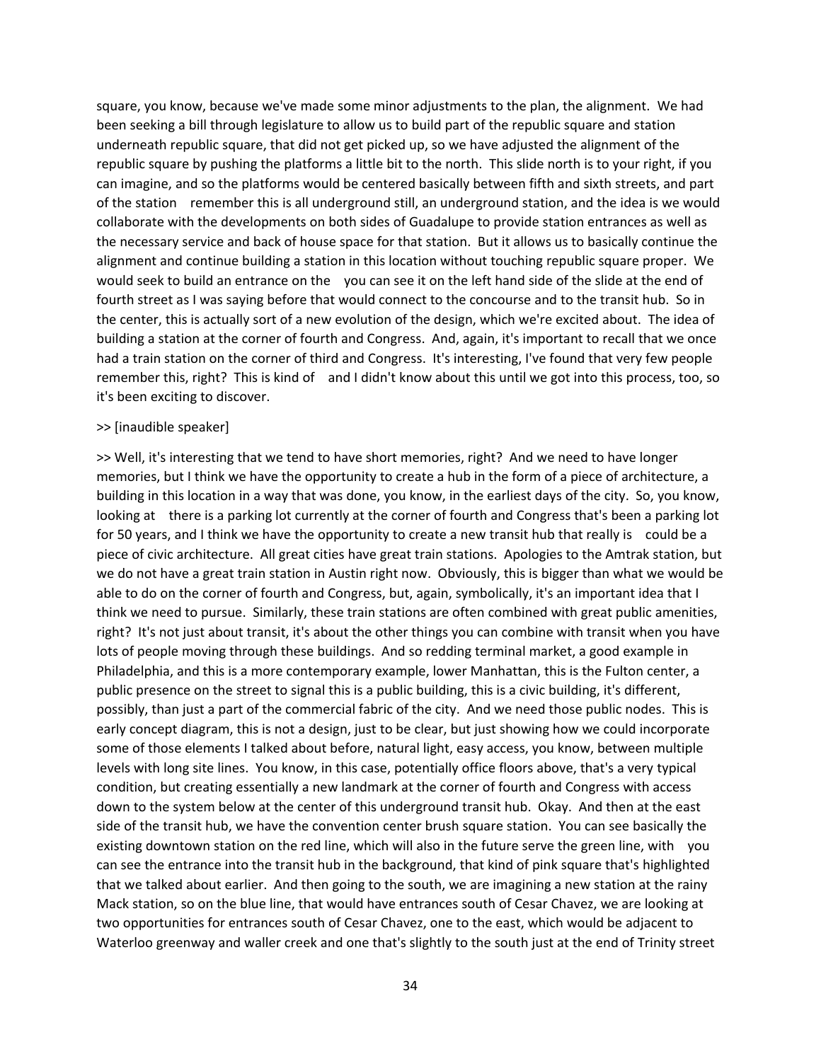square, you know, because we've made some minor adjustments to the plan, the alignment. We had been seeking a bill through legislature to allow us to build part of the republic square and station underneath republic square, that did not get picked up, so we have adjusted the alignment of the republic square by pushing the platforms a little bit to the north. This slide north is to your right, if you can imagine, and so the platforms would be centered basically between fifth and sixth streets, and part of the station remember this is all underground still, an underground station, and the idea is we would collaborate with the developments on both sides of Guadalupe to provide station entrances as well as the necessary service and back of house space for that station. But it allows us to basically continue the alignment and continue building a station in this location without touching republic square proper. We would seek to build an entrance on the you can see it on the left hand side of the slide at the end of fourth street as I was saying before that would connect to the concourse and to the transit hub. So in the center, this is actually sort of a new evolution of the design, which we're excited about. The idea of building a station at the corner of fourth and Congress. And, again, it's important to recall that we once had a train station on the corner of third and Congress. It's interesting, I've found that very few people remember this, right? This is kind of and I didn't know about this until we got into this process, too, so it's been exciting to discover.

## >> [inaudible speaker]

>> Well, it's interesting that we tend to have short memories, right? And we need to have longer memories, but I think we have the opportunity to create a hub in the form of a piece of architecture, a building in this location in a way that was done, you know, in the earliest days of the city. So, you know, looking at there is a parking lot currently at the corner of fourth and Congress that's been a parking lot for 50 years, and I think we have the opportunity to create a new transit hub that really is could be a piece of civic architecture. All great cities have great train stations. Apologies to the Amtrak station, but we do not have a great train station in Austin right now. Obviously, this is bigger than what we would be able to do on the corner of fourth and Congress, but, again, symbolically, it's an important idea that I think we need to pursue. Similarly, these train stations are often combined with great public amenities, right? It's not just about transit, it's about the other things you can combine with transit when you have lots of people moving through these buildings. And so redding terminal market, a good example in Philadelphia, and this is a more contemporary example, lower Manhattan, this is the Fulton center, a public presence on the street to signal this is a public building, this is a civic building, it's different, possibly, than just a part of the commercial fabric of the city. And we need those public nodes. This is early concept diagram, this is not a design, just to be clear, but just showing how we could incorporate some of those elements I talked about before, natural light, easy access, you know, between multiple levels with long site lines. You know, in this case, potentially office floors above, that's a very typical condition, but creating essentially a new landmark at the corner of fourth and Congress with access down to the system below at the center of this underground transit hub. Okay. And then at the east side of the transit hub, we have the convention center brush square station. You can see basically the existing downtown station on the red line, which will also in the future serve the green line, with you can see the entrance into the transit hub in the background, that kind of pink square that's highlighted that we talked about earlier. And then going to the south, we are imagining a new station at the rainy Mack station, so on the blue line, that would have entrances south of Cesar Chavez, we are looking at two opportunities for entrances south of Cesar Chavez, one to the east, which would be adjacent to Waterloo greenway and waller creek and one that's slightly to the south just at the end of Trinity street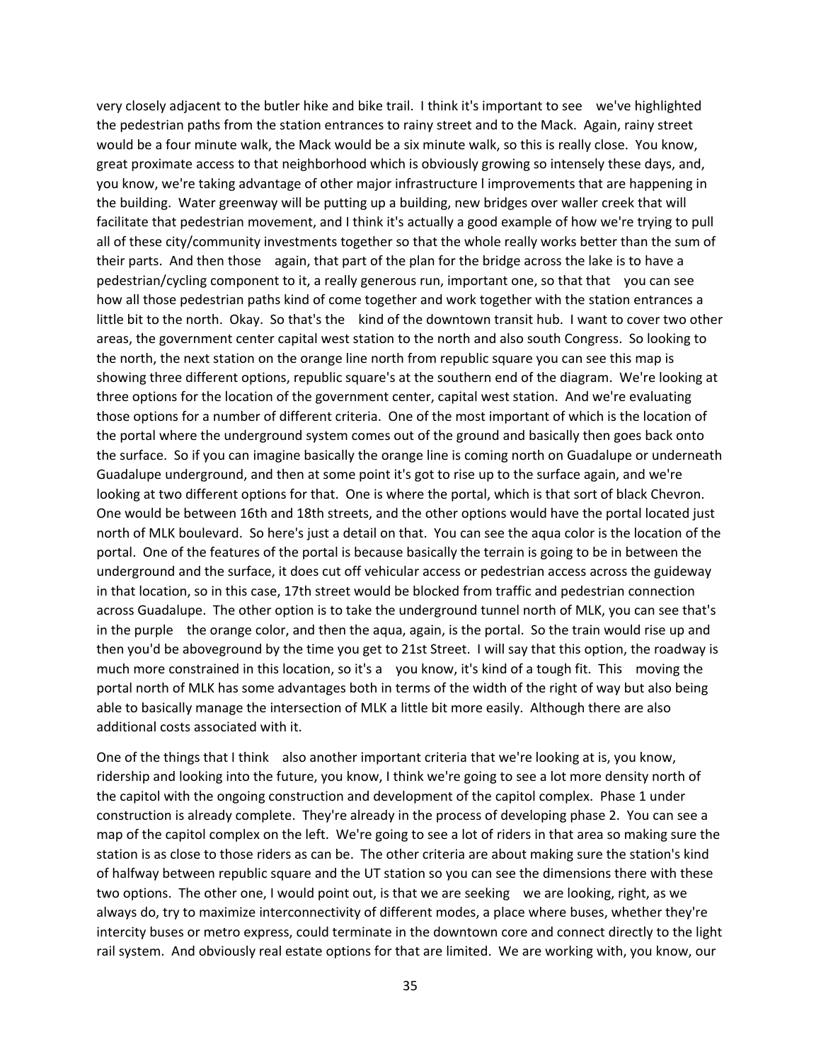very closely adjacent to the butler hike and bike trail. I think it's important to see we've highlighted the pedestrian paths from the station entrances to rainy street and to the Mack. Again, rainy street would be a four minute walk, the Mack would be a six minute walk, so this is really close. You know, great proximate access to that neighborhood which is obviously growing so intensely these days, and, you know, we're taking advantage of other major infrastructure l improvements that are happening in the building. Water greenway will be putting up a building, new bridges over waller creek that will facilitate that pedestrian movement, and I think it's actually a good example of how we're trying to pull all of these city/community investments together so that the whole really works better than the sum of their parts. And then those again, that part of the plan for the bridge across the lake is to have a pedestrian/cycling component to it, a really generous run, important one, so that that you can see how all those pedestrian paths kind of come together and work together with the station entrances a little bit to the north. Okay. So that's the kind of the downtown transit hub. I want to cover two other areas, the government center capital west station to the north and also south Congress. So looking to the north, the next station on the orange line north from republic square you can see this map is showing three different options, republic square's at the southern end of the diagram. We're looking at three options for the location of the government center, capital west station. And we're evaluating those options for a number of different criteria. One of the most important of which is the location of the portal where the underground system comes out of the ground and basically then goes back onto the surface. So if you can imagine basically the orange line is coming north on Guadalupe or underneath Guadalupe underground, and then at some point it's got to rise up to the surface again, and we're looking at two different options for that. One is where the portal, which is that sort of black Chevron. One would be between 16th and 18th streets, and the other options would have the portal located just north of MLK boulevard. So here's just a detail on that. You can see the aqua color is the location of the portal. One of the features of the portal is because basically the terrain is going to be in between the underground and the surface, it does cut off vehicular access or pedestrian access across the guideway in that location, so in this case, 17th street would be blocked from traffic and pedestrian connection across Guadalupe. The other option is to take the underground tunnel north of MLK, you can see that's in the purple the orange color, and then the aqua, again, is the portal. So the train would rise up and then you'd be aboveground by the time you get to 21st Street. I will say that this option, the roadway is much more constrained in this location, so it's a you know, it's kind of a tough fit. This moving the portal north of MLK has some advantages both in terms of the width of the right of way but also being able to basically manage the intersection of MLK a little bit more easily. Although there are also additional costs associated with it.

One of the things that I think also another important criteria that we're looking at is, you know, ridership and looking into the future, you know, I think we're going to see a lot more density north of the capitol with the ongoing construction and development of the capitol complex. Phase 1 under construction is already complete. They're already in the process of developing phase 2. You can see a map of the capitol complex on the left. We're going to see a lot of riders in that area so making sure the station is as close to those riders as can be. The other criteria are about making sure the station's kind of halfway between republic square and the UT station so you can see the dimensions there with these two options. The other one, I would point out, is that we are seeking we are looking, right, as we always do, try to maximize interconnectivity of different modes, a place where buses, whether they're intercity buses or metro express, could terminate in the downtown core and connect directly to the light rail system. And obviously real estate options for that are limited. We are working with, you know, our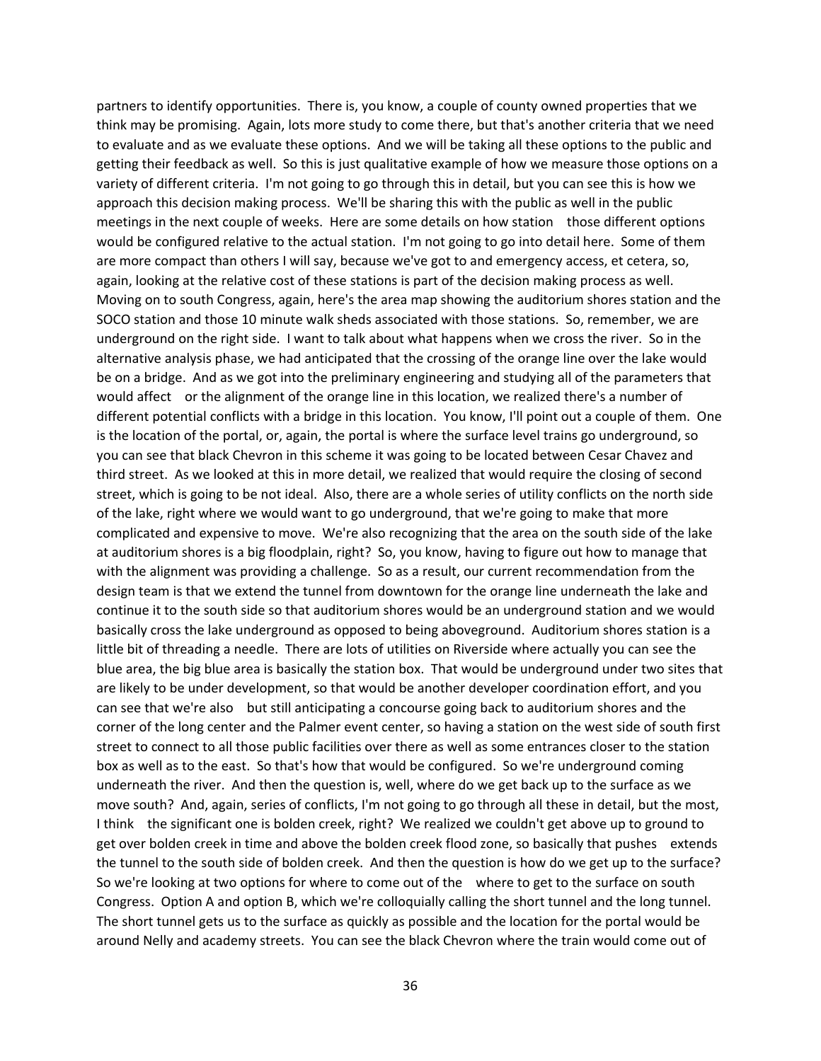partners to identify opportunities. There is, you know, a couple of county owned properties that we think may be promising. Again, lots more study to come there, but that's another criteria that we need to evaluate and as we evaluate these options. And we will be taking all these options to the public and getting their feedback as well. So this is just qualitative example of how we measure those options on a variety of different criteria. I'm not going to go through this in detail, but you can see this is how we approach this decision making process. We'll be sharing this with the public as well in the public meetings in the next couple of weeks. Here are some details on how station those different options would be configured relative to the actual station. I'm not going to go into detail here. Some of them are more compact than others I will say, because we've got to and emergency access, et cetera, so, again, looking at the relative cost of these stations is part of the decision making process as well. Moving on to south Congress, again, here's the area map showing the auditorium shores station and the SOCO station and those 10 minute walk sheds associated with those stations. So, remember, we are underground on the right side. I want to talk about what happens when we cross the river. So in the alternative analysis phase, we had anticipated that the crossing of the orange line over the lake would be on a bridge. And as we got into the preliminary engineering and studying all of the parameters that would affect or the alignment of the orange line in this location, we realized there's a number of different potential conflicts with a bridge in this location. You know, I'll point out a couple of them. One is the location of the portal, or, again, the portal is where the surface level trains go underground, so you can see that black Chevron in this scheme it was going to be located between Cesar Chavez and third street. As we looked at this in more detail, we realized that would require the closing of second street, which is going to be not ideal. Also, there are a whole series of utility conflicts on the north side of the lake, right where we would want to go underground, that we're going to make that more complicated and expensive to move. We're also recognizing that the area on the south side of the lake at auditorium shores is a big floodplain, right? So, you know, having to figure out how to manage that with the alignment was providing a challenge. So as a result, our current recommendation from the design team is that we extend the tunnel from downtown for the orange line underneath the lake and continue it to the south side so that auditorium shores would be an underground station and we would basically cross the lake underground as opposed to being aboveground. Auditorium shores station is a little bit of threading a needle. There are lots of utilities on Riverside where actually you can see the blue area, the big blue area is basically the station box. That would be underground under two sites that are likely to be under development, so that would be another developer coordination effort, and you can see that we're also but still anticipating a concourse going back to auditorium shores and the corner of the long center and the Palmer event center, so having a station on the west side of south first street to connect to all those public facilities over there as well as some entrances closer to the station box as well as to the east. So that's how that would be configured. So we're underground coming underneath the river. And then the question is, well, where do we get back up to the surface as we move south? And, again, series of conflicts, I'm not going to go through all these in detail, but the most, I think the significant one is bolden creek, right? We realized we couldn't get above up to ground to get over bolden creek in time and above the bolden creek flood zone, so basically that pushes extends the tunnel to the south side of bolden creek. And then the question is how do we get up to the surface? So we're looking at two options for where to come out of the where to get to the surface on south Congress. Option A and option B, which we're colloquially calling the short tunnel and the long tunnel. The short tunnel gets us to the surface as quickly as possible and the location for the portal would be around Nelly and academy streets. You can see the black Chevron where the train would come out of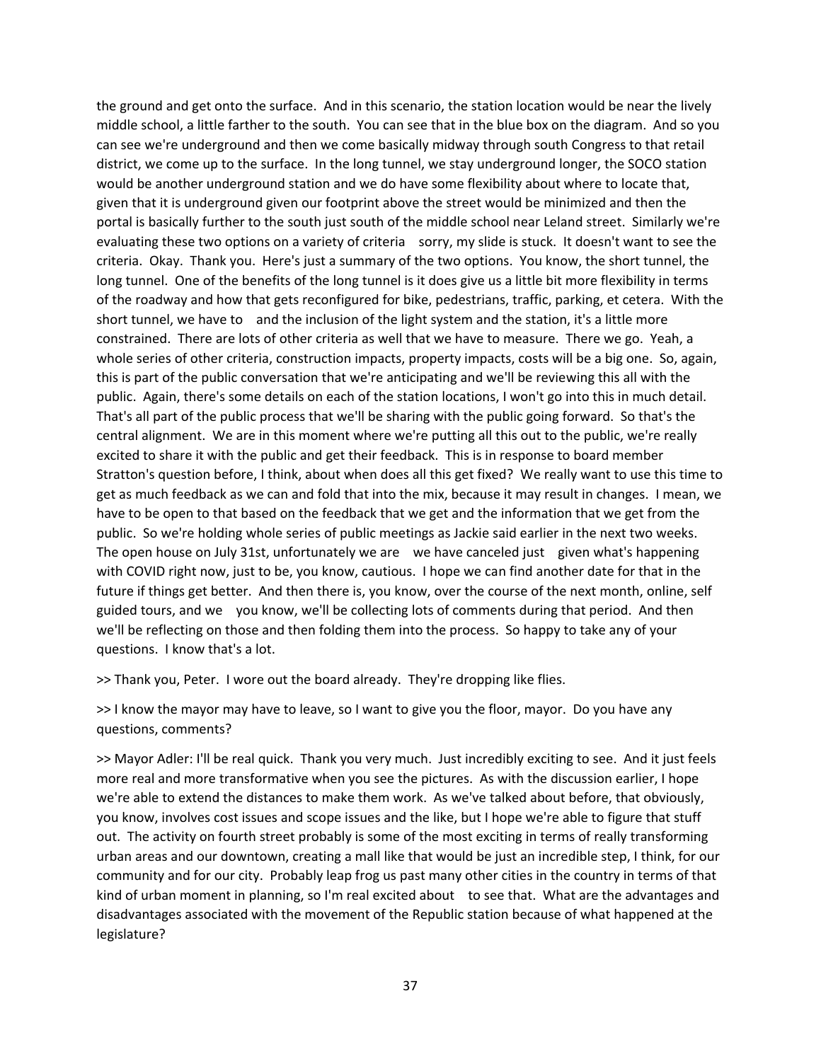the ground and get onto the surface. And in this scenario, the station location would be near the lively middle school, a little farther to the south. You can see that in the blue box on the diagram. And so you can see we're underground and then we come basically midway through south Congress to that retail district, we come up to the surface. In the long tunnel, we stay underground longer, the SOCO station would be another underground station and we do have some flexibility about where to locate that, given that it is underground given our footprint above the street would be minimized and then the portal is basically further to the south just south of the middle school near Leland street. Similarly we're evaluating these two options on a variety of criteria sorry, my slide is stuck. It doesn't want to see the criteria. Okay. Thank you. Here's just a summary of the two options. You know, the short tunnel, the long tunnel. One of the benefits of the long tunnel is it does give us a little bit more flexibility in terms of the roadway and how that gets reconfigured for bike, pedestrians, traffic, parking, et cetera. With the short tunnel, we have to and the inclusion of the light system and the station, it's a little more constrained. There are lots of other criteria as well that we have to measure. There we go. Yeah, a whole series of other criteria, construction impacts, property impacts, costs will be a big one. So, again, this is part of the public conversation that we're anticipating and we'll be reviewing this all with the public. Again, there's some details on each of the station locations, I won't go into this in much detail. That's all part of the public process that we'll be sharing with the public going forward. So that's the central alignment. We are in this moment where we're putting all this out to the public, we're really excited to share it with the public and get their feedback. This is in response to board member Stratton's question before, I think, about when does all this get fixed? We really want to use this time to get as much feedback as we can and fold that into the mix, because it may result in changes. I mean, we have to be open to that based on the feedback that we get and the information that we get from the public. So we're holding whole series of public meetings as Jackie said earlier in the next two weeks. The open house on July 31st, unfortunately we are we have canceled just given what's happening with COVID right now, just to be, you know, cautious. I hope we can find another date for that in the future if things get better. And then there is, you know, over the course of the next month, online, self guided tours, and we you know, we'll be collecting lots of comments during that period. And then we'll be reflecting on those and then folding them into the process. So happy to take any of your questions. I know that's a lot.

>> Thank you, Peter. I wore out the board already. They're dropping like flies.

>> I know the mayor may have to leave, so I want to give you the floor, mayor. Do you have any questions, comments?

>> Mayor Adler: I'll be real quick. Thank you very much. Just incredibly exciting to see. And it just feels more real and more transformative when you see the pictures. As with the discussion earlier, I hope we're able to extend the distances to make them work. As we've talked about before, that obviously, you know, involves cost issues and scope issues and the like, but I hope we're able to figure that stuff out. The activity on fourth street probably is some of the most exciting in terms of really transforming urban areas and our downtown, creating a mall like that would be just an incredible step, I think, for our community and for our city. Probably leap frog us past many other cities in the country in terms of that kind of urban moment in planning, so I'm real excited about to see that. What are the advantages and disadvantages associated with the movement of the Republic station because of what happened at the legislature?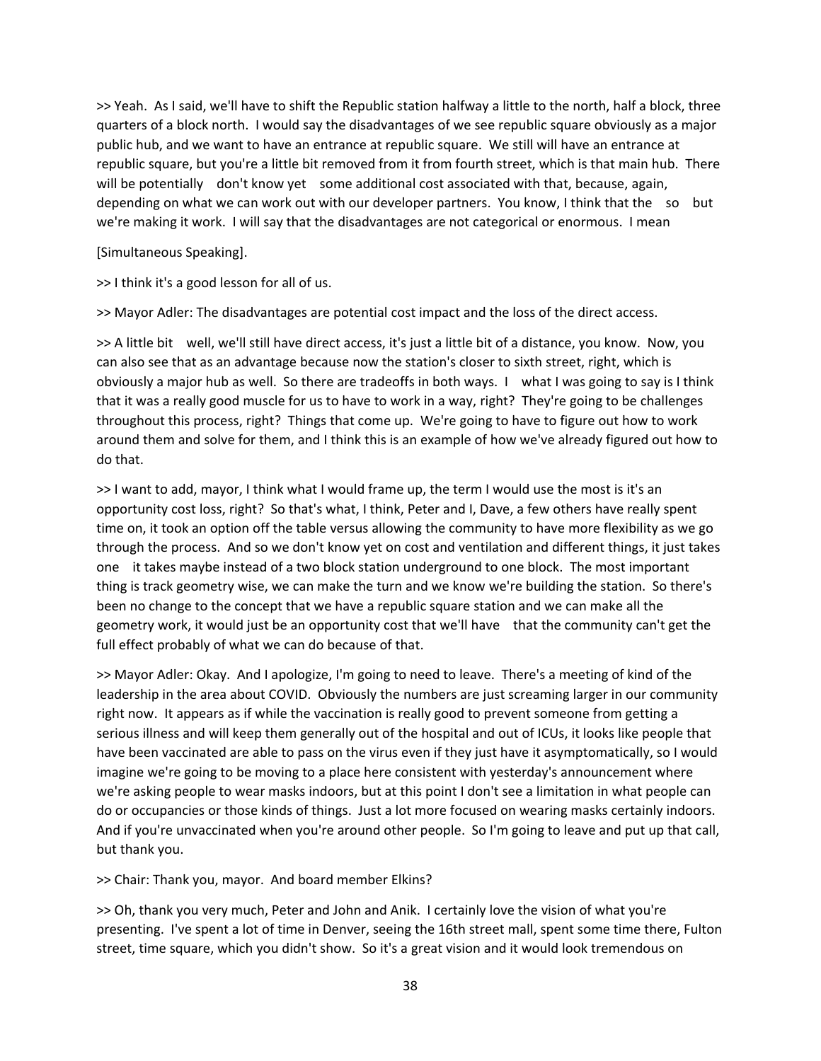>> Yeah. As I said, we'll have to shift the Republic station halfway a little to the north, half a block, three quarters of a block north. I would say the disadvantages of we see republic square obviously as a major public hub, and we want to have an entrance at republic square. We still will have an entrance at republic square, but you're a little bit removed from it from fourth street, which is that main hub. There will be potentially don't know yet some additional cost associated with that, because, again, depending on what we can work out with our developer partners. You know, I think that the so but we're making it work. I will say that the disadvantages are not categorical or enormous. I mean

[Simultaneous Speaking].

>> I think it's a good lesson for all of us.

>> Mayor Adler: The disadvantages are potential cost impact and the loss of the direct access.

>> A little bit well, we'll still have direct access, it's just a little bit of a distance, you know. Now, you can also see that as an advantage because now the station's closer to sixth street, right, which is obviously a major hub as well. So there are tradeoffs in both ways. I what I was going to say is I think that it was a really good muscle for us to have to work in a way, right? They're going to be challenges throughout this process, right? Things that come up. We're going to have to figure out how to work around them and solve for them, and I think this is an example of how we've already figured out how to do that.

>> I want to add, mayor, I think what I would frame up, the term I would use the most is it's an opportunity cost loss, right? So that's what, I think, Peter and I, Dave, a few others have really spent time on, it took an option off the table versus allowing the community to have more flexibility as we go through the process. And so we don't know yet on cost and ventilation and different things, it just takes one it takes maybe instead of a two block station underground to one block. The most important thing is track geometry wise, we can make the turn and we know we're building the station. So there's been no change to the concept that we have a republic square station and we can make all the geometry work, it would just be an opportunity cost that we'll have that the community can't get the full effect probably of what we can do because of that.

>> Mayor Adler: Okay. And I apologize, I'm going to need to leave. There's a meeting of kind of the leadership in the area about COVID. Obviously the numbers are just screaming larger in our community right now. It appears as if while the vaccination is really good to prevent someone from getting a serious illness and will keep them generally out of the hospital and out of ICUs, it looks like people that have been vaccinated are able to pass on the virus even if they just have it asymptomatically, so I would imagine we're going to be moving to a place here consistent with yesterday's announcement where we're asking people to wear masks indoors, but at this point I don't see a limitation in what people can do or occupancies or those kinds of things. Just a lot more focused on wearing masks certainly indoors. And if you're unvaccinated when you're around other people. So I'm going to leave and put up that call, but thank you.

>> Chair: Thank you, mayor. And board member Elkins?

>> Oh, thank you very much, Peter and John and Anik. I certainly love the vision of what you're presenting. I've spent a lot of time in Denver, seeing the 16th street mall, spent some time there, Fulton street, time square, which you didn't show. So it's a great vision and it would look tremendous on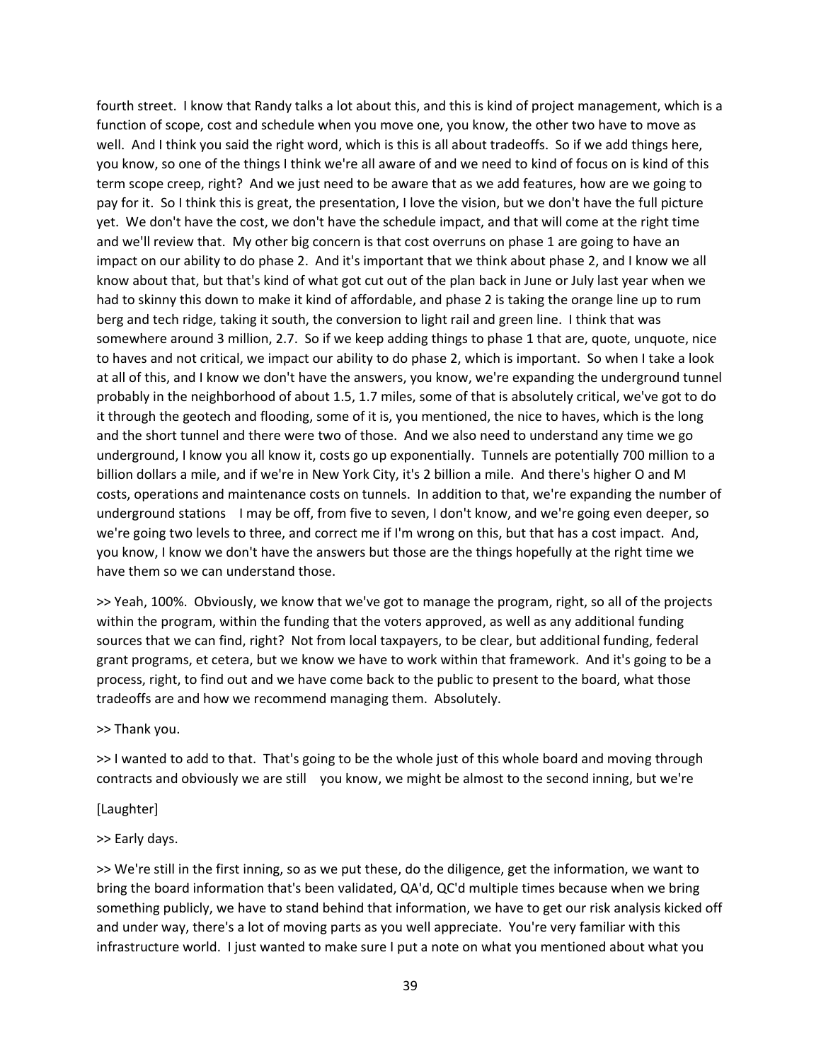fourth street. I know that Randy talks a lot about this, and this is kind of project management, which is a function of scope, cost and schedule when you move one, you know, the other two have to move as well. And I think you said the right word, which is this is all about tradeoffs. So if we add things here, you know, so one of the things I think we're all aware of and we need to kind of focus on is kind of this term scope creep, right? And we just need to be aware that as we add features, how are we going to pay for it. So I think this is great, the presentation, I love the vision, but we don't have the full picture yet. We don't have the cost, we don't have the schedule impact, and that will come at the right time and we'll review that. My other big concern is that cost overruns on phase 1 are going to have an impact on our ability to do phase 2. And it's important that we think about phase 2, and I know we all know about that, but that's kind of what got cut out of the plan back in June or July last year when we had to skinny this down to make it kind of affordable, and phase 2 is taking the orange line up to rum berg and tech ridge, taking it south, the conversion to light rail and green line. I think that was somewhere around 3 million, 2.7. So if we keep adding things to phase 1 that are, quote, unquote, nice to haves and not critical, we impact our ability to do phase 2, which is important. So when I take a look at all of this, and I know we don't have the answers, you know, we're expanding the underground tunnel probably in the neighborhood of about 1.5, 1.7 miles, some of that is absolutely critical, we've got to do it through the geotech and flooding, some of it is, you mentioned, the nice to haves, which is the long and the short tunnel and there were two of those. And we also need to understand any time we go underground, I know you all know it, costs go up exponentially. Tunnels are potentially 700 million to a billion dollars a mile, and if we're in New York City, it's 2 billion a mile. And there's higher O and M costs, operations and maintenance costs on tunnels. In addition to that, we're expanding the number of underground stations I may be off, from five to seven, I don't know, and we're going even deeper, so we're going two levels to three, and correct me if I'm wrong on this, but that has a cost impact. And, you know, I know we don't have the answers but those are the things hopefully at the right time we have them so we can understand those.

>> Yeah, 100%. Obviously, we know that we've got to manage the program, right, so all of the projects within the program, within the funding that the voters approved, as well as any additional funding sources that we can find, right? Not from local taxpayers, to be clear, but additional funding, federal grant programs, et cetera, but we know we have to work within that framework. And it's going to be a process, right, to find out and we have come back to the public to present to the board, what those tradeoffs are and how we recommend managing them. Absolutely.

>> Thank you.

>> I wanted to add to that. That's going to be the whole just of this whole board and moving through contracts and obviously we are still you know, we might be almost to the second inning, but we're

[Laughter]

## >> Early days.

>> We're still in the first inning, so as we put these, do the diligence, get the information, we want to bring the board information that's been validated, QA'd, QC'd multiple times because when we bring something publicly, we have to stand behind that information, we have to get our risk analysis kicked off and under way, there's a lot of moving parts as you well appreciate. You're very familiar with this infrastructure world. I just wanted to make sure I put a note on what you mentioned about what you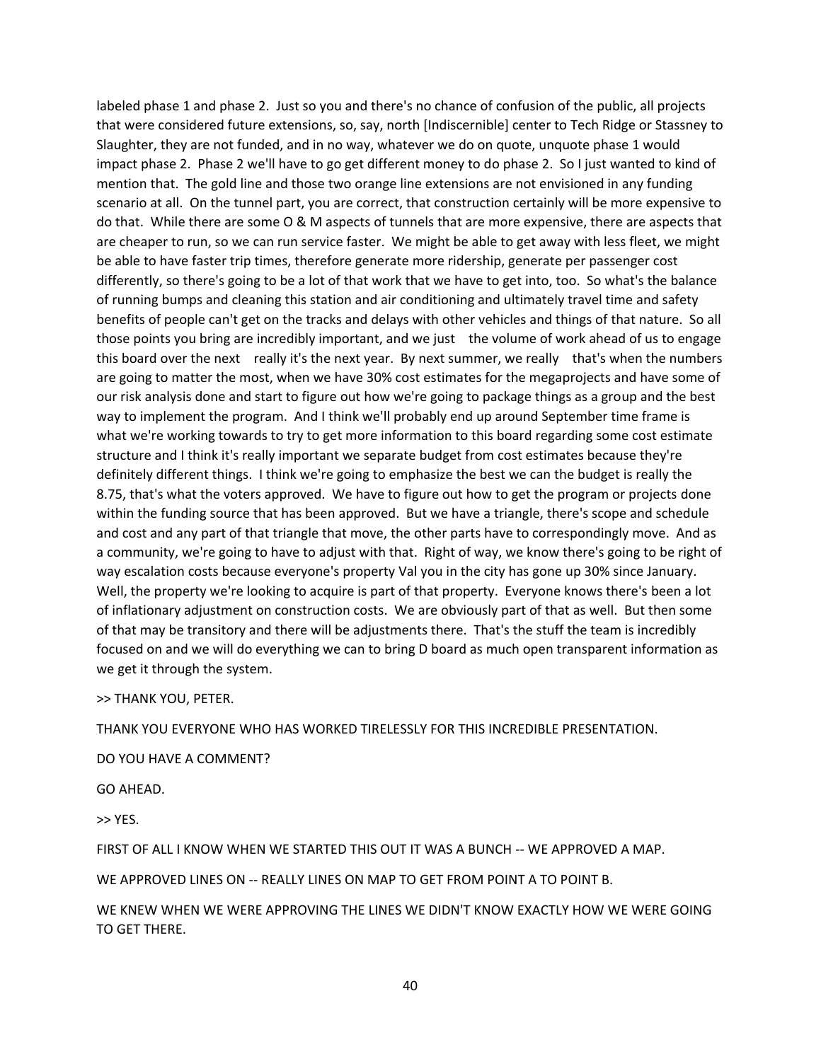labeled phase 1 and phase 2. Just so you and there's no chance of confusion of the public, all projects that were considered future extensions, so, say, north [Indiscernible] center to Tech Ridge or Stassney to Slaughter, they are not funded, and in no way, whatever we do on quote, unquote phase 1 would impact phase 2. Phase 2 we'll have to go get different money to do phase 2. So I just wanted to kind of mention that. The gold line and those two orange line extensions are not envisioned in any funding scenario at all. On the tunnel part, you are correct, that construction certainly will be more expensive to do that. While there are some O & M aspects of tunnels that are more expensive, there are aspects that are cheaper to run, so we can run service faster. We might be able to get away with less fleet, we might be able to have faster trip times, therefore generate more ridership, generate per passenger cost differently, so there's going to be a lot of that work that we have to get into, too. So what's the balance of running bumps and cleaning this station and air conditioning and ultimately travel time and safety benefits of people can't get on the tracks and delays with other vehicles and things of that nature. So all those points you bring are incredibly important, and we just the volume of work ahead of us to engage this board over the next really it's the next year. By next summer, we really that's when the numbers are going to matter the most, when we have 30% cost estimates for the megaprojects and have some of our risk analysis done and start to figure out how we're going to package things as a group and the best way to implement the program. And I think we'll probably end up around September time frame is what we're working towards to try to get more information to this board regarding some cost estimate structure and I think it's really important we separate budget from cost estimates because they're definitely different things. I think we're going to emphasize the best we can the budget is really the 8.75, that's what the voters approved. We have to figure out how to get the program or projects done within the funding source that has been approved. But we have a triangle, there's scope and schedule and cost and any part of that triangle that move, the other parts have to correspondingly move. And as a community, we're going to have to adjust with that. Right of way, we know there's going to be right of way escalation costs because everyone's property Val you in the city has gone up 30% since January. Well, the property we're looking to acquire is part of that property. Everyone knows there's been a lot of inflationary adjustment on construction costs. We are obviously part of that as well. But then some of that may be transitory and there will be adjustments there. That's the stuff the team is incredibly focused on and we will do everything we can to bring D board as much open transparent information as we get it through the system.

>> THANK YOU, PETER.

THANK YOU EVERYONE WHO HAS WORKED TIRELESSLY FOR THIS INCREDIBLE PRESENTATION.

DO YOU HAVE A COMMENT?

GO AHEAD.

>> YES.

FIRST OF ALL I KNOW WHEN WE STARTED THIS OUT IT WAS A BUNCH -- WE APPROVED A MAP.

WE APPROVED LINES ON -- REALLY LINES ON MAP TO GET FROM POINT A TO POINT B.

WE KNEW WHEN WE WERE APPROVING THE LINES WE DIDN'T KNOW EXACTLY HOW WE WERE GOING TO GET THERE.

40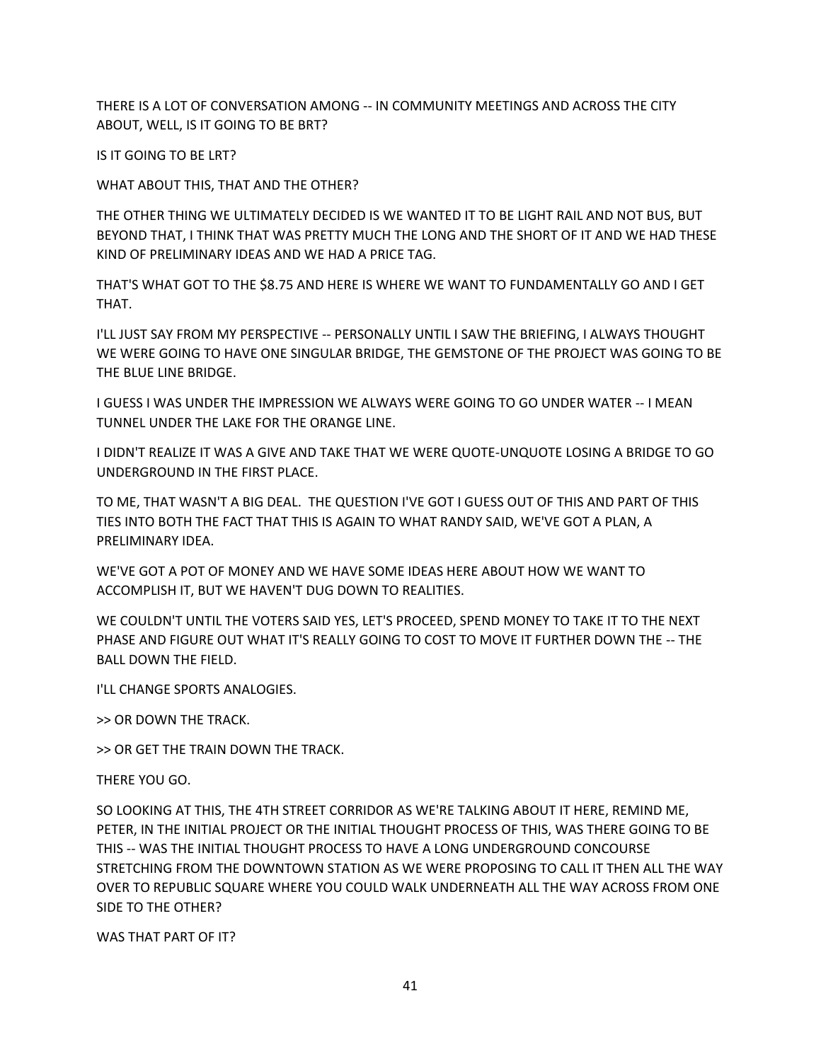THERE IS A LOT OF CONVERSATION AMONG -- IN COMMUNITY MEETINGS AND ACROSS THE CITY ABOUT, WELL, IS IT GOING TO BE BRT?

IS IT GOING TO BE LRT?

WHAT ABOUT THIS, THAT AND THE OTHER?

THE OTHER THING WE ULTIMATELY DECIDED IS WE WANTED IT TO BE LIGHT RAIL AND NOT BUS, BUT BEYOND THAT, I THINK THAT WAS PRETTY MUCH THE LONG AND THE SHORT OF IT AND WE HAD THESE KIND OF PRELIMINARY IDEAS AND WE HAD A PRICE TAG.

THAT'S WHAT GOT TO THE \$8.75 AND HERE IS WHERE WE WANT TO FUNDAMENTALLY GO AND I GET THAT.

I'LL JUST SAY FROM MY PERSPECTIVE -- PERSONALLY UNTIL I SAW THE BRIEFING, I ALWAYS THOUGHT WE WERE GOING TO HAVE ONE SINGULAR BRIDGE, THE GEMSTONE OF THE PROJECT WAS GOING TO BE THE BLUE LINE BRIDGE.

I GUESS I WAS UNDER THE IMPRESSION WE ALWAYS WERE GOING TO GO UNDER WATER -- I MEAN TUNNEL UNDER THE LAKE FOR THE ORANGE LINE.

I DIDN'T REALIZE IT WAS A GIVE AND TAKE THAT WE WERE QUOTE-UNQUOTE LOSING A BRIDGE TO GO UNDERGROUND IN THE FIRST PLACE.

TO ME, THAT WASN'T A BIG DEAL. THE QUESTION I'VE GOT I GUESS OUT OF THIS AND PART OF THIS TIES INTO BOTH THE FACT THAT THIS IS AGAIN TO WHAT RANDY SAID, WE'VE GOT A PLAN, A PRELIMINARY IDEA.

WE'VE GOT A POT OF MONEY AND WE HAVE SOME IDEAS HERE ABOUT HOW WE WANT TO ACCOMPLISH IT, BUT WE HAVEN'T DUG DOWN TO REALITIES.

WE COULDN'T UNTIL THE VOTERS SAID YES, LET'S PROCEED, SPEND MONEY TO TAKE IT TO THE NEXT PHASE AND FIGURE OUT WHAT IT'S REALLY GOING TO COST TO MOVE IT FURTHER DOWN THE -- THE BALL DOWN THE FIELD.

I'LL CHANGE SPORTS ANALOGIES.

>> OR DOWN THE TRACK.

>> OR GET THE TRAIN DOWN THE TRACK.

THERE YOU GO.

SO LOOKING AT THIS, THE 4TH STREET CORRIDOR AS WE'RE TALKING ABOUT IT HERE, REMIND ME, PETER, IN THE INITIAL PROJECT OR THE INITIAL THOUGHT PROCESS OF THIS, WAS THERE GOING TO BE THIS -- WAS THE INITIAL THOUGHT PROCESS TO HAVE A LONG UNDERGROUND CONCOURSE STRETCHING FROM THE DOWNTOWN STATION AS WE WERE PROPOSING TO CALL IT THEN ALL THE WAY OVER TO REPUBLIC SQUARE WHERE YOU COULD WALK UNDERNEATH ALL THE WAY ACROSS FROM ONE SIDE TO THE OTHER?

WAS THAT PART OF IT?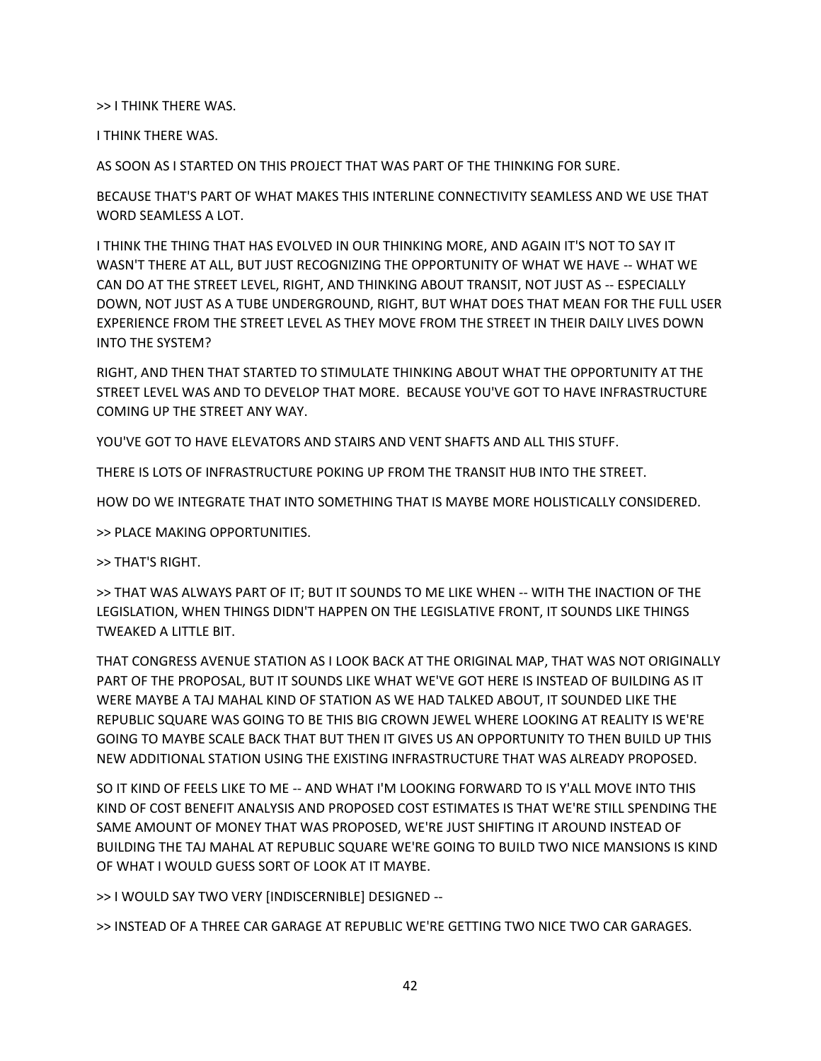>> I THINK THERE WAS.

I THINK THERE WAS.

AS SOON AS I STARTED ON THIS PROJECT THAT WAS PART OF THE THINKING FOR SURE.

BECAUSE THAT'S PART OF WHAT MAKES THIS INTERLINE CONNECTIVITY SEAMLESS AND WE USE THAT WORD SEAMLESS A LOT.

I THINK THE THING THAT HAS EVOLVED IN OUR THINKING MORE, AND AGAIN IT'S NOT TO SAY IT WASN'T THERE AT ALL, BUT JUST RECOGNIZING THE OPPORTUNITY OF WHAT WE HAVE -- WHAT WE CAN DO AT THE STREET LEVEL, RIGHT, AND THINKING ABOUT TRANSIT, NOT JUST AS -- ESPECIALLY DOWN, NOT JUST AS A TUBE UNDERGROUND, RIGHT, BUT WHAT DOES THAT MEAN FOR THE FULL USER EXPERIENCE FROM THE STREET LEVEL AS THEY MOVE FROM THE STREET IN THEIR DAILY LIVES DOWN INTO THE SYSTEM?

RIGHT, AND THEN THAT STARTED TO STIMULATE THINKING ABOUT WHAT THE OPPORTUNITY AT THE STREET LEVEL WAS AND TO DEVELOP THAT MORE. BECAUSE YOU'VE GOT TO HAVE INFRASTRUCTURE COMING UP THE STREET ANY WAY.

YOU'VE GOT TO HAVE ELEVATORS AND STAIRS AND VENT SHAFTS AND ALL THIS STUFF.

THERE IS LOTS OF INFRASTRUCTURE POKING UP FROM THE TRANSIT HUB INTO THE STREET.

HOW DO WE INTEGRATE THAT INTO SOMETHING THAT IS MAYBE MORE HOLISTICALLY CONSIDERED.

>> PLACE MAKING OPPORTUNITIES.

>> THAT'S RIGHT.

>> THAT WAS ALWAYS PART OF IT; BUT IT SOUNDS TO ME LIKE WHEN -- WITH THE INACTION OF THE LEGISLATION, WHEN THINGS DIDN'T HAPPEN ON THE LEGISLATIVE FRONT, IT SOUNDS LIKE THINGS TWEAKED A LITTLE BIT.

THAT CONGRESS AVENUE STATION AS I LOOK BACK AT THE ORIGINAL MAP, THAT WAS NOT ORIGINALLY PART OF THE PROPOSAL, BUT IT SOUNDS LIKE WHAT WE'VE GOT HERE IS INSTEAD OF BUILDING AS IT WERE MAYBE A TAJ MAHAL KIND OF STATION AS WE HAD TALKED ABOUT, IT SOUNDED LIKE THE REPUBLIC SQUARE WAS GOING TO BE THIS BIG CROWN JEWEL WHERE LOOKING AT REALITY IS WE'RE GOING TO MAYBE SCALE BACK THAT BUT THEN IT GIVES US AN OPPORTUNITY TO THEN BUILD UP THIS NEW ADDITIONAL STATION USING THE EXISTING INFRASTRUCTURE THAT WAS ALREADY PROPOSED.

SO IT KIND OF FEELS LIKE TO ME -- AND WHAT I'M LOOKING FORWARD TO IS Y'ALL MOVE INTO THIS KIND OF COST BENEFIT ANALYSIS AND PROPOSED COST ESTIMATES IS THAT WE'RE STILL SPENDING THE SAME AMOUNT OF MONEY THAT WAS PROPOSED, WE'RE JUST SHIFTING IT AROUND INSTEAD OF BUILDING THE TAJ MAHAL AT REPUBLIC SQUARE WE'RE GOING TO BUILD TWO NICE MANSIONS IS KIND OF WHAT I WOULD GUESS SORT OF LOOK AT IT MAYBE.

>> I WOULD SAY TWO VERY [INDISCERNIBLE] DESIGNED --

>> INSTEAD OF A THREE CAR GARAGE AT REPUBLIC WE'RE GETTING TWO NICE TWO CAR GARAGES.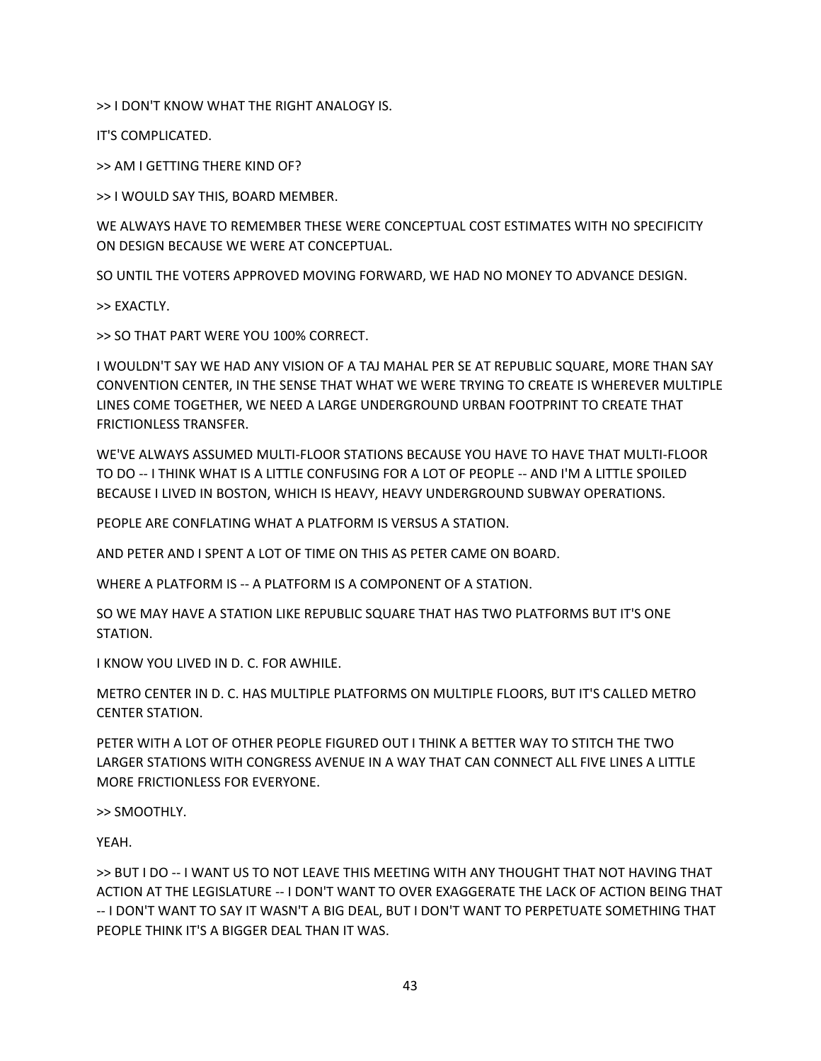>> I DON'T KNOW WHAT THE RIGHT ANALOGY IS.

IT'S COMPLICATED.

>> AM I GETTING THERE KIND OF?

>> I WOULD SAY THIS, BOARD MEMBER.

WE ALWAYS HAVE TO REMEMBER THESE WERE CONCEPTUAL COST ESTIMATES WITH NO SPECIFICITY ON DESIGN BECAUSE WE WERE AT CONCEPTUAL.

SO UNTIL THE VOTERS APPROVED MOVING FORWARD, WE HAD NO MONEY TO ADVANCE DESIGN.

>> EXACTLY.

>> SO THAT PART WERE YOU 100% CORRECT.

I WOULDN'T SAY WE HAD ANY VISION OF A TAJ MAHAL PER SE AT REPUBLIC SQUARE, MORE THAN SAY CONVENTION CENTER, IN THE SENSE THAT WHAT WE WERE TRYING TO CREATE IS WHEREVER MULTIPLE LINES COME TOGETHER, WE NEED A LARGE UNDERGROUND URBAN FOOTPRINT TO CREATE THAT FRICTIONLESS TRANSFER.

WE'VE ALWAYS ASSUMED MULTI-FLOOR STATIONS BECAUSE YOU HAVE TO HAVE THAT MULTI-FLOOR TO DO -- I THINK WHAT IS A LITTLE CONFUSING FOR A LOT OF PEOPLE -- AND I'M A LITTLE SPOILED BECAUSE I LIVED IN BOSTON, WHICH IS HEAVY, HEAVY UNDERGROUND SUBWAY OPERATIONS.

PEOPLE ARE CONFLATING WHAT A PLATFORM IS VERSUS A STATION.

AND PETER AND I SPENT A LOT OF TIME ON THIS AS PETER CAME ON BOARD.

WHERE A PLATFORM IS -- A PLATFORM IS A COMPONENT OF A STATION.

SO WE MAY HAVE A STATION LIKE REPUBLIC SQUARE THAT HAS TWO PLATFORMS BUT IT'S ONE STATION.

I KNOW YOU LIVED IN D. C. FOR AWHILE.

METRO CENTER IN D. C. HAS MULTIPLE PLATFORMS ON MULTIPLE FLOORS, BUT IT'S CALLED METRO CENTER STATION.

PETER WITH A LOT OF OTHER PEOPLE FIGURED OUT I THINK A BETTER WAY TO STITCH THE TWO LARGER STATIONS WITH CONGRESS AVENUE IN A WAY THAT CAN CONNECT ALL FIVE LINES A LITTLE MORE FRICTIONLESS FOR EVERYONE.

>> SMOOTHLY.

YEAH.

>> BUT I DO -- I WANT US TO NOT LEAVE THIS MEETING WITH ANY THOUGHT THAT NOT HAVING THAT ACTION AT THE LEGISLATURE -- I DON'T WANT TO OVER EXAGGERATE THE LACK OF ACTION BEING THAT -- I DON'T WANT TO SAY IT WASN'T A BIG DEAL, BUT I DON'T WANT TO PERPETUATE SOMETHING THAT PEOPLE THINK IT'S A BIGGER DEAL THAN IT WAS.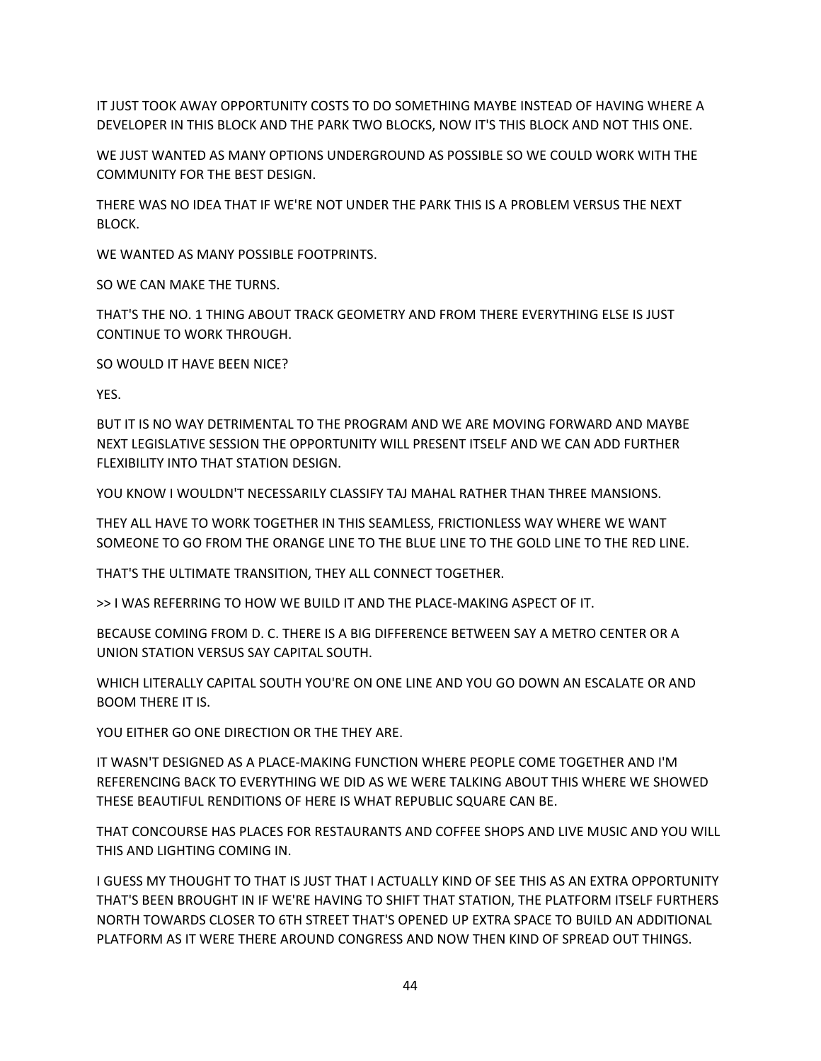IT JUST TOOK AWAY OPPORTUNITY COSTS TO DO SOMETHING MAYBE INSTEAD OF HAVING WHERE A DEVELOPER IN THIS BLOCK AND THE PARK TWO BLOCKS, NOW IT'S THIS BLOCK AND NOT THIS ONE.

WE JUST WANTED AS MANY OPTIONS UNDERGROUND AS POSSIBLE SO WE COULD WORK WITH THE COMMUNITY FOR THE BEST DESIGN.

THERE WAS NO IDEA THAT IF WE'RE NOT UNDER THE PARK THIS IS A PROBLEM VERSUS THE NEXT BLOCK.

WE WANTED AS MANY POSSIBLE FOOTPRINTS.

SO WE CAN MAKE THE TURNS.

THAT'S THE NO. 1 THING ABOUT TRACK GEOMETRY AND FROM THERE EVERYTHING ELSE IS JUST CONTINUE TO WORK THROUGH.

SO WOULD IT HAVE BEEN NICE?

YES.

BUT IT IS NO WAY DETRIMENTAL TO THE PROGRAM AND WE ARE MOVING FORWARD AND MAYBE NEXT LEGISLATIVE SESSION THE OPPORTUNITY WILL PRESENT ITSELF AND WE CAN ADD FURTHER FLEXIBILITY INTO THAT STATION DESIGN.

YOU KNOW I WOULDN'T NECESSARILY CLASSIFY TAJ MAHAL RATHER THAN THREE MANSIONS.

THEY ALL HAVE TO WORK TOGETHER IN THIS SEAMLESS, FRICTIONLESS WAY WHERE WE WANT SOMEONE TO GO FROM THE ORANGE LINE TO THE BLUE LINE TO THE GOLD LINE TO THE RED LINE.

THAT'S THE ULTIMATE TRANSITION, THEY ALL CONNECT TOGETHER.

>> I WAS REFERRING TO HOW WE BUILD IT AND THE PLACE-MAKING ASPECT OF IT.

BECAUSE COMING FROM D. C. THERE IS A BIG DIFFERENCE BETWEEN SAY A METRO CENTER OR A UNION STATION VERSUS SAY CAPITAL SOUTH.

WHICH LITERALLY CAPITAL SOUTH YOU'RE ON ONE LINE AND YOU GO DOWN AN ESCALATE OR AND BOOM THERE IT IS.

YOU EITHER GO ONE DIRECTION OR THE THEY ARE.

IT WASN'T DESIGNED AS A PLACE-MAKING FUNCTION WHERE PEOPLE COME TOGETHER AND I'M REFERENCING BACK TO EVERYTHING WE DID AS WE WERE TALKING ABOUT THIS WHERE WE SHOWED THESE BEAUTIFUL RENDITIONS OF HERE IS WHAT REPUBLIC SQUARE CAN BE.

THAT CONCOURSE HAS PLACES FOR RESTAURANTS AND COFFEE SHOPS AND LIVE MUSIC AND YOU WILL THIS AND LIGHTING COMING IN.

I GUESS MY THOUGHT TO THAT IS JUST THAT I ACTUALLY KIND OF SEE THIS AS AN EXTRA OPPORTUNITY THAT'S BEEN BROUGHT IN IF WE'RE HAVING TO SHIFT THAT STATION, THE PLATFORM ITSELF FURTHERS NORTH TOWARDS CLOSER TO 6TH STREET THAT'S OPENED UP EXTRA SPACE TO BUILD AN ADDITIONAL PLATFORM AS IT WERE THERE AROUND CONGRESS AND NOW THEN KIND OF SPREAD OUT THINGS.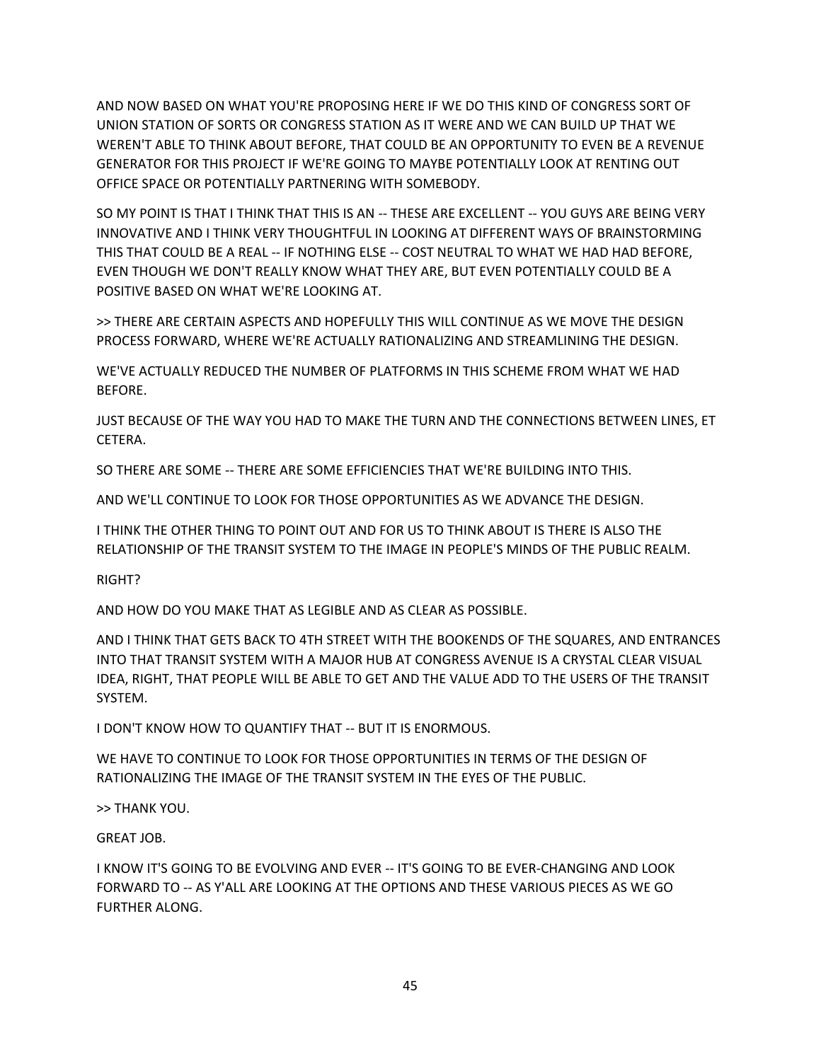AND NOW BASED ON WHAT YOU'RE PROPOSING HERE IF WE DO THIS KIND OF CONGRESS SORT OF UNION STATION OF SORTS OR CONGRESS STATION AS IT WERE AND WE CAN BUILD UP THAT WE WEREN'T ABLE TO THINK ABOUT BEFORE, THAT COULD BE AN OPPORTUNITY TO EVEN BE A REVENUE GENERATOR FOR THIS PROJECT IF WE'RE GOING TO MAYBE POTENTIALLY LOOK AT RENTING OUT OFFICE SPACE OR POTENTIALLY PARTNERING WITH SOMEBODY.

SO MY POINT IS THAT I THINK THAT THIS IS AN -- THESE ARE EXCELLENT -- YOU GUYS ARE BEING VERY INNOVATIVE AND I THINK VERY THOUGHTFUL IN LOOKING AT DIFFERENT WAYS OF BRAINSTORMING THIS THAT COULD BE A REAL -- IF NOTHING ELSE -- COST NEUTRAL TO WHAT WE HAD HAD BEFORE, EVEN THOUGH WE DON'T REALLY KNOW WHAT THEY ARE, BUT EVEN POTENTIALLY COULD BE A POSITIVE BASED ON WHAT WE'RE LOOKING AT.

>> THERE ARE CERTAIN ASPECTS AND HOPEFULLY THIS WILL CONTINUE AS WE MOVE THE DESIGN PROCESS FORWARD, WHERE WE'RE ACTUALLY RATIONALIZING AND STREAMLINING THE DESIGN.

WE'VE ACTUALLY REDUCED THE NUMBER OF PLATFORMS IN THIS SCHEME FROM WHAT WE HAD BEFORE.

JUST BECAUSE OF THE WAY YOU HAD TO MAKE THE TURN AND THE CONNECTIONS BETWEEN LINES, ET CETERA.

SO THERE ARE SOME -- THERE ARE SOME EFFICIENCIES THAT WE'RE BUILDING INTO THIS.

AND WE'LL CONTINUE TO LOOK FOR THOSE OPPORTUNITIES AS WE ADVANCE THE DESIGN.

I THINK THE OTHER THING TO POINT OUT AND FOR US TO THINK ABOUT IS THERE IS ALSO THE RELATIONSHIP OF THE TRANSIT SYSTEM TO THE IMAGE IN PEOPLE'S MINDS OF THE PUBLIC REALM.

RIGHT?

AND HOW DO YOU MAKE THAT AS LEGIBLE AND AS CLEAR AS POSSIBLE.

AND I THINK THAT GETS BACK TO 4TH STREET WITH THE BOOKENDS OF THE SQUARES, AND ENTRANCES INTO THAT TRANSIT SYSTEM WITH A MAJOR HUB AT CONGRESS AVENUE IS A CRYSTAL CLEAR VISUAL IDEA, RIGHT, THAT PEOPLE WILL BE ABLE TO GET AND THE VALUE ADD TO THE USERS OF THE TRANSIT SYSTEM.

I DON'T KNOW HOW TO QUANTIFY THAT -- BUT IT IS ENORMOUS.

WE HAVE TO CONTINUE TO LOOK FOR THOSE OPPORTUNITIES IN TERMS OF THE DESIGN OF RATIONALIZING THE IMAGE OF THE TRANSIT SYSTEM IN THE EYES OF THE PUBLIC.

>> THANK YOU.

GREAT JOB.

I KNOW IT'S GOING TO BE EVOLVING AND EVER -- IT'S GOING TO BE EVER-CHANGING AND LOOK FORWARD TO -- AS Y'ALL ARE LOOKING AT THE OPTIONS AND THESE VARIOUS PIECES AS WE GO FURTHER ALONG.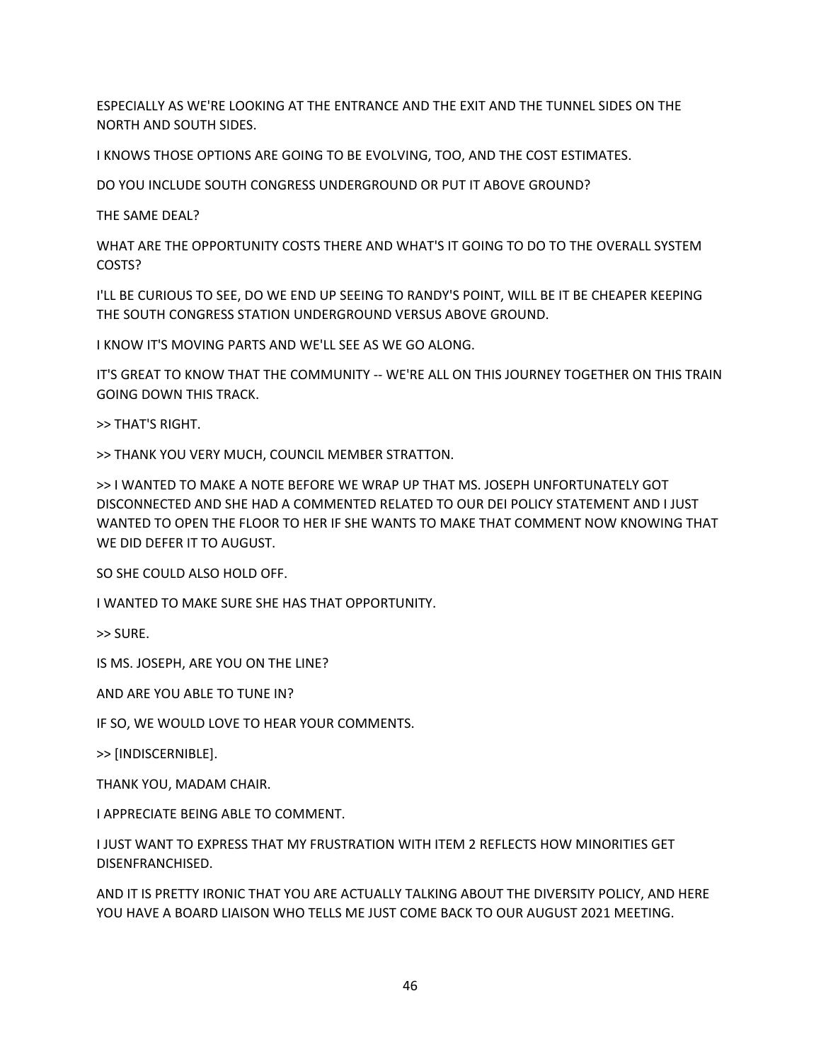ESPECIALLY AS WE'RE LOOKING AT THE ENTRANCE AND THE EXIT AND THE TUNNEL SIDES ON THE NORTH AND SOUTH SIDES.

I KNOWS THOSE OPTIONS ARE GOING TO BE EVOLVING, TOO, AND THE COST ESTIMATES.

DO YOU INCLUDE SOUTH CONGRESS UNDERGROUND OR PUT IT ABOVE GROUND?

THE SAME DEAL?

WHAT ARE THE OPPORTUNITY COSTS THERE AND WHAT'S IT GOING TO DO TO THE OVERALL SYSTEM COSTS?

I'LL BE CURIOUS TO SEE, DO WE END UP SEEING TO RANDY'S POINT, WILL BE IT BE CHEAPER KEEPING THE SOUTH CONGRESS STATION UNDERGROUND VERSUS ABOVE GROUND.

I KNOW IT'S MOVING PARTS AND WE'LL SEE AS WE GO ALONG.

IT'S GREAT TO KNOW THAT THE COMMUNITY -- WE'RE ALL ON THIS JOURNEY TOGETHER ON THIS TRAIN GOING DOWN THIS TRACK.

>> THAT'S RIGHT.

>> THANK YOU VERY MUCH, COUNCIL MEMBER STRATTON.

>> I WANTED TO MAKE A NOTE BEFORE WE WRAP UP THAT MS. JOSEPH UNFORTUNATELY GOT DISCONNECTED AND SHE HAD A COMMENTED RELATED TO OUR DEI POLICY STATEMENT AND I JUST WANTED TO OPEN THE FLOOR TO HER IF SHE WANTS TO MAKE THAT COMMENT NOW KNOWING THAT WE DID DEFER IT TO AUGUST.

SO SHE COULD ALSO HOLD OFF.

I WANTED TO MAKE SURE SHE HAS THAT OPPORTUNITY.

>> SURE.

IS MS. JOSEPH, ARE YOU ON THE LINE?

AND ARE YOU ABLE TO TUNE IN?

IF SO, WE WOULD LOVE TO HEAR YOUR COMMENTS.

>> [INDISCERNIBLE].

THANK YOU, MADAM CHAIR.

I APPRECIATE BEING ABLE TO COMMENT.

I JUST WANT TO EXPRESS THAT MY FRUSTRATION WITH ITEM 2 REFLECTS HOW MINORITIES GET DISENFRANCHISED.

AND IT IS PRETTY IRONIC THAT YOU ARE ACTUALLY TALKING ABOUT THE DIVERSITY POLICY, AND HERE YOU HAVE A BOARD LIAISON WHO TELLS ME JUST COME BACK TO OUR AUGUST 2021 MEETING.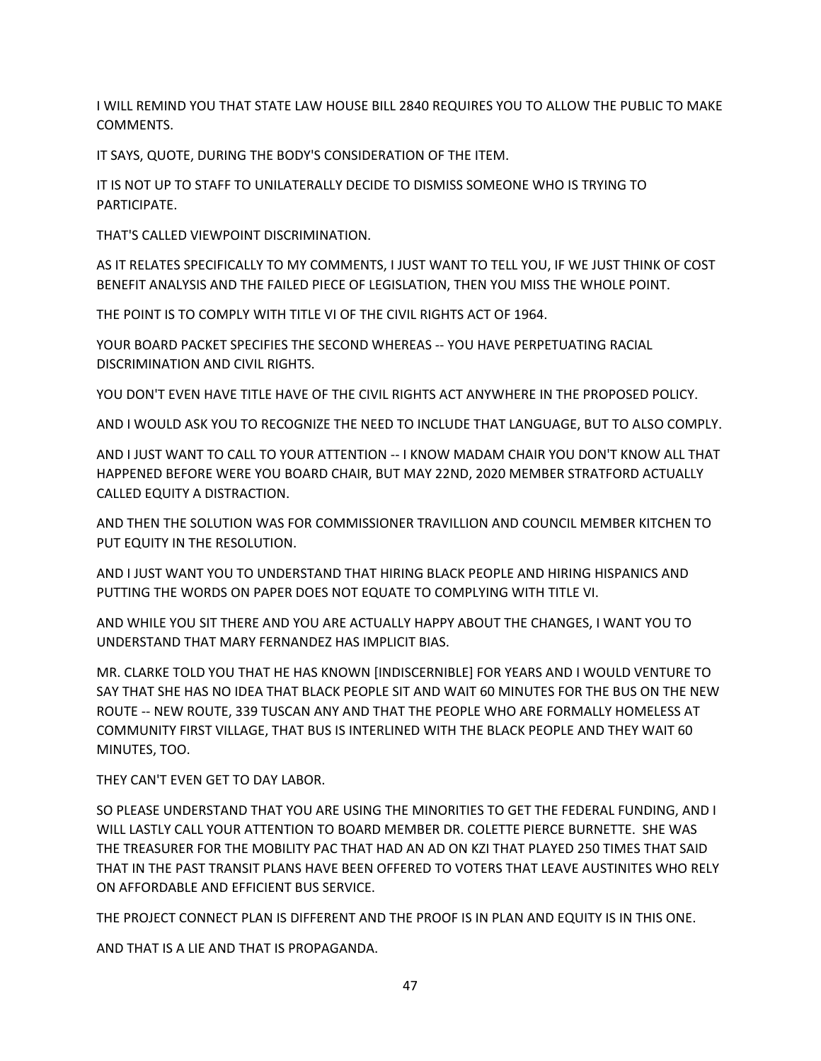I WILL REMIND YOU THAT STATE LAW HOUSE BILL 2840 REQUIRES YOU TO ALLOW THE PUBLIC TO MAKE COMMENTS.

IT SAYS, QUOTE, DURING THE BODY'S CONSIDERATION OF THE ITEM.

IT IS NOT UP TO STAFF TO UNILATERALLY DECIDE TO DISMISS SOMEONE WHO IS TRYING TO PARTICIPATE.

THAT'S CALLED VIEWPOINT DISCRIMINATION.

AS IT RELATES SPECIFICALLY TO MY COMMENTS, I JUST WANT TO TELL YOU, IF WE JUST THINK OF COST BENEFIT ANALYSIS AND THE FAILED PIECE OF LEGISLATION, THEN YOU MISS THE WHOLE POINT.

THE POINT IS TO COMPLY WITH TITLE VI OF THE CIVIL RIGHTS ACT OF 1964.

YOUR BOARD PACKET SPECIFIES THE SECOND WHEREAS -- YOU HAVE PERPETUATING RACIAL DISCRIMINATION AND CIVIL RIGHTS.

YOU DON'T EVEN HAVE TITLE HAVE OF THE CIVIL RIGHTS ACT ANYWHERE IN THE PROPOSED POLICY.

AND I WOULD ASK YOU TO RECOGNIZE THE NEED TO INCLUDE THAT LANGUAGE, BUT TO ALSO COMPLY.

AND I JUST WANT TO CALL TO YOUR ATTENTION -- I KNOW MADAM CHAIR YOU DON'T KNOW ALL THAT HAPPENED BEFORE WERE YOU BOARD CHAIR, BUT MAY 22ND, 2020 MEMBER STRATFORD ACTUALLY CALLED EQUITY A DISTRACTION.

AND THEN THE SOLUTION WAS FOR COMMISSIONER TRAVILLION AND COUNCIL MEMBER KITCHEN TO PUT EQUITY IN THE RESOLUTION.

AND I JUST WANT YOU TO UNDERSTAND THAT HIRING BLACK PEOPLE AND HIRING HISPANICS AND PUTTING THE WORDS ON PAPER DOES NOT EQUATE TO COMPLYING WITH TITLE VI.

AND WHILE YOU SIT THERE AND YOU ARE ACTUALLY HAPPY ABOUT THE CHANGES, I WANT YOU TO UNDERSTAND THAT MARY FERNANDEZ HAS IMPLICIT BIAS.

MR. CLARKE TOLD YOU THAT HE HAS KNOWN [INDISCERNIBLE] FOR YEARS AND I WOULD VENTURE TO SAY THAT SHE HAS NO IDEA THAT BLACK PEOPLE SIT AND WAIT 60 MINUTES FOR THE BUS ON THE NEW ROUTE -- NEW ROUTE, 339 TUSCAN ANY AND THAT THE PEOPLE WHO ARE FORMALLY HOMELESS AT COMMUNITY FIRST VILLAGE, THAT BUS IS INTERLINED WITH THE BLACK PEOPLE AND THEY WAIT 60 MINUTES, TOO.

THEY CAN'T EVEN GET TO DAY LABOR.

SO PLEASE UNDERSTAND THAT YOU ARE USING THE MINORITIES TO GET THE FEDERAL FUNDING, AND I WILL LASTLY CALL YOUR ATTENTION TO BOARD MEMBER DR. COLETTE PIERCE BURNETTE. SHE WAS THE TREASURER FOR THE MOBILITY PAC THAT HAD AN AD ON KZI THAT PLAYED 250 TIMES THAT SAID THAT IN THE PAST TRANSIT PLANS HAVE BEEN OFFERED TO VOTERS THAT LEAVE AUSTINITES WHO RELY ON AFFORDABLE AND EFFICIENT BUS SERVICE.

THE PROJECT CONNECT PLAN IS DIFFERENT AND THE PROOF IS IN PLAN AND EQUITY IS IN THIS ONE.

AND THAT IS A LIE AND THAT IS PROPAGANDA.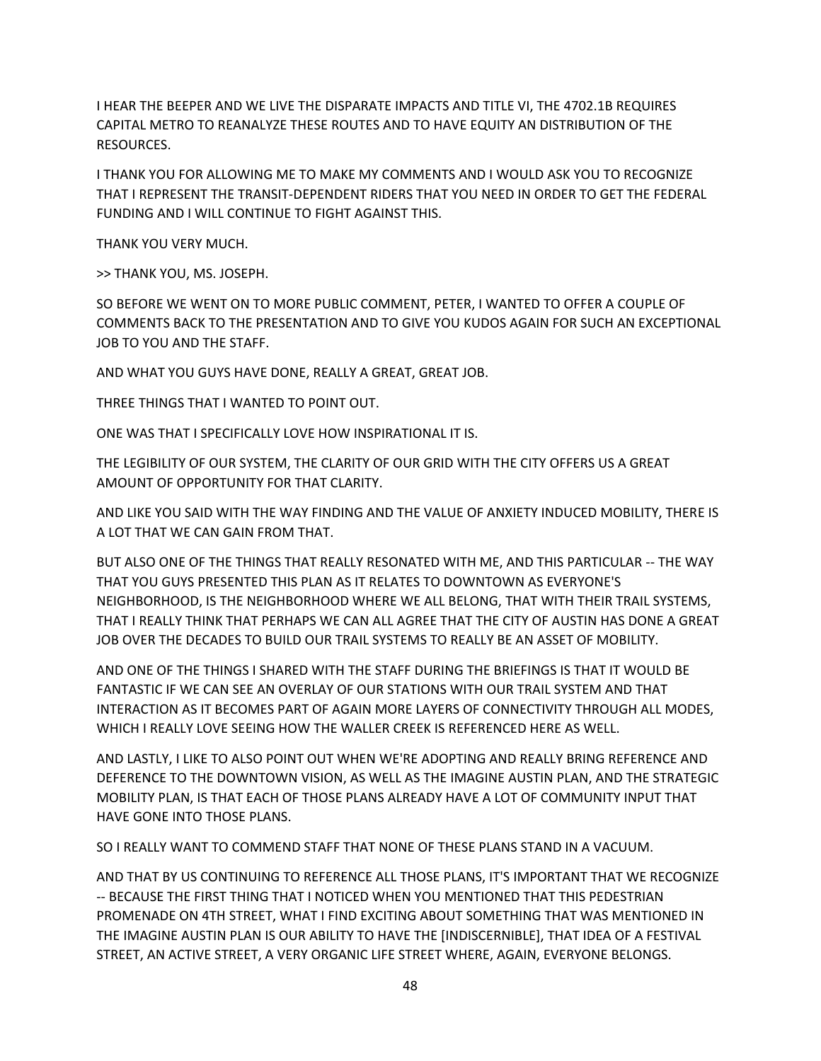I HEAR THE BEEPER AND WE LIVE THE DISPARATE IMPACTS AND TITLE VI, THE 4702.1B REQUIRES CAPITAL METRO TO REANALYZE THESE ROUTES AND TO HAVE EQUITY AN DISTRIBUTION OF THE RESOURCES.

I THANK YOU FOR ALLOWING ME TO MAKE MY COMMENTS AND I WOULD ASK YOU TO RECOGNIZE THAT I REPRESENT THE TRANSIT-DEPENDENT RIDERS THAT YOU NEED IN ORDER TO GET THE FEDERAL FUNDING AND I WILL CONTINUE TO FIGHT AGAINST THIS.

THANK YOU VERY MUCH.

>> THANK YOU, MS. JOSEPH.

SO BEFORE WE WENT ON TO MORE PUBLIC COMMENT, PETER, I WANTED TO OFFER A COUPLE OF COMMENTS BACK TO THE PRESENTATION AND TO GIVE YOU KUDOS AGAIN FOR SUCH AN EXCEPTIONAL JOB TO YOU AND THE STAFF.

AND WHAT YOU GUYS HAVE DONE, REALLY A GREAT, GREAT JOB.

THREE THINGS THAT I WANTED TO POINT OUT.

ONE WAS THAT I SPECIFICALLY LOVE HOW INSPIRATIONAL IT IS.

THE LEGIBILITY OF OUR SYSTEM, THE CLARITY OF OUR GRID WITH THE CITY OFFERS US A GREAT AMOUNT OF OPPORTUNITY FOR THAT CLARITY.

AND LIKE YOU SAID WITH THE WAY FINDING AND THE VALUE OF ANXIETY INDUCED MOBILITY, THERE IS A LOT THAT WE CAN GAIN FROM THAT.

BUT ALSO ONE OF THE THINGS THAT REALLY RESONATED WITH ME, AND THIS PARTICULAR -- THE WAY THAT YOU GUYS PRESENTED THIS PLAN AS IT RELATES TO DOWNTOWN AS EVERYONE'S NEIGHBORHOOD, IS THE NEIGHBORHOOD WHERE WE ALL BELONG, THAT WITH THEIR TRAIL SYSTEMS, THAT I REALLY THINK THAT PERHAPS WE CAN ALL AGREE THAT THE CITY OF AUSTIN HAS DONE A GREAT JOB OVER THE DECADES TO BUILD OUR TRAIL SYSTEMS TO REALLY BE AN ASSET OF MOBILITY.

AND ONE OF THE THINGS I SHARED WITH THE STAFF DURING THE BRIEFINGS IS THAT IT WOULD BE FANTASTIC IF WE CAN SEE AN OVERLAY OF OUR STATIONS WITH OUR TRAIL SYSTEM AND THAT INTERACTION AS IT BECOMES PART OF AGAIN MORE LAYERS OF CONNECTIVITY THROUGH ALL MODES, WHICH I REALLY LOVE SEEING HOW THE WALLER CREEK IS REFERENCED HERE AS WELL.

AND LASTLY, I LIKE TO ALSO POINT OUT WHEN WE'RE ADOPTING AND REALLY BRING REFERENCE AND DEFERENCE TO THE DOWNTOWN VISION, AS WELL AS THE IMAGINE AUSTIN PLAN, AND THE STRATEGIC MOBILITY PLAN, IS THAT EACH OF THOSE PLANS ALREADY HAVE A LOT OF COMMUNITY INPUT THAT HAVE GONE INTO THOSE PLANS.

SO I REALLY WANT TO COMMEND STAFF THAT NONE OF THESE PLANS STAND IN A VACUUM.

AND THAT BY US CONTINUING TO REFERENCE ALL THOSE PLANS, IT'S IMPORTANT THAT WE RECOGNIZE -- BECAUSE THE FIRST THING THAT I NOTICED WHEN YOU MENTIONED THAT THIS PEDESTRIAN PROMENADE ON 4TH STREET, WHAT I FIND EXCITING ABOUT SOMETHING THAT WAS MENTIONED IN THE IMAGINE AUSTIN PLAN IS OUR ABILITY TO HAVE THE [INDISCERNIBLE], THAT IDEA OF A FESTIVAL STREET, AN ACTIVE STREET, A VERY ORGANIC LIFE STREET WHERE, AGAIN, EVERYONE BELONGS.